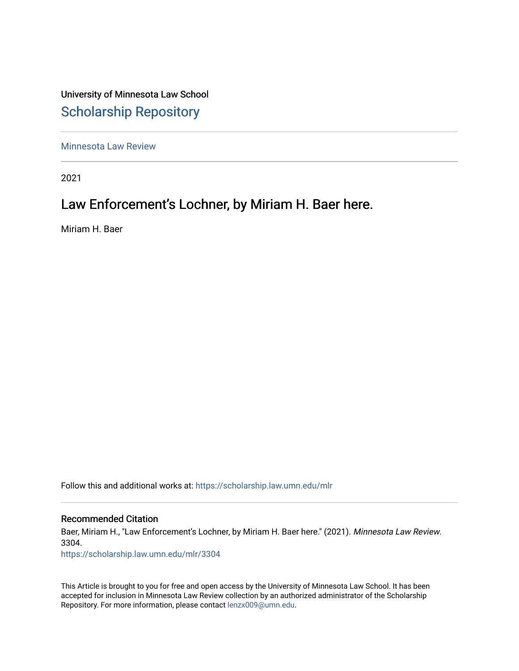University of Minnesota Law School [Scholarship Repository](https://scholarship.law.umn.edu/) 

[Minnesota Law Review](https://scholarship.law.umn.edu/mlr) 

2021

# Law Enforcement's Lochner, by Miriam H. Baer here.

Miriam H. Baer

Follow this and additional works at: [https://scholarship.law.umn.edu/mlr](https://scholarship.law.umn.edu/mlr?utm_source=scholarship.law.umn.edu%2Fmlr%2F3304&utm_medium=PDF&utm_campaign=PDFCoverPages)

# Recommended Citation

Baer, Miriam H., "Law Enforcement's Lochner, by Miriam H. Baer here." (2021). Minnesota Law Review. 3304.

[https://scholarship.law.umn.edu/mlr/3304](https://scholarship.law.umn.edu/mlr/3304?utm_source=scholarship.law.umn.edu%2Fmlr%2F3304&utm_medium=PDF&utm_campaign=PDFCoverPages)

This Article is brought to you for free and open access by the University of Minnesota Law School. It has been accepted for inclusion in Minnesota Law Review collection by an authorized administrator of the Scholarship Repository. For more information, please contact [lenzx009@umn.edu.](mailto:lenzx009@umn.edu)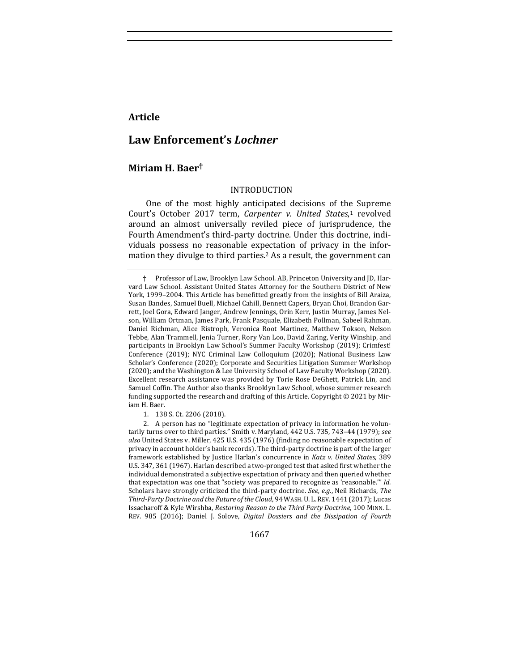# **Article**

# **Law Enforcement's** *Lochner*

# **Miriam H. Baer†**

#### INTRODUCTION

One of the most highly anticipated decisions of the Supreme Court's October 2017 term, Carpenter v. United States,<sup>1</sup> revolved around an almost universally reviled piece of jurisprudence, the Fourth Amendment's third-party doctrine. Under this doctrine, individuals possess no reasonable expectation of privacy in the information they divulge to third parties.<sup>2</sup> As a result, the government can

1667

<sup>†</sup> Professor of Law, Brooklyn Law School. AB, Princeton University and JD, Harvard Law School. Assistant United States Attorney for the Southern District of New York, 1999–2004. This Article has benefitted greatly from the insights of Bill Araiza, Susan Bandes, Samuel Buell, Michael Cahill, Bennett Capers, Bryan Choi, Brandon Garrett, Joel Gora, Edward Janger, Andrew Jennings, Orin Kerr, Justin Murray, James Nelson, William Ortman, James Park, Frank Pasquale, Elizabeth Pollman, Sabeel Rahman, Daniel Richman, Alice Ristroph, Veronica Root Martinez, Matthew Tokson, Nelson Tebbe, Alan Trammell, Jenia Turner, Rory Van Loo, David Zaring, Verity Winship, and participants in Brooklyn Law School's Summer Faculty Workshop (2019); Crimfest! Conference (2019); NYC Criminal Law Colloquium (2020); National Business Law Scholar's Conference (2020); Corporate and Securities Litigation Summer Workshop (2020); and the Washington & Lee University School of Law Faculty Workshop (2020). Excellent research assistance was provided by Torie Rose DeGhett, Patrick Lin, and Samuel Coffin. The Author also thanks Brooklyn Law School, whose summer research funding supported the research and drafting of this Article. Copyright  $©$  2021 by Miriam H. Baer.

<sup>1. 138</sup> S. Ct. 2206 (2018).

<sup>2.</sup> A person has no "legitimate expectation of privacy in information he voluntarily turns over to third parties." Smith v. Maryland, 442 U.S. 735, 743-44 (1979); see also United States v. Miller, 425 U.S. 435 (1976) (finding no reasonable expectation of privacy in account holder's bank records). The third-party doctrine is part of the larger framework established by Justice Harlan's concurrence in *Katz v. United States*, 389 U.S. 347, 361 (1967). Harlan described a two-pronged test that asked first whether the individual demonstrated a subjective expectation of privacy and then queried whether that expectation was one that "society was prepared to recognize as 'reasonable."" *Id.* Scholars have strongly criticized the third-party doctrine. See, e.g., Neil Richards, The Third-Party Doctrine and the Future of the Cloud, 94 WASH. U. L. REV. 1441 (2017); Lucas Issacharoff & Kyle Wirshba, *Restoring Reason to the Third Party Doctrine*, 100 MINN. L. REV. 985 (2016); Daniel J. Solove, *Digital Dossiers and the Dissipation of Fourth*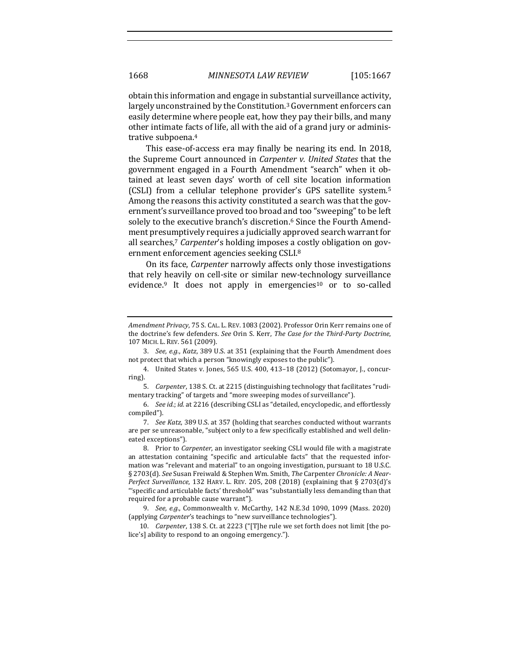obtain this information and engage in substantial surveillance activity, largely unconstrained by the Constitution.<sup>3</sup> Government enforcers can easily determine where people eat, how they pay their bills, and many other intimate facts of life, all with the aid of a grand jury or administrative subpoena.<sup>4</sup>

This ease-of-access era may finally be nearing its end. In 2018, the Supreme Court announced in *Carpenter v. United States* that the government engaged in a Fourth Amendment "search" when it obtained at least seven days' worth of cell site location information (CSLI) from a cellular telephone provider's GPS satellite system.<sup>5</sup> Among the reasons this activity constituted a search was that the government's surveillance proved too broad and too "sweeping" to be left solely to the executive branch's discretion.<sup>6</sup> Since the Fourth Amendment presumptively requires a judicially approved search warrant for all searches,<sup>7</sup> Carpenter's holding imposes a costly obligation on government enforcement agencies seeking CSLI.<sup>8</sup>

On its face, *Carpenter* narrowly affects only those investigations that rely heavily on cell-site or similar new-technology surveillance evidence.<sup>9</sup> It does not apply in emergencies<sup>10</sup> or to so-called

*Amendment Privacy*, 75 S. CAL. L. REV. 1083 (2002). Professor Orin Kerr remains one of the doctrine's few defenders. See Orin S. Kerr, *The Case for the Third-Party Doctrine*, 107 MICH. L. REV. 561 (2009).

<sup>3.</sup> *See, e.g., Katz,* 389 U.S. at 351 (explaining that the Fourth Amendment does not protect that which a person "knowingly exposes to the public").

<sup>4.</sup> United States v. Jones, 565 U.S. 400, 413-18 (2012) (Sotomayor, J., concurring). 

<sup>5.</sup> Carpenter, 138 S. Ct. at 2215 (distinguishing technology that facilitates "rudimentary tracking" of targets and "more sweeping modes of surveillance").

<sup>6.</sup> See id.; id. at 2216 (describing CSLI as "detailed, encyclopedic, and effortlessly compiled"). 

<sup>7.</sup> *See Katz*, 389 U.S. at 357 (holding that searches conducted without warrants are per se unreasonable, "subject only to a few specifically established and well delineated exceptions").

<sup>8.</sup> Prior to *Carpenter*, an investigator seeking CSLI would file with a magistrate an attestation containing "specific and articulable facts" that the requested information was "relevant and material" to an ongoing investigation, pursuant to 18 U.S.C. § 2703(d). See Susan Freiwald & Stephen Wm. Smith, *The Carpenter Chronicle: A Near-Perfect Surveillance*, 132 HARV. L. REV. 205, 208 (2018) (explaining that § 2703(d)'s "'specific and articulable facts' threshold" was "substantially less demanding than that required for a probable cause warrant").

<sup>9.</sup> *See, e.g.*, Commonwealth v. McCarthy, 142 N.E.3d 1090, 1099 (Mass. 2020) (applying *Carpenter's* teachings to "new surveillance technologies").

<sup>10.</sup> *Carpenter*, 138 S. Ct. at 2223 ("[T]he rule we set forth does not limit [the police's] ability to respond to an ongoing emergency.").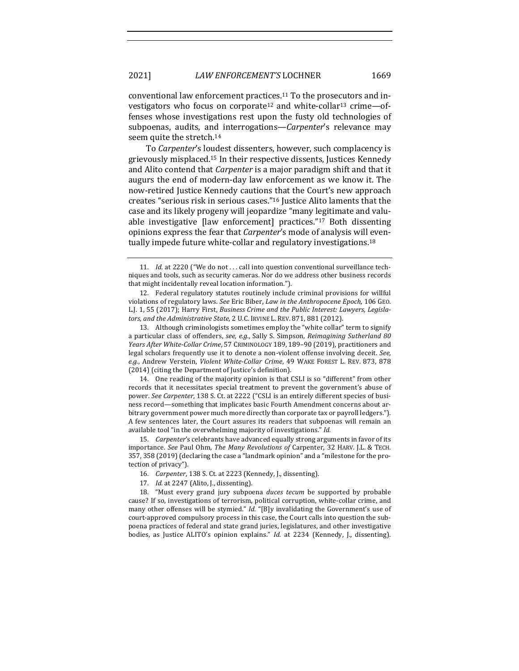conventional law enforcement practices.<sup>11</sup> To the prosecutors and investigators who focus on corporate<sup>12</sup> and white-collar<sup>13</sup> crime—offenses whose investigations rest upon the fusty old technologies of subpoenas, audits, and interrogations—*Carpenter's* relevance may seem quite the stretch.<sup>14</sup>

To Carpenter's loudest dissenters, however, such complacency is grievously misplaced.<sup>15</sup> In their respective dissents, Justices Kennedy and Alito contend that *Carpenter* is a major paradigm shift and that it augurs the end of modern-day law enforcement as we know it. The now-retired Justice Kennedy cautions that the Court's new approach creates "serious risk in serious cases."<sup>16</sup> Justice Alito laments that the case and its likely progeny will jeopardize "many legitimate and valuable investigative  $\lceil$ law enforcement $\lceil$  practices."<sup>17</sup> Both dissenting opinions express the fear that *Carpenter's* mode of analysis will eventually impede future white-collar and regulatory investigations.<sup>18</sup>

14. One reading of the majority opinion is that CSLI is so "different" from other records that it necessitates special treatment to prevent the government's abuse of power. See Carpenter, 138 S. Ct. at 2222 ("CSLI is an entirely different species of business record—something that implicates basic Fourth Amendment concerns about arbitrary government power much more directly than corporate tax or payroll ledgers."). A few sentences later, the Court assures its readers that subpoenas will remain an available tool "in the overwhelming majority of investigations." Id.

15. *Carpenter's* celebrants have advanced equally strong arguments in favor of its importance. See Paul Ohm, The Many Revolutions of Carpenter, 32 HARV. J.L. & TECH. 357, 358 (2019) (declaring the case a "landmark opinion" and a "milestone for the protection of privacy")

17. *Id.* at 2247 (Alito, J., dissenting).

18. "Must every grand jury subpoena *duces tecum* be supported by probable cause? If so, investigations of terrorism, political corruption, white-collar crime, and many other offenses will be stymied." *Id.* "[B]y invalidating the Government's use of court-approved compulsory process in this case, the Court calls into question the subpoena practices of federal and state grand juries, legislatures, and other investigative bodies, as Justice ALITO's opinion explains." *Id.* at 2234 (Kennedy, J., dissenting).

<sup>11.</sup> *Id.* at 2220 ("We do not ... call into question conventional surveillance techniques and tools, such as security cameras. Nor do we address other business records that might incidentally reveal location information.").

<sup>12.</sup> Federal regulatory statutes routinely include criminal provisions for willful violations of regulatory laws. See Eric Biber, *Law in the Anthropocene Epoch*, 106 GEO. L.J. 1, 55 (2017); Harry First, *Business Crime and the Public Interest: Lawyers, Legisla*tors, and the Administrative State, 2 U.C. IRVINE L. REV. 871, 881 (2012).

<sup>13.</sup> Although criminologists sometimes employ the "white collar" term to signify a particular class of offenders, see, e.g., Sally S. Simpson, *Reimagining Sutherland 80* Years After White-Collar Crime, 57 CRIMINOLOGY 189, 189-90 (2019), practitioners and legal scholars frequently use it to denote a non-violent offense involving deceit. See, e.g., Andrew Verstein, *Violent White-Collar Crime*, 49 WAKE FOREST L. REV. 873, 878 (2014) (citing the Department of Justice's definition).

<sup>16.</sup> *Carpenter*, 138 S. Ct. at 2223 (Kennedy, J., dissenting).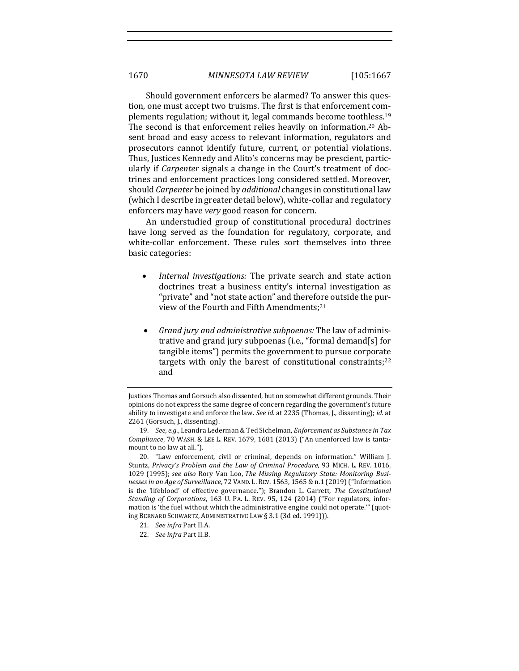Should government enforcers be alarmed? To answer this question, one must accept two truisms. The first is that enforcement complements regulation; without it, legal commands become toothless.<sup>19</sup> The second is that enforcement relies heavily on information.<sup>20</sup> Absent broad and easy access to relevant information, regulators and prosecutors cannot identify future, current, or potential violations. Thus, Justices Kennedy and Alito's concerns may be prescient, particularly if *Carpenter* signals a change in the Court's treatment of doctrines and enforcement practices long considered settled. Moreover, should *Carpenter* be joined by *additional* changes in constitutional law (which I describe in greater detail below), white-collar and regulatory enforcers may have *very* good reason for concern.

An understudied group of constitutional procedural doctrines have long served as the foundation for regulatory, corporate, and white-collar enforcement. These rules sort themselves into three basic categories:

- *Internal investigations:* The private search and state action doctrines treat a business entity's internal investigation as "private" and "not state action" and therefore outside the purview of the Fourth and Fifth Amendments;<sup>21</sup>
- *Grand jury and administrative subpoenas:* The law of administrative and grand jury subpoenas (i.e., "formal demand[s] for tangible items") permits the government to pursue corporate targets with only the barest of constitutional constraints; $22$ and

- 21. *See infra* Part II.A.
- 22. *See infra* Part II.B.

Justices Thomas and Gorsuch also dissented, but on somewhat different grounds. Their opinions do not express the same degree of concern regarding the government's future ability to investigate and enforce the law. See id. at 2235 (Thomas, J., dissenting); id. at 2261 (Gorsuch, J., dissenting).

<sup>19.</sup> *See, e.g.*, Leandra Lederman & Ted Sichelman, *Enforcement as Substance in Tax Compliance*, 70 WASH. & LEE L. REV. 1679, 1681 (2013) ("An unenforced law is tantamount to no law at all.").

<sup>20. &</sup>quot;Law enforcement, civil or criminal, depends on information." William J. Stuntz, Privacy's Problem and the Law of Criminal Procedure, 93 MICH. L. REV. 1016, 1029 (1995); see also Rory Van Loo, The Missing Regulatory State: Monitoring Busi*nesses in an Age of Surveillance*, 72 VAND. L. REV. 1563, 1565 & n.1 (2019) ("Information is the 'lifeblood' of effective governance."); Brandon L. Garrett, *The Constitutional Standing of Corporations, 163 U. PA. L. REV. 95, 124 (2014)* ("For regulators, information is 'the fuel without which the administrative engine could not operate."" (quoting BERNARD SCHWARTZ, ADMINISTRATIVE LAW § 3.1 (3d ed. 1991))).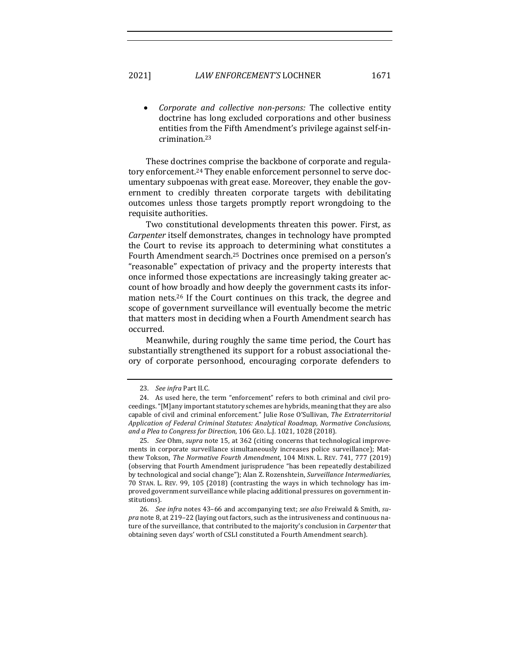Corporate and collective non-persons: The collective entity doctrine has long excluded corporations and other business entities from the Fifth Amendment's privilege against self-incrimination.23

These doctrines comprise the backbone of corporate and regulatory enforcement.<sup>24</sup> They enable enforcement personnel to serve documentary subpoenas with great ease. Moreover, they enable the government to credibly threaten corporate targets with debilitating outcomes unless those targets promptly report wrongdoing to the requisite authorities.

Two constitutional developments threaten this power. First, as *Carpenter* itself demonstrates, changes in technology have prompted the Court to revise its approach to determining what constitutes a Fourth Amendment search.<sup>25</sup> Doctrines once premised on a person's "reasonable" expectation of privacy and the property interests that once informed those expectations are increasingly taking greater account of how broadly and how deeply the government casts its information nets.<sup>26</sup> If the Court continues on this track, the degree and scope of government surveillance will eventually become the metric that matters most in deciding when a Fourth Amendment search has occurred. 

Meanwhile, during roughly the same time period, the Court has substantially strengthened its support for a robust associational theory of corporate personhood, encouraging corporate defenders to

<sup>23.</sup> *See infra Part II.C.* 

<sup>24.</sup> As used here, the term "enforcement" refers to both criminal and civil proceedings. "[M]any important statutory schemes are hybrids, meaning that they are also capable of civil and criminal enforcement." Julie Rose O'Sullivan, The Extraterritorial Application of Federal Criminal Statutes: Analytical Roadmap, Normative Conclusions, *and a Plea to Congress for Direction*, 106 GEO. L.J. 1021, 1028 (2018). 

<sup>25.</sup> *See* Ohm, *supra* note 15, at 362 (citing concerns that technological improvements in corporate surveillance simultaneously increases police surveillance); Matthew Tokson, *The Normative Fourth Amendment*, 104 MINN. L. REV. 741, 777 (2019) (observing that Fourth Amendment jurisprudence "has been repeatedly destabilized by technological and social change"); Alan Z. Rozenshtein, *Surveillance Intermediaries*, 70 STAN. L. REV. 99, 105 (2018) (contrasting the ways in which technology has improved government surveillance while placing additional pressures on government institutions). 

<sup>26.</sup> *See infra* notes 43-66 and accompanying text; *see also* Freiwald & Smith, *supra* note 8, at 219–22 (laying out factors, such as the intrusiveness and continuous nature of the surveillance, that contributed to the majority's conclusion in *Carpenter* that obtaining seven days' worth of CSLI constituted a Fourth Amendment search).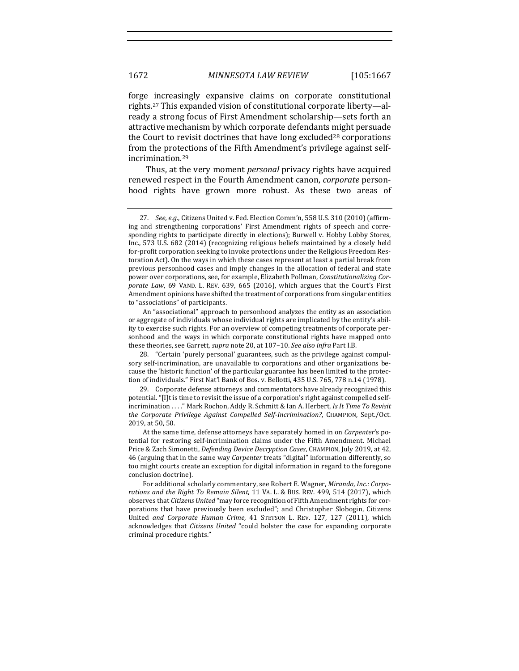forge increasingly expansive claims on corporate constitutional rights.<sup>27</sup> This expanded vision of constitutional corporate liberty—already a strong focus of First Amendment scholarship—sets forth an attractive mechanism by which corporate defendants might persuade the Court to revisit doctrines that have long excluded<sup>28</sup> corporations from the protections of the Fifth Amendment's privilege against selfincrimination.29

Thus, at the very moment *personal* privacy rights have acquired renewed respect in the Fourth Amendment canon, *corporate* personhood rights have grown more robust. As these two areas of

An "associational" approach to personhood analyzes the entity as an association or aggregate of individuals whose individual rights are implicated by the entity's ability to exercise such rights. For an overview of competing treatments of corporate personhood and the ways in which corporate constitutional rights have mapped onto these theories, see Garrett, *supra* note 20, at 107-10. See also infra Part I.B.

29. Corporate defense attorneys and commentators have already recognized this potential. "[I]t is time to revisit the issue of a corporation's right against compelled selfincrimination ...." Mark Rochon, Addy R. Schmitt & Ian A. Herbert, *Is It Time To Revisit* the Corporate Privilege Against Compelled Self-Incrimination?, CHAMPION, Sept./Oct. 2019, at 50, 50.

<sup>27.</sup> *See, e.g.*, Citizens United v. Fed. Election Comm'n, 558 U.S. 310 (2010) (affirming and strengthening corporations' First Amendment rights of speech and corresponding rights to participate directly in elections); Burwell v. Hobby Lobby Stores, Inc., 573 U.S. 682 (2014) (recognizing religious beliefs maintained by a closely held for-profit corporation seeking to invoke protections under the Religious Freedom Restoration Act). On the ways in which these cases represent at least a partial break from previous personhood cases and imply changes in the allocation of federal and state power over corporations, see, for example, Elizabeth Pollman, *Constitutionalizing Corporate Law*, 69 VAND. L. REV. 639, 665 (2016), which argues that the Court's First Amendment opinions have shifted the treatment of corporations from singular entities to "associations" of participants.

<sup>28. &</sup>quot;Certain 'purely personal' guarantees, such as the privilege against compulsory self-incrimination, are unavailable to corporations and other organizations because the 'historic function' of the particular guarantee has been limited to the protection of individuals." First Nat'l Bank of Bos. v. Bellotti, 435 U.S. 765, 778 n.14 (1978).

At the same time, defense attorneys have separately homed in on *Carpenter's* potential for restoring self-incrimination claims under the Fifth Amendment. Michael Price & Zach Simonetti, *Defending Device Decryption Cases*, CHAMPION, July 2019, at 42, 46 (arguing that in the same way *Carpenter* treats "digital" information differently, so too might courts create an exception for digital information in regard to the foregone conclusion doctrine).

For additional scholarly commentary, see Robert E. Wagner, *Miranda, Inc.: Corpo*rations and the Right To Remain Silent, 11 VA. L. & Bus. REV. 499, 514 (2017), which observes that *Citizens United* "may force recognition of Fifth Amendment rights for corporations that have previously been excluded"; and Christopher Slobogin, Citizens United and Corporate Human Crime, 41 STETSON L. REV. 127, 127 (2011), which acknowledges that *Citizens United* "could bolster the case for expanding corporate criminal procedure rights."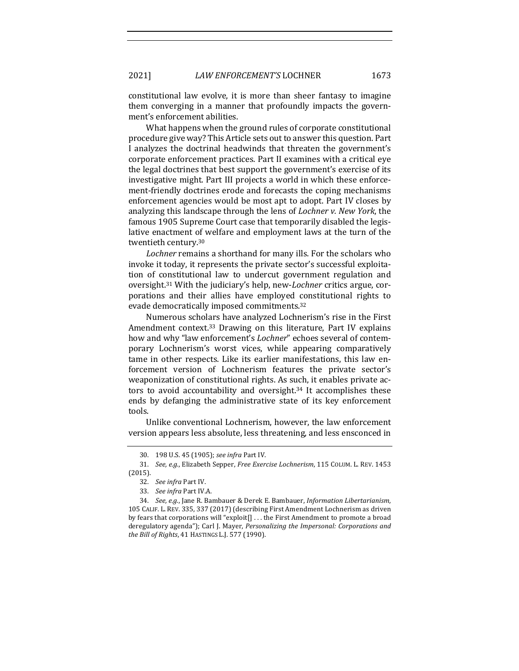constitutional law evolve, it is more than sheer fantasy to imagine them converging in a manner that profoundly impacts the government's enforcement abilities.

What happens when the ground rules of corporate constitutional procedure give way? This Article sets out to answer this question. Part I analyzes the doctrinal headwinds that threaten the government's corporate enforcement practices. Part II examines with a critical eye the legal doctrines that best support the government's exercise of its investigative might. Part III projects a world in which these enforcement-friendly doctrines erode and forecasts the coping mechanisms enforcement agencies would be most apt to adopt. Part IV closes by analyzing this landscape through the lens of *Lochner v. New York*, the famous 1905 Supreme Court case that temporarily disabled the legislative enactment of welfare and employment laws at the turn of the twentieth century.30

Lochner remains a shorthand for many ills. For the scholars who invoke it today, it represents the private sector's successful exploitation of constitutional law to undercut government regulation and oversight.<sup>31</sup> With the judiciary's help, new-*Lochner* critics argue, corporations and their allies have employed constitutional rights to evade democratically imposed commitments.<sup>32</sup>

Numerous scholars have analyzed Lochnerism's rise in the First Amendment context.<sup>33</sup> Drawing on this literature, Part IV explains how and why "law enforcement's *Lochner*" echoes several of contemporary Lochnerism's worst vices, while appearing comparatively tame in other respects. Like its earlier manifestations, this law enforcement version of Lochnerism features the private sector's weaponization of constitutional rights. As such, it enables private actors to avoid accountability and oversight.<sup>34</sup> It accomplishes these ends by defanging the administrative state of its key enforcement tools. 

Unlike conventional Lochnerism, however, the law enforcement version appears less absolute, less threatening, and less ensconced in

<sup>30.</sup> 198 U.S. 45 (1905); *see infra* Part IV. 

<sup>31.</sup> See, e.g., Elizabeth Sepper, *Free Exercise Lochnerism*, 115 COLUM. L. REV. 1453 (2015).

<sup>32.</sup> *See infra Part IV.* 

<sup>33.</sup> *See infra Part IV.A.* 

<sup>34.</sup> *See, e.g.*, Jane R. Bambauer & Derek E. Bambauer, *Information Libertarianism*, 105 CALIF. L. REV. 335, 337 (2017) (describing First Amendment Lochnerism as driven by fears that corporations will "exploit[] ... the First Amendment to promote a broad deregulatory agenda"); Carl J. Mayer, *Personalizing the Impersonal: Corporations and the Bill of Rights*, 41 HASTINGS L.J. 577 (1990).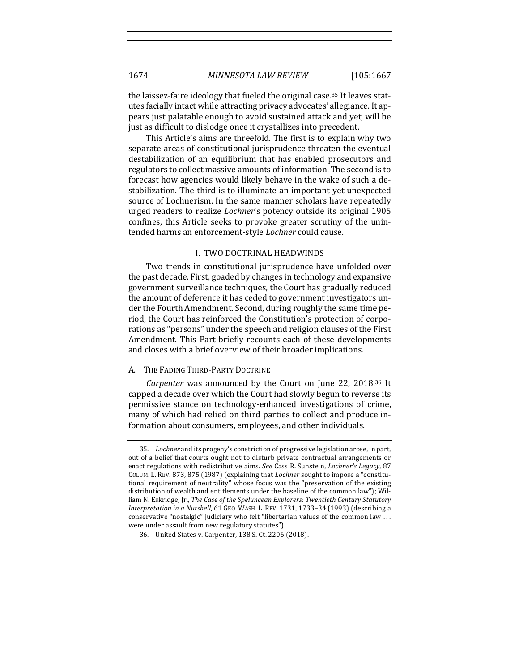the laissez-faire ideology that fueled the original case.<sup>35</sup> It leaves statutes facially intact while attracting privacy advocates' allegiance. It appears just palatable enough to avoid sustained attack and yet, will be just as difficult to dislodge once it crystallizes into precedent.

This Article's aims are threefold. The first is to explain why two separate areas of constitutional jurisprudence threaten the eventual destabilization of an equilibrium that has enabled prosecutors and regulators to collect massive amounts of information. The second is to forecast how agencies would likely behave in the wake of such a destabilization. The third is to illuminate an important yet unexpected source of Lochnerism. In the same manner scholars have repeatedly urged readers to realize *Lochner's* potency outside its original 1905 confines, this Article seeks to provoke greater scrutiny of the unintended harms an enforcement-style *Lochner* could cause.

#### I. TWO DOCTRINAL HEADWINDS

Two trends in constitutional jurisprudence have unfolded over the past decade. First, goaded by changes in technology and expansive government surveillance techniques, the Court has gradually reduced the amount of deference it has ceded to government investigators under the Fourth Amendment. Second, during roughly the same time period, the Court has reinforced the Constitution's protection of corporations as "persons" under the speech and religion clauses of the First Amendment. This Part briefly recounts each of these developments and closes with a brief overview of their broader implications.

# A. THE FADING THIRD-PARTY DOCTRINE

*Carpenter* was announced by the Court on June 22, 2018.<sup>36</sup> It capped a decade over which the Court had slowly begun to reverse its permissive stance on technology-enhanced investigations of crime, many of which had relied on third parties to collect and produce information about consumers, employees, and other individuals.

<sup>35.</sup> Lochner and its progeny's constriction of progressive legislation arose, in part, out of a belief that courts ought not to disturb private contractual arrangements or enact regulations with redistributive aims. See Cass R. Sunstein, *Lochner's Legacy*, 87 COLUM. L. REV. 873, 875 (1987) (explaining that *Lochner* sought to impose a "constitutional requirement of neutrality" whose focus was the "preservation of the existing distribution of wealth and entitlements under the baseline of the common law"); William N. Eskridge, Jr., *The Case of the Speluncean Explorers: Twentieth Century Statutory* Interpretation in a Nutshell, 61 GEO. WASH. L. REV. 1731, 1733-34 (1993) (describing a conservative "nostalgic" judiciary who felt "libertarian values of the common law ... were under assault from new regulatory statutes").

<sup>36.</sup> United States v. Carpenter, 138 S. Ct. 2206 (2018).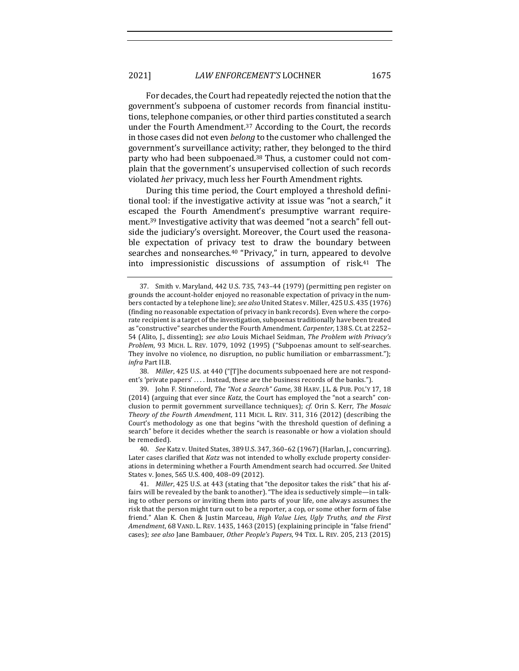# 2021] *LAW ENFORCEMENT'S* LOCHNER 1675

For decades, the Court had repeatedly rejected the notion that the government's subpoena of customer records from financial institutions, telephone companies, or other third parties constituted a search under the Fourth Amendment.<sup>37</sup> According to the Court, the records in those cases did not even *belong* to the customer who challenged the government's surveillance activity; rather, they belonged to the third party who had been subpoenaed.<sup>38</sup> Thus, a customer could not complain that the government's unsupervised collection of such records violated *her* privacy, much less her Fourth Amendment rights.

During this time period, the Court employed a threshold definitional tool: if the investigative activity at issue was "not a search," it escaped the Fourth Amendment's presumptive warrant requirement.<sup>39</sup> Investigative activity that was deemed "not a search" fell outside the judiciary's oversight. Moreover, the Court used the reasonable expectation of privacy test to draw the boundary between searches and nonsearches.<sup>40</sup> "Privacy," in turn, appeared to devolve into impressionistic discussions of assumption of risk. $41$  The

38. *Miller*, 425 U.S. at 440 ("[T]he documents subpoenaed here are not respondent's 'private papers' .... Instead, these are the business records of the banks.").

39. John F. Stinneford, *The "Not a Search" Game*, 38 HARV. J.L. & PUB. POL'Y 17, 18 (2014) (arguing that ever since *Katz*, the Court has employed the "not a search" conclusion to permit government surveillance techniques); *cf.* Orin S. Kerr, *The Mosaic Theory of the Fourth Amendment*, 111 MICH. L. REV. 311, 316 (2012) (describing the Court's methodology as one that begins "with the threshold question of defining a search" before it decides whether the search is reasonable or how a violation should be remedied).

40. *See* Katz v. United States, 389 U.S. 347, 360-62 (1967) (Harlan, J., concurring). Later cases clarified that *Katz* was not intended to wholly exclude property considerations in determining whether a Fourth Amendment search had occurred. See United States v. Jones, 565 U.S. 400, 408-09 (2012).

41. *Miller*, 425 U.S. at 443 (stating that "the depositor takes the risk" that his affairs will be revealed by the bank to another). "The idea is seductively simple—in talking to other persons or inviting them into parts of your life, one always assumes the risk that the person might turn out to be a reporter, a cop, or some other form of false friend." Alan K. Chen & Justin Marceau, *High Value Lies, Ugly Truths, and the First* Amendment, 68 VAND. L. REV. 1435, 1463 (2015) (explaining principle in "false friend" cases); *see also* Jane Bambauer, *Other People's Papers*, 94 TEX. L. REV. 205, 213 (2015) 

<sup>37.</sup> Smith v. Maryland,  $442$  U.S. 735, 743–44 (1979) (permitting pen register on grounds the account-holder enjoyed no reasonable expectation of privacy in the numbers contacted by a telephone line); *see also* United States v. Miller, 425 U.S. 435 (1976) (finding no reasonable expectation of privacy in bank records). Even where the corporate recipient is a target of the investigation, subpoenas traditionally have been treated as "constructive" searches under the Fourth Amendment. *Carpenter*, 138 S. Ct. at 2252-54 (Alito, J., dissenting); *see also* Louis Michael Seidman, *The Problem with Privacy's* Problem, 93 MICH. L. REV. 1079, 1092 (1995) ("Subpoenas amount to self-searches. They involve no violence, no disruption, no public humiliation or embarrassment."); *infra* Part II.B.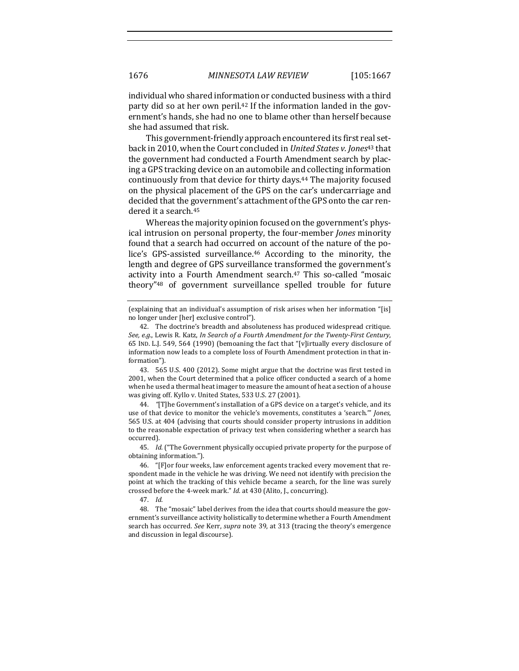individual who shared information or conducted business with a third party did so at her own peril.<sup>42</sup> If the information landed in the government's hands, she had no one to blame other than herself because she had assumed that risk.

This government-friendly approach encountered its first real setback in 2010, when the Court concluded in *United States v. Jones*<sup>43</sup> that the government had conducted a Fourth Amendment search by placing a GPS tracking device on an automobile and collecting information continuously from that device for thirty days.<sup>44</sup> The majority focused on the physical placement of the GPS on the car's undercarriage and decided that the government's attachment of the GPS onto the car rendered it a search.<sup>45</sup>

Whereas the majority opinion focused on the government's physical intrusion on personal property, the four-member *Jones* minority found that a search had occurred on account of the nature of the police's GPS-assisted surveillance.<sup>46</sup> According to the minority, the length and degree of GPS surveillance transformed the government's activity into a Fourth Amendment search.<sup>47</sup> This so-called "mosaic theory"<sup>48</sup> of government surveillance spelled trouble for future

43. 565 U.S. 400 (2012). Some might argue that the doctrine was first tested in 2001, when the Court determined that a police officer conducted a search of a home when he used a thermal heat imager to measure the amount of heat a section of a house was giving off. Kyllo v. United States, 533 U.S. 27 (2001).

44. "[T]he Government's installation of a GPS device on a target's vehicle, and its use of that device to monitor the vehicle's movements, constitutes a 'search.'" *Jones*, 565 U.S. at 404 (advising that courts should consider property intrusions in addition to the reasonable expectation of privacy test when considering whether a search has occurred).

45. *Id.* ("The Government physically occupied private property for the purpose of obtaining information.").

48. The "mosaic" label derives from the idea that courts should measure the government's surveillance activity holistically to determine whether a Fourth Amendment search has occurred. *See* Kerr, *supra* note 39, at 313 (tracing the theory's emergence and discussion in legal discourse).

<sup>(</sup>explaining that an individual's assumption of risk arises when her information " $[$ is] no longer under [her] exclusive control").

<sup>42.</sup> The doctrine's breadth and absoluteness has produced widespread critique. See, e.g., Lewis R. Katz, *In Search of a Fourth Amendment for the Twenty-First Century*, 65 IND. L.J. 549, 564 (1990) (bemoaning the fact that "[v]irtually every disclosure of information now leads to a complete loss of Fourth Amendment protection in that information"). 

<sup>46. &</sup>quot;[F]or four weeks, law enforcement agents tracked every movement that respondent made in the vehicle he was driving. We need not identify with precision the point at which the tracking of this vehicle became a search, for the line was surely crossed before the 4-week mark." *Id.* at 430 (Alito, J., concurring).

<sup>47.</sup> *Id.*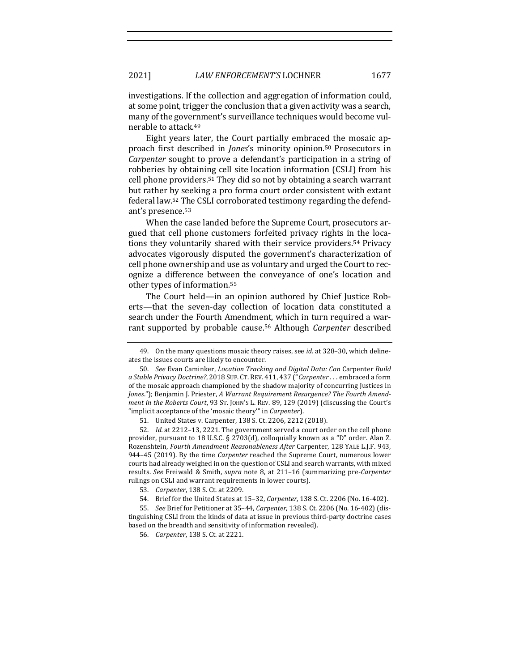investigations. If the collection and aggregation of information could, at some point, trigger the conclusion that a given activity was a search, many of the government's surveillance techniques would become vulnerable to attack.<sup>49</sup>

Eight years later, the Court partially embraced the mosaic approach first described in *Jones's* minority opinion.<sup>50</sup> Prosecutors in *Carpenter* sought to prove a defendant's participation in a string of robberies by obtaining cell site location information (CSLI) from his cell phone providers.<sup>51</sup> They did so not by obtaining a search warrant but rather by seeking a pro forma court order consistent with extant federal law.<sup>52</sup> The CSLI corroborated testimony regarding the defendant's presence.<sup>53</sup>

When the case landed before the Supreme Court, prosecutors argued that cell phone customers forfeited privacy rights in the locations they voluntarily shared with their service providers.<sup>54</sup> Privacy advocates vigorously disputed the government's characterization of cell phone ownership and use as voluntary and urged the Court to recognize a difference between the conveyance of one's location and other types of information.<sup>55</sup>

The Court held—in an opinion authored by Chief Justice Roberts-that the seven-day collection of location data constituted a search under the Fourth Amendment, which in turn required a warrant supported by probable cause.<sup>56</sup> Although *Carpenter* described

51. United States v. Carpenter, 138 S. Ct. 2206, 2212 (2018).

52. *Id.* at 2212–13, 2221. The government served a court order on the cell phone provider, pursuant to 18 U.S.C. § 2703(d), colloquially known as a "D" order. Alan Z. Rozenshtein, *Fourth Amendment Reasonableness After Carpenter*, 128 YALE L.J.F. 943, 944-45 (2019). By the time *Carpenter* reached the Supreme Court, numerous lower courts had already weighed in on the question of CSLI and search warrants, with mixed results. *See* Freiwald & Smith, *supra* note 8, at 211–16 (summarizing pre-*Carpenter* rulings on CSLI and warrant requirements in lower courts).

55. *See* Brief for Petitioner at 35-44, *Carpenter*, 138 S. Ct. 2206 (No. 16-402) (distinguishing CSLI from the kinds of data at issue in previous third-party doctrine cases based on the breadth and sensitivity of information revealed).

<sup>49.</sup> On the many questions mosaic theory raises, see *id.* at 328–30, which delineates the issues courts are likely to encounter.

<sup>50.</sup> *See* Evan Caminker, *Location Tracking and Digital Data: Can* Carpenter *Build* a Stable Privacy Doctrine?, 2018 SUP. CT. REV. 411, 437 ("Carpenter . . . embraced a form of the mosaic approach championed by the shadow majority of concurring Justices in Jones."); Benjamin J. Priester, A Warrant Requirement Resurgence? The Fourth Amend*ment in the Roberts Court,* 93 ST. JOHN'S L. REV. 89, 129 (2019) (discussing the Court's "implicit acceptance of the 'mosaic theory'" in *Carpenter*).

<sup>53.</sup> *Carpenter*, 138 S. Ct. at 2209.

<sup>54.</sup> Brief for the United States at 15-32, *Carpenter*, 138 S. Ct. 2206 (No. 16-402).

<sup>56.</sup> *Carpenter*, 138 S. Ct. at 2221.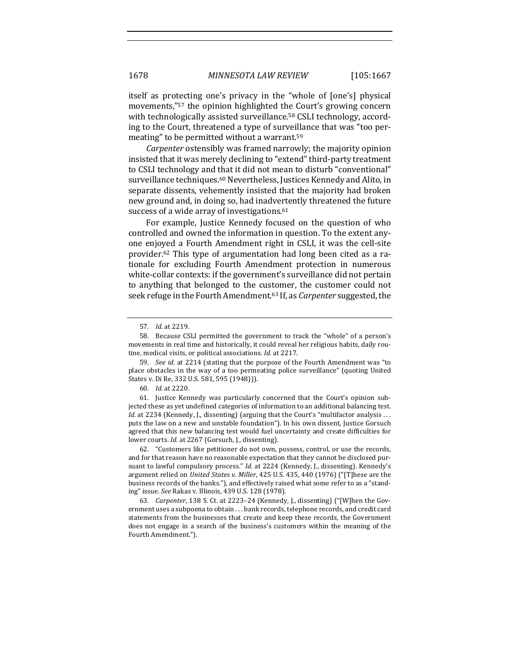itself as protecting one's privacy in the "whole of [one's] physical movements,"<sup>57</sup> the opinion highlighted the Court's growing concern with technologically assisted surveillance.<sup>58</sup> CSLI technology, according to the Court, threatened a type of surveillance that was "too permeating" to be permitted without a warrant.<sup>59</sup>

*Carpenter* ostensibly was framed narrowly; the majority opinion insisted that it was merely declining to "extend" third-party treatment to CSLI technology and that it did not mean to disturb "conventional" surveillance techniques.<sup>60</sup> Nevertheless, Justices Kennedy and Alito, in separate dissents, vehemently insisted that the majority had broken new ground and, in doing so, had inadvertently threatened the future success of a wide array of investigations.<sup>61</sup>

For example, Justice Kennedy focused on the question of who controlled and owned the information in question. To the extent anyone enjoyed a Fourth Amendment right in CSLI, it was the cell-site provider.<sup>62</sup> This type of argumentation had long been cited as a rationale for excluding Fourth Amendment protection in numerous white-collar contexts: if the government's surveillance did not pertain to anything that belonged to the customer, the customer could not seek refuge in the Fourth Amendment.<sup>63</sup> If, as *Carpenter* suggested, the

61. Justice Kennedy was particularly concerned that the Court's opinion subjected these as yet undefined categories of information to an additional balancing test. *Id.* at 2234 (Kennedy, J., dissenting) (arguing that the Court's "multifactor analysis ... puts the law on a new and unstable foundation"). In his own dissent, Justice Gorsuch agreed that this new balancing test would fuel uncertainty and create difficulties for lower courts. *Id.* at 2267 (Gorsuch, J., dissenting).

62. "Customers like petitioner do not own, possess, control, or use the records, and for that reason have no reasonable expectation that they cannot be disclosed pursuant to lawful compulsory process." *Id.* at 2224 (Kennedy, J., dissenting). Kennedy's argument relied on *United States v. Miller*, 425 U.S. 435, 440 (1976) ("[T]hese are the business records of the banks."), and effectively raised what some refer to as a "standing" issue. *See* Rakas v. Illinois, 439 U.S. 128 (1978). 

63. *Carpenter*, 138 S. Ct. at 2223–24 (Kennedy, J., dissenting) ("[W]hen the Government uses a subpoena to obtain ... bank records, telephone records, and credit card statements from the businesses that create and keep these records, the Government does not engage in a search of the business's customers within the meaning of the Fourth Amendment.").

<sup>57.</sup> *Id.* at 2219.

<sup>58.</sup> Because CSLI permitted the government to track the "whole" of a person's movements in real time and historically, it could reveal her religious habits, daily routine, medical visits, or political associations. *Id.* at 2217.

<sup>59.</sup> *See id.* at 2214 (stating that the purpose of the Fourth Amendment was "to place obstacles in the way of a too permeating police surveillance" (quoting United States v. Di Re, 332 U.S. 581, 595 (1948))).

<sup>60.</sup> *Id.* at 2220.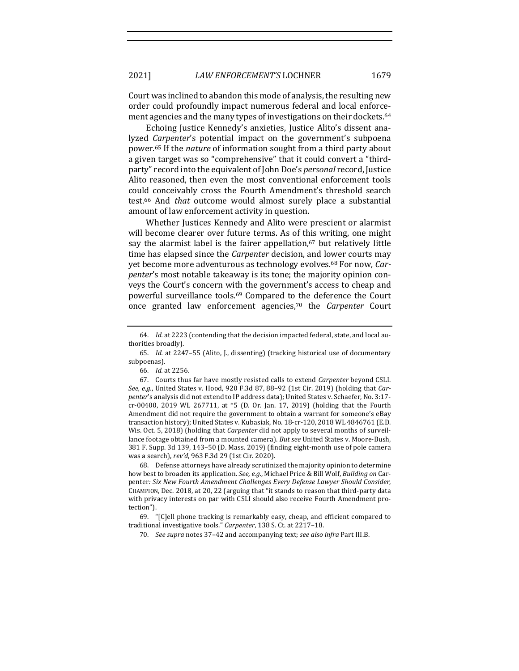Court was inclined to abandon this mode of analysis, the resulting new order could profoundly impact numerous federal and local enforcement agencies and the many types of investigations on their dockets.<sup>64</sup>

Echoing Justice Kennedy's anxieties, Justice Alito's dissent analyzed *Carpenter's* potential impact on the government's subpoena power.<sup>65</sup> If the *nature* of information sought from a third party about a given target was so "comprehensive" that it could convert a "thirdparty" record into the equivalent of John Doe's *personal* record, Justice Alito reasoned, then even the most conventional enforcement tools could conceivably cross the Fourth Amendment's threshold search test.<sup>66</sup> And *that* outcome would almost surely place a substantial amount of law enforcement activity in question.

Whether Justices Kennedy and Alito were prescient or alarmist will become clearer over future terms. As of this writing, one might say the alarmist label is the fairer appellation,<sup>67</sup> but relatively little time has elapsed since the *Carpenter* decision, and lower courts may yet become more adventurous as technology evolves.<sup>68</sup> For now, *Carpenter's* most notable takeaway is its tone; the majority opinion conveys the Court's concern with the government's access to cheap and powerful surveillance tools.<sup>69</sup> Compared to the deference the Court once granted law enforcement agencies,70 the *Carpenter*  Court 

66. *Id.* at 2256. 

68. Defense attorneys have already scrutinized the majority opinion to determine how best to broaden its application. See, e.g., Michael Price & Bill Wolf, *Building on* Carpenter: Six New Fourth Amendment Challenges Every Defense Lawyer Should Consider, CHAMPION, Dec. 2018, at 20, 22 (arguing that "it stands to reason that third-party data with privacy interests on par with CSLI should also receive Fourth Amendment protection"). 

69. " $[C]$ ell phone tracking is remarkably easy, cheap, and efficient compared to traditional investigative tools." Carpenter, 138 S. Ct. at 2217-18.

70. *See supra* notes 37-42 and accompanying text; see also infra Part III.B.

<sup>64.</sup> *Id.* at 2223 (contending that the decision impacted federal, state, and local authorities broadly).

<sup>65.</sup> *Id.* at 2247-55 (Alito, J., dissenting) (tracking historical use of documentary subpoenas). 

<sup>67.</sup> Courts thus far have mostly resisted calls to extend *Carpenter* beyond CSLI. *See, e.g.*, United States v. Hood, 920 F.3d 87, 88-92 (1st Cir. 2019) (holding that *Carpenter's* analysis did not extend to IP address data); United States v. Schaefer, No. 3:17cr-00400, 2019 WL 267711, at \*5 (D. Or. Jan. 17, 2019) (holding that the Fourth Amendment did not require the government to obtain a warrant for someone's eBay transaction history); United States v. Kubasiak, No. 18-cr-120, 2018 WL 4846761 (E.D. Wis. Oct. 5, 2018) (holding that *Carpenter* did not apply to several months of surveillance footage obtained from a mounted camera). But see United States v. Moore-Bush, 381 F. Supp. 3d 139, 143-50 (D. Mass. 2019) (finding eight-month use of pole camera was a search), rev'd, 963 F.3d 29 (1st Cir. 2020).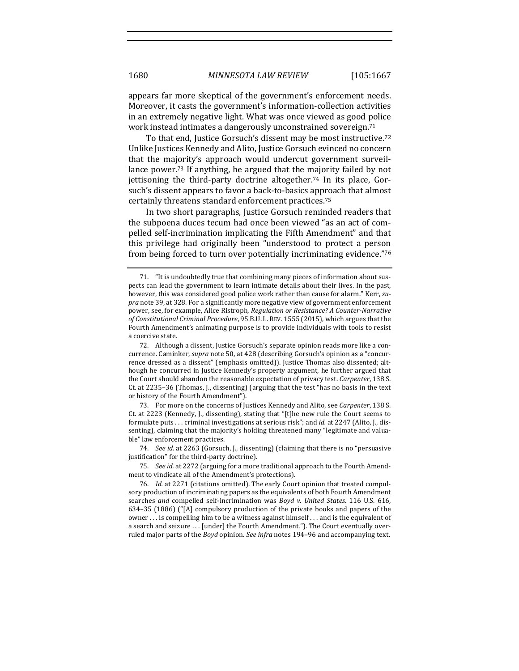appears far more skeptical of the government's enforcement needs. Moreover, it casts the government's information-collection activities in an extremely negative light. What was once viewed as good police work instead intimates a dangerously unconstrained sovereign.<sup>71</sup>

To that end, Justice Gorsuch's dissent may be most instructive.<sup>72</sup> Unlike Justices Kennedy and Alito, Justice Gorsuch evinced no concern that the majority's approach would undercut government surveillance power.<sup>73</sup> If anything, he argued that the majority failed by not jettisoning the third-party doctrine altogether.<sup>74</sup> In its place, Gorsuch's dissent appears to favor a back-to-basics approach that almost certainly threatens standard enforcement practices.<sup>75</sup>

In two short paragraphs, Justice Gorsuch reminded readers that the subpoena duces tecum had once been viewed "as an act of compelled self-incrimination implicating the Fifth Amendment" and that this privilege had originally been "understood to protect a person from being forced to turn over potentially incriminating evidence."76

74. *See id.* at 2263 (Gorsuch, J., dissenting) (claiming that there is no "persuasive justification" for the third-party doctrine).

75. See id. at 2272 (arguing for a more traditional approach to the Fourth Amendment to vindicate all of the Amendment's protections).

76. *Id.* at 2271 (citations omitted). The early Court opinion that treated compulsory production of incriminating papers as the equivalents of both Fourth Amendment searches and compelled self-incrimination was *Boyd v. United States*. 116 U.S. 616, 634–35  $(1886)$  ("[A] compulsory production of the private books and papers of the owner ... is compelling him to be a witness against himself ... and is the equivalent of a search and seizure . . . [under] the Fourth Amendment."). The Court eventually overruled major parts of the *Boyd* opinion. See infra notes 194–96 and accompanying text.

<sup>71. &</sup>quot;It is undoubtedly true that combining many pieces of information about suspects can lead the government to learn intimate details about their lives. In the past, however, this was considered good police work rather than cause for alarm." Kerr, su*pra* note 39, at 328. For a significantly more negative view of government enforcement power, see, for example, Alice Ristroph, *Regulation or Resistance? A Counter-Narrative of Constitutional Criminal Procedure*, 95 B.U. L. REV. 1555 (2015), which argues that the Fourth Amendment's animating purpose is to provide individuals with tools to resist a coercive state.

<sup>72.</sup> Although a dissent, Justice Gorsuch's separate opinion reads more like a concurrence. Caminker, *supra* note 50, at 428 (describing Gorsuch's opinion as a "concurrence dressed as a dissent" (emphasis omitted)). Justice Thomas also dissented; although he concurred in Justice Kennedy's property argument, he further argued that the Court should abandon the reasonable expectation of privacy test. *Carpenter*, 138 S. Ct. at 2235-36 (Thomas, J., dissenting) (arguing that the test "has no basis in the text or history of the Fourth Amendment").

<sup>73.</sup> For more on the concerns of Justices Kennedy and Alito, see *Carpenter*, 138 S. Ct. at 2223 (Kennedy, J., dissenting), stating that "[t]he new rule the Court seems to formulate puts ... criminal investigations at serious risk"; and *id.* at 2247 (Alito, J., dissenting), claiming that the majority's holding threatened many "legitimate and valuable" law enforcement practices.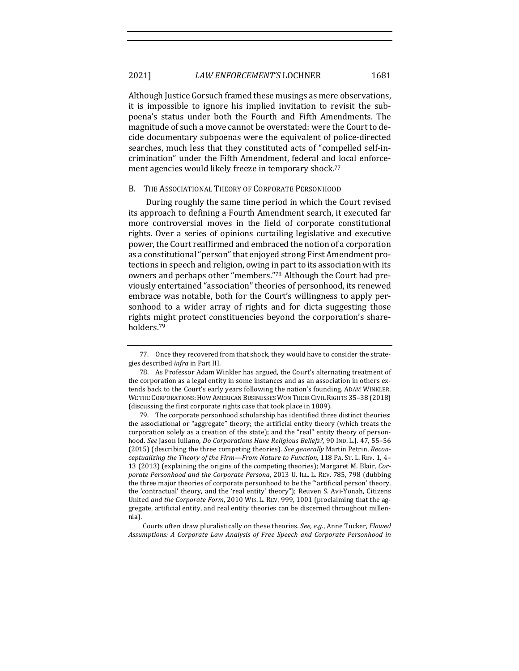# 2021] *LAW ENFORCEMENT'S* LOCHNER 1681

Although Justice Gorsuch framed these musings as mere observations, it is impossible to ignore his implied invitation to revisit the subpoena's status under both the Fourth and Fifth Amendments. The magnitude of such a move cannot be overstated: were the Court to decide documentary subpoenas were the equivalent of police-directed searches, much less that they constituted acts of "compelled self-incrimination" under the Fifth Amendment, federal and local enforcement agencies would likely freeze in temporary shock.<sup>77</sup>

#### B. THE ASSOCIATIONAL THEORY OF CORPORATE PERSONHOOD

During roughly the same time period in which the Court revised its approach to defining a Fourth Amendment search, it executed far more controversial moves in the field of corporate constitutional rights. Over a series of opinions curtailing legislative and executive power, the Court reaffirmed and embraced the notion of a corporation as a constitutional "person" that enjoyed strong First Amendment protections in speech and religion, owing in part to its association with its owners and perhaps other "members."78 Although the Court had previously entertained "association" theories of personhood, its renewed embrace was notable, both for the Court's willingness to apply personhood to a wider array of rights and for dicta suggesting those rights might protect constituencies beyond the corporation's shareholders.79

Courts often draw pluralistically on these theories. *See, e.g.*, Anne Tucker, *Flawed* Assumptions: A Corporate Law Analysis of Free Speech and Corporate Personhood in

<sup>77.</sup> Once they recovered from that shock, they would have to consider the strategies described *infra* in Part III.

<sup>78.</sup> As Professor Adam Winkler has argued, the Court's alternating treatment of the corporation as a legal entity in some instances and as an association in others extends back to the Court's early years following the nation's founding. ADAM WINKLER, WE THE CORPORATIONS: HOW AMERICAN BUSINESSES WON THEIR CIVIL RIGHTS 35-38 (2018) (discussing the first corporate rights case that took place in 1809).

<sup>79.</sup> The corporate personhood scholarship has identified three distinct theories: the associational or "aggregate" theory; the artificial entity theory (which treats the corporation solely as a creation of the state); and the "real" entity theory of personhood. *See* Jason Iuliano, *Do Corporations Have Religious Beliefs?*, 90 IND. L.J. 47, 55–56 (2015) (describing the three competing theories). *See generally* Martin Petrin, *Reconceptualizing the Theory of the Firm—From Nature to Function,* 118 PA. ST. L. REV. 1, 4-13 (2013) (explaining the origins of the competing theories); Margaret M. Blair, Cor*porate Personhood and the Corporate Persona*, 2013 U. ILL. L. REV. 785, 798 (dubbing the three major theories of corporate personhood to be the "'artificial person' theory, the 'contractual' theory, and the 'real entity' theory"); Reuven S. Avi-Yonah, Citizens United *and the Corporate Form*, 2010 WIS. L. REV. 999, 1001 (proclaiming that the aggregate, artificial entity, and real entity theories can be discerned throughout millennia).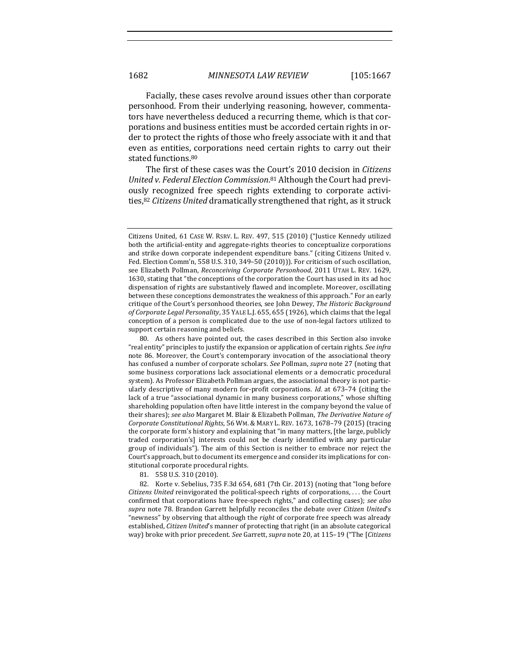Facially, these cases revolve around issues other than corporate personhood. From their underlying reasoning, however, commentators have nevertheless deduced a recurring theme, which is that corporations and business entities must be accorded certain rights in order to protect the rights of those who freely associate with it and that even as entities, corporations need certain rights to carry out their stated functions.<sup>80</sup>

The first of these cases was the Court's 2010 decision in *Citizens* United v. Federal Election Commission.<sup>81</sup> Although the Court had previously recognized free speech rights extending to corporate activities,<sup>82</sup> *Citizens United* dramatically strengthened that right, as it struck

Citizens United, 61 CASE W. RSRV. L. REV. 497, 515 (2010) ("Justice Kennedy utilized both the artificial-entity and aggregate-rights theories to conceptualize corporations and strike down corporate independent expenditure bans." (citing Citizens United v. Fed. Election Comm'n, 558 U.S. 310, 349-50 (2010))). For criticism of such oscillation, see Elizabeth Pollman, *Reconceiving Corporate Personhood*, 2011 UTAH L. REV. 1629, 1630, stating that "the conceptions of the corporation the Court has used in its ad hoc dispensation of rights are substantively flawed and incomplete. Moreover, oscillating between these conceptions demonstrates the weakness of this approach." For an early critique of the Court's personhood theories, see John Dewey, *The Historic Background* of Corporate Legal Personality, 35 YALE L.J. 655, 655 (1926), which claims that the legal conception of a person is complicated due to the use of non-legal factors utilized to support certain reasoning and beliefs.

<sup>80.</sup> As others have pointed out, the cases described in this Section also invoke "real entity" principles to justify the expansion or application of certain rights. See infra note 86. Moreover, the Court's contemporary invocation of the associational theory has confused a number of corporate scholars. *See* Pollman, *supra* note 27 (noting that some business corporations lack associational elements or a democratic procedural system). As Professor Elizabeth Pollman argues, the associational theory is not particularly descriptive of many modern for-profit corporations. *Id.* at 673–74 (citing the lack of a true "associational dynamic in many business corporations," whose shifting shareholding population often have little interest in the company beyond the value of their shares); see also Margaret M. Blair & Elizabeth Pollman, The Derivative Nature of *Corporate Constitutional Rights*, 56 WM. & MARY L. REV. 1673, 1678–79 (2015) (tracing the corporate form's history and explaining that "in many matters, [the large, publicly traded corporation's] interests could not be clearly identified with any particular group of individuals"). The aim of this Section is neither to embrace nor reject the Court's approach, but to document its emergence and consider its implications for constitutional corporate procedural rights.

<sup>81. 558</sup> U.S. 310 (2010).

<sup>82.</sup> Korte v. Sebelius, 735 F.3d 654, 681 (7th Cir. 2013) (noting that "long before *Citizens United* reinvigorated the political-speech rights of corporations, ... the Court confirmed that corporations have free-speech rights," and collecting cases); *see also* supra note 78. Brandon Garrett helpfully reconciles the debate over *Citizen United's* "newness" by observing that although the right of corporate free speech was already established, *Citizen United's* manner of protecting that right (in an absolute categorical way) broke with prior precedent. See Garrett, *supra* note 20, at 115-19 ("The [Citizens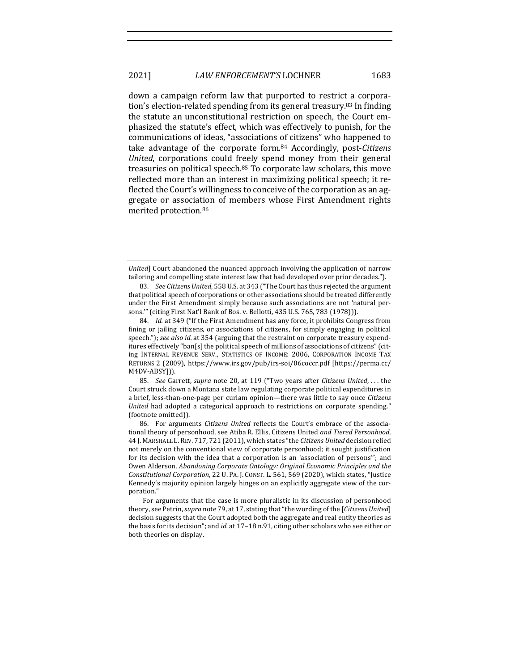down a campaign reform law that purported to restrict a corporation's election-related spending from its general treasury.<sup>83</sup> In finding the statute an unconstitutional restriction on speech, the Court emphasized the statute's effect, which was effectively to punish, for the communications of ideas, "associations of citizens" who happened to take advantage of the corporate form.<sup>84</sup> Accordingly, post-*Citizens United*, corporations could freely spend money from their general treasuries on political speech.<sup>85</sup> To corporate law scholars, this move reflected more than an interest in maximizing political speech; it reflected the Court's willingness to conceive of the corporation as an aggregate or association of members whose First Amendment rights merited protection.<sup>86</sup>

85. *See* Garrett, *supra* note 20, at 119 ("Two years after *Citizens United*, ... the Court struck down a Montana state law regulating corporate political expenditures in a brief, less-than-one-page per curiam opinion—there was little to say once *Citizens United* had adopted a categorical approach to restrictions on corporate spending." (footnote omitted)).

86. For arguments *Citizens United* reflects the Court's embrace of the associational theory of personhood, see Atiba R. Ellis, Citizens United *and Tiered Personhood*, 44 J. MARSHALL L.REV. 717, 721 (2011), which states "the *Citizens United* decision relied not merely on the conventional view of corporate personhood; it sought justification for its decision with the idea that a corporation is an 'association of persons'"; and Owen Alderson, Abandoning Corporate Ontology: Original Economic Principles and the *Constitutional Corporation,* 22 U. PA. J. CONST. L. 561, 569 (2020), which states, "Justice Kennedy's majority opinion largely hinges on an explicitly aggregate view of the corporation."

For arguments that the case is more pluralistic in its discussion of personhood theory, see Petrin, *supra* note 79, at 17, stating that "the wording of the [*Citizens United*] decision suggests that the Court adopted both the aggregate and real entity theories as the basis for its decision"; and *id.* at 17-18 n.91, citing other scholars who see either or both theories on display.

*United* Court abandoned the nuanced approach involving the application of narrow tailoring and compelling state interest law that had developed over prior decades.").

<sup>83.</sup> *See Citizens United*, 558 U.S. at 343 ("The Court has thus rejected the argument that political speech of corporations or other associations should be treated differently under the First Amendment simply because such associations are not 'natural persons."" (citing First Nat'l Bank of Bos. v. Bellotti, 435 U.S. 765, 783 (1978))).

<sup>84.</sup> *Id.* at 349 ("If the First Amendment has any force, it prohibits Congress from fining or jailing citizens, or associations of citizens, for simply engaging in political speech."); *see also id.* at 354 (arguing that the restraint on corporate treasury expenditures effectively "ban[s] the political speech of millions of associations of citizens" (citing INTERNAL REVENUE SERV., STATISTICS OF INCOME: 2006, CORPORATION INCOME TAX RETURNS 2 (2009), https://www.irs.gov/pub/irs-soi/06coccr.pdf [https://perma.cc/ M4DV-ABSY])).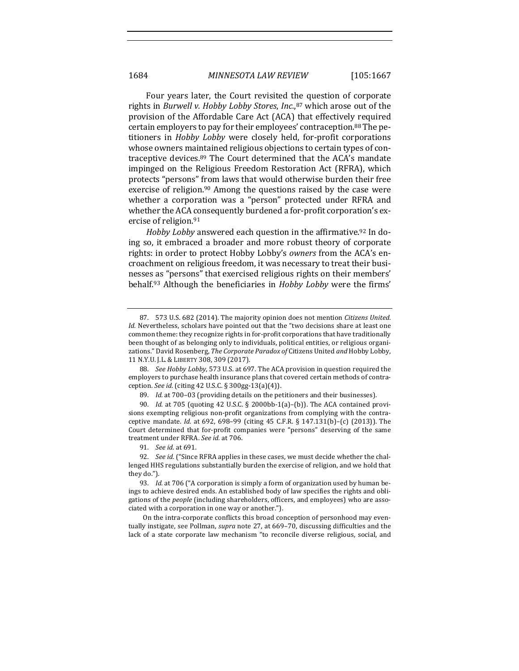Four years later, the Court revisited the question of corporate rights in *Burwell v. Hobby Lobby Stores, Inc.,*<sup>87</sup> which arose out of the provision of the Affordable Care Act (ACA) that effectively required certain employers to pay for their employees' contraception.<sup>88</sup> The petitioners in *Hobby Lobby* were closely held, for-profit corporations whose owners maintained religious objections to certain types of contraceptive devices.<sup>89</sup> The Court determined that the ACA's mandate impinged on the Religious Freedom Restoration Act (RFRA), which protects "persons" from laws that would otherwise burden their free exercise of religion.<sup>90</sup> Among the questions raised by the case were whether a corporation was a "person" protected under RFRA and whether the ACA consequently burdened a for-profit corporation's exercise of religion.<sup>91</sup>

*Hobby Lobby* answered each question in the affirmative.<sup>92</sup> In doing so, it embraced a broader and more robust theory of corporate rights: in order to protect Hobby Lobby's *owners* from the ACA's encroachment on religious freedom, it was necessary to treat their businesses as "persons" that exercised religious rights on their members' behalf.<sup>93</sup> Although the beneficiaries in *Hobby Lobby* were the firms'

89. Id. at 700-03 (providing details on the petitioners and their businesses).

90. *Id.* at 705 (quoting 42 U.S.C. § 2000bb-1(a)-(b)). The ACA contained provisions exempting religious non-profit organizations from complying with the contraceptive mandate. *Id.* at 692, 698-99 (citing 45 C.F.R. § 147.131(b)-(c) (2013)). The Court determined that for-profit companies were "persons" deserving of the same treatment under RFRA. See id. at 706.

91. *See id.* at 691.

On the intra-corporate conflicts this broad conception of personhood may eventually instigate, see Pollman, *supra* note 27, at 669–70, discussing difficulties and the lack of a state corporate law mechanism "to reconcile diverse religious, social, and

<sup>87. 573</sup> U.S. 682 (2014). The majority opinion does not mention *Citizens United*. *Id.* Nevertheless, scholars have pointed out that the "two decisions share at least one common theme: they recognize rights in for-profit corporations that have traditionally been thought of as belonging only to individuals, political entities, or religious organizations." David Rosenberg, *The Corporate Paradox of* Citizens United *and* Hobby Lobby, 11 N.Y.U. J.L. & LIBERTY 308, 309 (2017).

<sup>88.</sup> *See Hobby Lobby*, 573 U.S. at 697. The ACA provision in question required the employers to purchase health insurance plans that covered certain methods of contraception. *See id.* (citing 42 U.S.C. § 300gg-13(a)(4)).

<sup>92.</sup> *See id.* ("Since RFRA applies in these cases, we must decide whether the challenged HHS regulations substantially burden the exercise of religion, and we hold that they do.").

<sup>93.</sup> *Id.* at 706 ("A corporation is simply a form of organization used by human beings to achieve desired ends. An established body of law specifies the rights and obligations of the *people* (including shareholders, officers, and employees) who are associated with a corporation in one way or another.").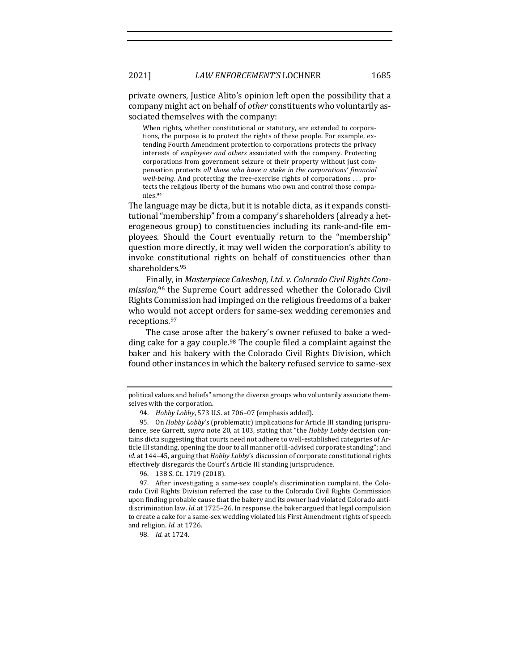private owners, Justice Alito's opinion left open the possibility that a company might act on behalf of *other* constituents who voluntarily associated themselves with the company:

When rights, whether constitutional or statutory, are extended to corporations, the purpose is to protect the rights of these people. For example, extending Fourth Amendment protection to corporations protects the privacy interests of *employees and others* associated with the company. Protecting corporations from government seizure of their property without just compensation protects all those who have a stake in the corporations' financial *well-being*. And protecting the free-exercise rights of corporations ... protects the religious liberty of the humans who own and control those companies.94

The language may be dicta, but it is notable dicta, as it expands constitutional "membership" from a company's shareholders (already a heterogeneous group) to constituencies including its rank-and-file employees. Should the Court eventually return to the "membership" question more directly, it may well widen the corporation's ability to invoke constitutional rights on behalf of constituencies other than shareholders.95

Finally, in *Masterpiece Cakeshop, Ltd. v. Colorado Civil Rights Com*mission,<sup>96</sup> the Supreme Court addressed whether the Colorado Civil Rights Commission had impinged on the religious freedoms of a baker who would not accept orders for same-sex wedding ceremonies and receptions. 97

The case arose after the bakery's owner refused to bake a wedding cake for a gay couple.<sup>98</sup> The couple filed a complaint against the baker and his bakery with the Colorado Civil Rights Division, which found other instances in which the bakery refused service to same-sex

political values and beliefs" among the diverse groups who voluntarily associate themselves with the corporation.

<sup>94.</sup> *Hobby Lobby*, 573 U.S. at 706-07 (emphasis added).

<sup>95.</sup> On *Hobby Lobby's* (problematic) implications for Article III standing jurisprudence, see Garrett, *supra* note 20, at 103, stating that "the *Hobby Lobby* decision contains dicta suggesting that courts need not adhere to well-established categories of Article III standing, opening the door to all manner of ill-advised corporate standing"; and *id.* at 144-45, arguing that *Hobby Lobby's* discussion of corporate constitutional rights effectively disregards the Court's Article III standing jurisprudence.

<sup>96. 138</sup> S. Ct. 1719 (2018).

<sup>97.</sup> After investigating a same-sex couple's discrimination complaint, the Colorado Civil Rights Division referred the case to the Colorado Civil Rights Commission upon finding probable cause that the bakery and its owner had violated Colorado antidiscrimination law. *Id.* at 1725-26. In response, the baker argued that legal compulsion to create a cake for a same-sex wedding violated his First Amendment rights of speech and religion. *Id.* at 1726.

<sup>98.</sup> *Id.* at 1724.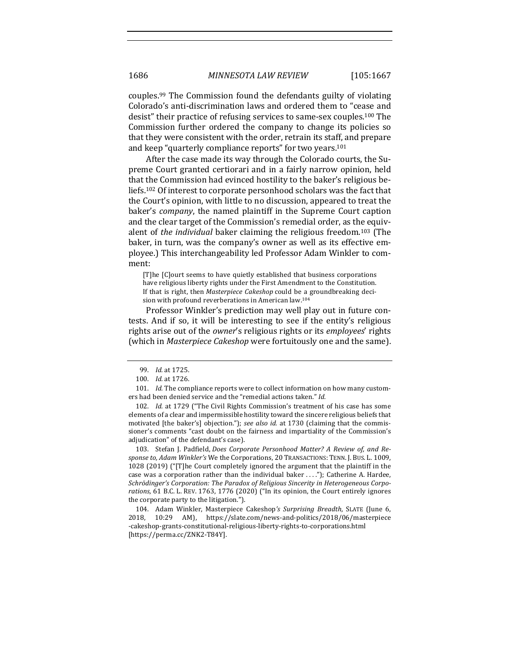couples.<sup>99</sup> The Commission found the defendants guilty of violating Colorado's anti-discrimination laws and ordered them to "cease and desist" their practice of refusing services to same-sex couples.<sup>100</sup> The Commission further ordered the company to change its policies so that they were consistent with the order, retrain its staff, and prepare and keep "quarterly compliance reports" for two years.<sup>101</sup>

After the case made its way through the Colorado courts, the Supreme Court granted certiorari and in a fairly narrow opinion, held that the Commission had evinced hostility to the baker's religious beliefs.<sup>102</sup> Of interest to corporate personhood scholars was the fact that the Court's opinion, with little to no discussion, appeared to treat the baker's *company*, the named plaintiff in the Supreme Court caption and the clear target of the Commission's remedial order, as the equivalent of *the individual* baker claiming the religious freedom.<sup>103</sup> (The baker, in turn, was the company's owner as well as its effective employee.) This interchangeability led Professor Adam Winkler to comment:

[T]he [C]ourt seems to have quietly established that business corporations have religious liberty rights under the First Amendment to the Constitution. If that is right, then *Masterpiece Cakeshop* could be a groundbreaking decision with profound reverberations in American law.<sup>104</sup>

Professor Winkler's prediction may well play out in future contests. And if so, it will be interesting to see if the entity's religious rights arise out of the *owner's* religious rights or its *employees'* rights (which in *Masterpiece Cakeshop* were fortuitously one and the same).

103. Stefan J. Padfield, *Does Corporate Personhood Matter? A Review of, and Response to, Adam Winkler's* We the Corporations, 20 TRANSACTIONS: TENN. J. BUS. L. 1009, 1028 (2019) ("[T]he Court completely ignored the argument that the plaintiff in the case was a corporation rather than the individual baker ...."); Catherine A. Hardee, Schrödinger's Corporation: The Paradox of Religious Sincerity in Heterogeneous Corpo*rations*, 61 B.C. L. REV. 1763, 1776 (2020) ("In its opinion, the Court entirely ignores the corporate party to the litigation.").

104. Adam Winkler, Masterpiece Cakeshop's *Surprising Breadth*, SLATE (June 6, 2018, 10:29 AM), https://slate.com/news-and-politics/2018/06/masterpiece -cakeshop-grants-constitutional-religious-liberty-rights-to-corporations.html [https://perma.cc/ZNK2-T84Y].

<sup>99.</sup> *Id.* at 1725. 

<sup>100.</sup> *Id.* at 1726.

<sup>101.</sup> *Id.* The compliance reports were to collect information on how many customers had been denied service and the "remedial actions taken." Id.

<sup>102.</sup> *Id.* at 1729 ("The Civil Rights Commission's treatment of his case has some elements of a clear and impermissible hostility toward the sincere religious beliefs that motivated [the baker's] objection."); see also id. at 1730 (claiming that the commissioner's comments "cast doubt on the fairness and impartiality of the Commission's adjudication" of the defendant's case).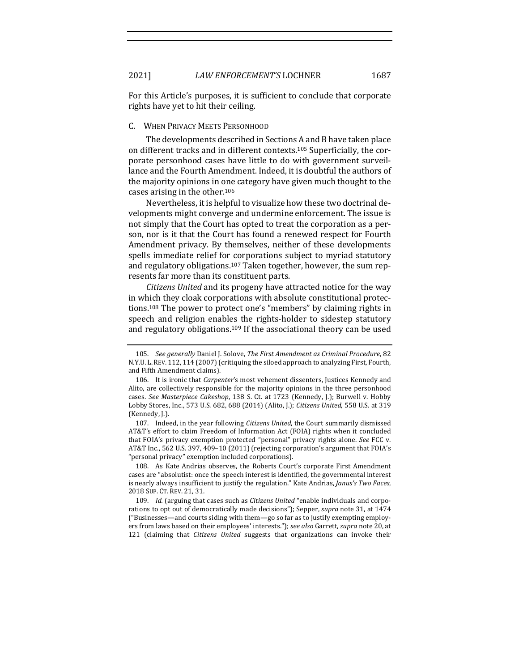For this Article's purposes, it is sufficient to conclude that corporate rights have yet to hit their ceiling.

#### C. WHEN PRIVACY MEETS PERSONHOOD

The developments described in Sections A and B have taken place on different tracks and in different contexts.<sup>105</sup> Superficially, the corporate personhood cases have little to do with government surveillance and the Fourth Amendment. Indeed, it is doubtful the authors of the majority opinions in one category have given much thought to the cases arising in the other.<sup>106</sup>

Nevertheless, it is helpful to visualize how these two doctrinal developments might converge and undermine enforcement. The issue is not simply that the Court has opted to treat the corporation as a person, nor is it that the Court has found a renewed respect for Fourth Amendment privacy. By themselves, neither of these developments spells immediate relief for corporations subject to myriad statutory and regulatory obligations.<sup>107</sup> Taken together, however, the sum represents far more than its constituent parts.

*Citizens United* and its progeny have attracted notice for the way in which they cloak corporations with absolute constitutional protections.<sup>108</sup> The power to protect one's "members" by claiming rights in speech and religion enables the rights-holder to sidestep statutory and regulatory obligations.<sup>109</sup> If the associational theory can be used

107. Indeed, in the year following *Citizens United*, the Court summarily dismissed AT&T's effort to claim Freedom of Information Act (FOIA) rights when it concluded that FOIA's privacy exemption protected "personal" privacy rights alone. See FCC v. AT&T Inc., 562 U.S. 397, 409-10 (2011) (rejecting corporation's argument that FOIA's "personal privacy" exemption included corporations). 

108. As Kate Andrias observes, the Roberts Court's corporate First Amendment cases are "absolutist: once the speech interest is identified, the governmental interest is nearly always insufficient to justify the regulation." Kate Andrias, *Janus's Two Faces*, 2018 SUP. CT. REV. 21, 31.

109. *Id.* (arguing that cases such as *Citizens United* "enable individuals and corporations to opt out of democratically made decisions"); Sepper, *supra* note 31, at 1474 ("Businesses-and courts siding with them-go so far as to justify exempting employers from laws based on their employees' interests."); *see also* Garrett, *supra* note 20, at 121 (claiming that *Citizens United* suggests that organizations can invoke their

<sup>105.</sup> *See generally* Daniel J. Solove, *The First Amendment as Criminal Procedure*, 82 N.Y.U. L. REV. 112, 114 (2007) (critiquing the siloed approach to analyzing First, Fourth, and Fifth Amendment claims).

<sup>106.</sup> It is ironic that *Carpenter's* most vehement dissenters, Justices Kennedy and Alito, are collectively responsible for the majority opinions in the three personhood cases. See Masterpiece Cakeshop, 138 S. Ct. at 1723 (Kennedy, J.); Burwell v. Hobby Lobby Stores, Inc., 573 U.S. 682, 688 (2014) (Alito, J.); *Citizens United*, 558 U.S. at 319 (Kennedy, J.).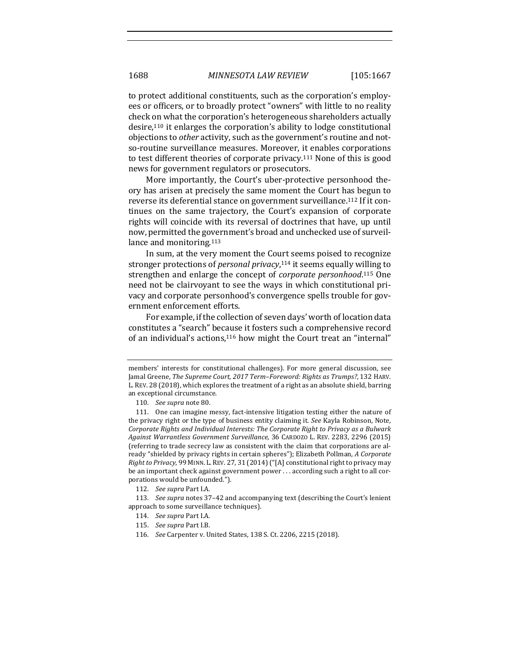to protect additional constituents, such as the corporation's employees or officers, or to broadly protect "owners" with little to no reality check on what the corporation's heterogeneous shareholders actually desire,<sup>110</sup> it enlarges the corporation's ability to lodge constitutional objections to *other* activity, such as the government's routine and notso-routine surveillance measures. Moreover, it enables corporations to test different theories of corporate privacy.<sup>111</sup> None of this is good news for government regulators or prosecutors.

More importantly, the Court's uber-protective personhood theory has arisen at precisely the same moment the Court has begun to reverse its deferential stance on government surveillance.<sup>112</sup> If it continues on the same trajectory, the Court's expansion of corporate rights will coincide with its reversal of doctrines that have, up until now, permitted the government's broad and unchecked use of surveillance and monitoring.<sup>113</sup>

In sum, at the very moment the Court seems poised to recognize stronger protections of *personal privacy*,<sup>114</sup> it seems equally willing to strengthen and enlarge the concept of *corporate personhood*.<sup>115</sup> One need not be clairvoyant to see the ways in which constitutional privacy and corporate personhood's convergence spells trouble for government enforcement efforts.

For example, if the collection of seven days' worth of location data constitutes a "search" because it fosters such a comprehensive record of an individual's actions,<sup>116</sup> how might the Court treat an "internal"

members' interests for constitutional challenges). For more general discussion, see Jamal Greene, *The Supreme Court, 2017 Term-Foreword: Rights as Trumps?*, 132 HARV. L. REV. 28 (2018), which explores the treatment of a right as an absolute shield, barring an exceptional circumstance.

<sup>110.</sup> See supra note 80.

<sup>111.</sup> One can imagine messy, fact-intensive litigation testing either the nature of the privacy right or the type of business entity claiming it. See Kayla Robinson, Note, Corporate Rights and Individual Interests: The Corporate Right to Privacy as a Bulwark *Against Warrantless Government Surveillance*, 36 CARDOZO L. REV. 2283, 2296 (2015) (referring to trade secrecy law as consistent with the claim that corporations are already "shielded by privacy rights in certain spheres"); Elizabeth Pollman, *A Corporate Right to Privacy*, 99 MINN. L. REV. 27, 31 (2014) ("[A] constitutional right to privacy may be an important check against government power ... according such a right to all corporations would be unfounded.").

<sup>112.</sup> *See supra* Part I.A.

<sup>113.</sup> See supra notes 37-42 and accompanying text (describing the Court's lenient approach to some surveillance techniques).

<sup>114.</sup> *See supra* Part I.A.

<sup>115.</sup> *See supra* Part I.B.

<sup>116.</sup> *See* Carpenter v. United States, 138 S. Ct. 2206, 2215 (2018).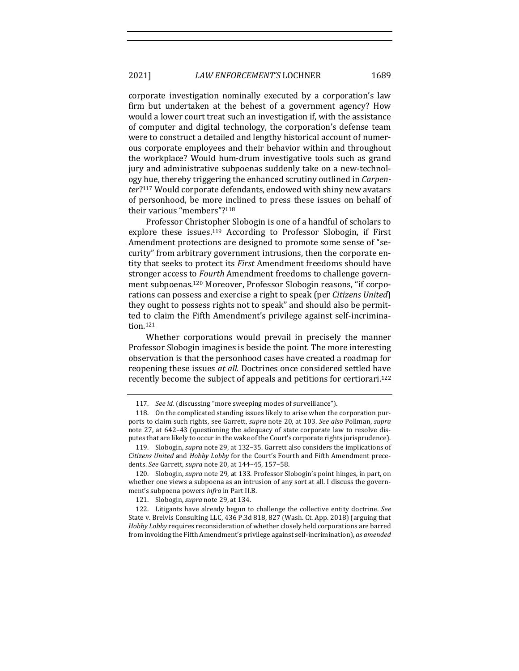2021] *LAW ENFORCEMENT'S* LOCHNER 1689

corporate investigation nominally executed by a corporation's law firm but undertaken at the behest of a government agency? How would a lower court treat such an investigation if, with the assistance of computer and digital technology, the corporation's defense team were to construct a detailed and lengthy historical account of numerous corporate employees and their behavior within and throughout the workplace? Would hum-drum investigative tools such as grand jury and administrative subpoenas suddenly take on a new-technology hue, thereby triggering the enhanced scrutiny outlined in *Carpenter*?<sup>117</sup> Would corporate defendants, endowed with shiny new avatars of personhood, be more inclined to press these issues on behalf of their various "members"?<sup>118</sup>

Professor Christopher Slobogin is one of a handful of scholars to explore these issues.<sup>119</sup> According to Professor Slobogin, if First Amendment protections are designed to promote some sense of "security" from arbitrary government intrusions, then the corporate entity that seeks to protect its *First* Amendment freedoms should have stronger access to *Fourth* Amendment freedoms to challenge government subpoenas.<sup>120</sup> Moreover, Professor Slobogin reasons, "if corporations can possess and exercise a right to speak (per *Citizens United*) they ought to possess rights not to speak" and should also be permitted to claim the Fifth Amendment's privilege against self-incrimination.121

Whether corporations would prevail in precisely the manner Professor Slobogin imagines is beside the point. The more interesting observation is that the personhood cases have created a roadmap for reopening these issues *at all*. Doctrines once considered settled have recently become the subject of appeals and petitions for certiorari.<sup>122</sup>

<sup>117.</sup> *See id.* (discussing "more sweeping modes of surveillance").

<sup>118.</sup> On the complicated standing issues likely to arise when the corporation purports to claim such rights, see Garrett, *supra* note 20, at 103. See also Pollman, supra note 27, at 642-43 (questioning the adequacy of state corporate law to resolve disputes that are likely to occur in the wake of the Court's corporate rights jurisprudence).

<sup>119.</sup> Slobogin, *supra* note 29, at 132-35. Garrett also considers the implications of *Citizens United* and *Hobby Lobby* for the Court's Fourth and Fifth Amendment precedents. See Garrett, *supra* note 20, at 144-45, 157-58.

<sup>120.</sup> Slobogin, *supra* note 29, at 133. Professor Slobogin's point hinges, in part, on whether one views a subpoena as an intrusion of any sort at all. I discuss the government's subpoena powers *infra* in Part II.B.

<sup>121.</sup> Slobogin, *supra* note 29, at 134.

<sup>122.</sup> Litigants have already begun to challenge the collective entity doctrine. See State v. Brelvis Consulting LLC, 436 P.3d 818, 827 (Wash. Ct. App. 2018) (arguing that *Hobby Lobby* requires reconsideration of whether closely held corporations are barred from invoking the Fifth Amendment's privilege against self-incrimination), *as amended*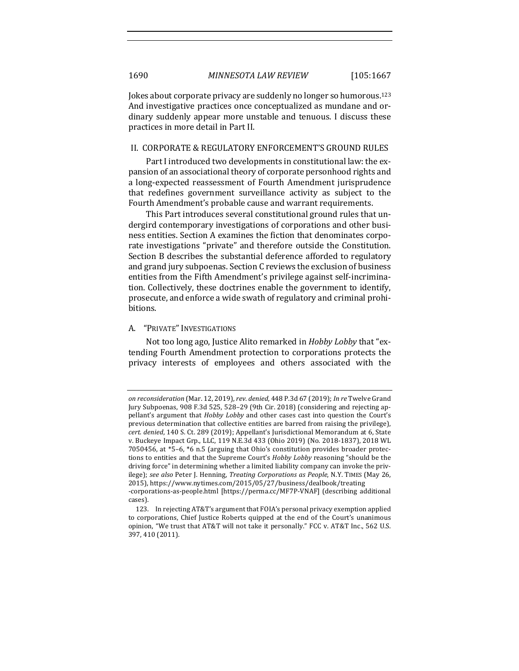Jokes about corporate privacy are suddenly no longer so humorous.<sup>123</sup> And investigative practices once conceptualized as mundane and ordinary suddenly appear more unstable and tenuous. I discuss these practices in more detail in Part II.

#### II. CORPORATE & REGULATORY ENFORCEMENT'S GROUND RULES

Part I introduced two developments in constitutional law: the expansion of an associational theory of corporate personhood rights and a long-expected reassessment of Fourth Amendment jurisprudence that redefines government surveillance activity as subject to the Fourth Amendment's probable cause and warrant requirements.

This Part introduces several constitutional ground rules that undergird contemporary investigations of corporations and other business entities. Section A examines the fiction that denominates corporate investigations "private" and therefore outside the Constitution. Section B describes the substantial deference afforded to regulatory and grand jury subpoenas. Section C reviews the exclusion of business entities from the Fifth Amendment's privilege against self-incrimination. Collectively, these doctrines enable the government to identify, prosecute, and enforce a wide swath of regulatory and criminal prohibitions. 

### A. "PRIVATE" INVESTIGATIONS

Not too long ago, Justice Alito remarked in *Hobby Lobby* that "extending Fourth Amendment protection to corporations protects the privacy interests of employees and others associated with the

*on reconsideration* (Mar. 12, 2019), *rev. denied*, 448 P.3d 67 (2019); *In re* Twelve Grand Jury Subpoenas, 908 F.3d 525, 528–29 (9th Cir. 2018) (considering and rejecting appellant's argument that *Hobby Lobby* and other cases cast into question the Court's previous determination that collective entities are barred from raising the privilege), *cert. denied*, 140 S. Ct. 289 (2019); Appellant's Jurisdictional Memorandum at 6, State v. Buckeye Impact Grp., LLC, 119 N.E.3d 433 (Ohio 2019) (No. 2018-1837), 2018 WL 7050456, at  $*5-6$ ,  $*6$  n.5 (arguing that Ohio's constitution provides broader protections to entities and that the Supreme Court's *Hobby Lobby* reasoning "should be the driving force" in determining whether a limited liability company can invoke the privilege); see also Peter J. Henning, *Treating Corporations as People*, N.Y. TIMES (May 26, 2015), https://www.nytimes.com/2015/05/27/business/dealbook/treating

<sup>-</sup>corporations-as-people.html [https://perma.cc/MF7P-VNAF] (describing additional cases). 

<sup>123.</sup> In rejecting AT&T's argument that FOIA's personal privacy exemption applied to corporations, Chief Justice Roberts quipped at the end of the Court's unanimous opinion, "We trust that AT&T will not take it personally." FCC v. AT&T Inc., 562 U.S. 397, 410 (2011).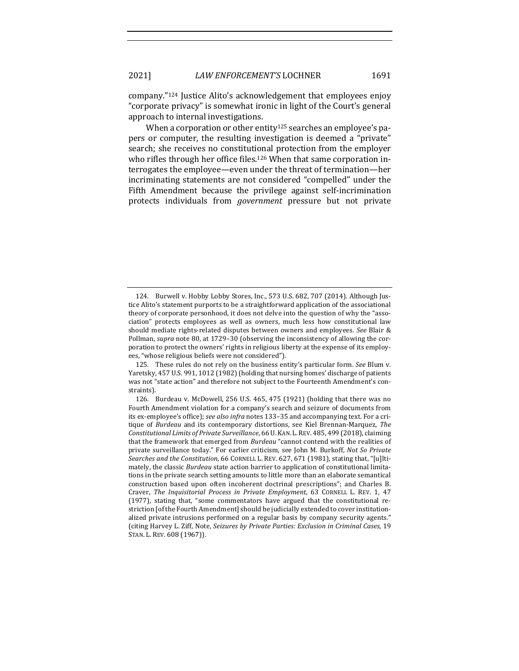company."<sup>124</sup> Justice Alito's acknowledgement that employees enjoy "corporate privacy" is somewhat ironic in light of the Court's general approach to internal investigations.

When a corporation or other entity<sup>125</sup> searches an employee's papers or computer, the resulting investigation is deemed a "private" search; she receives no constitutional protection from the employer who rifles through her office files.<sup>126</sup> When that same corporation interrogates the employee—even under the threat of termination—her incriminating statements are not considered "compelled" under the Fifth Amendment because the privilege against self-incrimination protects individuals from *government* pressure but not private

<sup>124.</sup> Burwell v. Hobby Lobby Stores, Inc., 573 U.S. 682, 707 (2014). Although Justice Alito's statement purports to be a straightforward application of the associational theory of corporate personhood, it does not delve into the question of why the "association" protects employees as well as owners, much less how constitutional law should mediate rights-related disputes between owners and employees. See Blair & Pollman, *supra* note 80, at 1729-30 (observing the inconsistency of allowing the corporation to protect the owners' rights in religious liberty at the expense of its employees, "whose religious beliefs were not considered").

<sup>125.</sup> These rules do not rely on the business entity's particular form. See Blum v. Yaretsky, 457 U.S. 991, 1012 (1982) (holding that nursing homes' discharge of patients was not "state action" and therefore not subject to the Fourteenth Amendment's constraints).

<sup>126.</sup> Burdeau v. McDowell, 256 U.S. 465, 475 (1921) (holding that there was no Fourth Amendment violation for a company's search and seizure of documents from its ex-employee's office); *see also infra* notes 133-35 and accompanying text. For a critique of *Burdeau* and its contemporary distortions, see Kiel Brennan-Marquez, The Constitutional Limits of Private Surveillance, 66 U. KAN. L. REV. 485, 499 (2018), claiming that the framework that emerged from *Burdeau* "cannot contend with the realities of private surveillance today." For earlier criticism, see John M. Burkoff, *Not So Private Searches and the Constitution*, 66 CORNELL L. REV. 627, 671 (1981), stating that, "[u]ltimately, the classic *Burdeau* state action barrier to application of constitutional limitations in the private search setting amounts to little more than an elaborate semantical construction based upon often incoherent doctrinal prescriptions"; and Charles B. Craver, *The Inquisitorial Process in Private Employment*, 63 CORNELL L. REV. 1, 47  $(1977)$ , stating that, "some commentators have argued that the constitutional restriction [of the Fourth Amendment] should be judicially extended to cover institutionalized private intrusions performed on a regular basis by company security agents." (citing Harvey L. Ziff, Note, *Seizures by Private Parties: Exclusion in Criminal Cases*, 19 STAN. L. REV. 608 (1967)).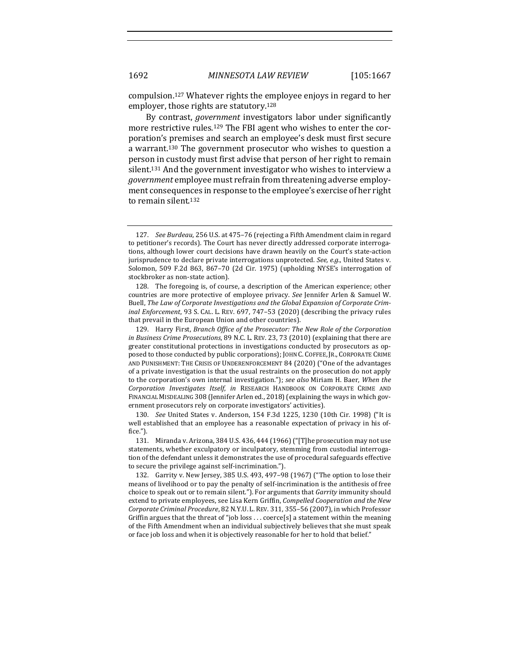compulsion.<sup>127</sup> Whatever rights the employee enjoys in regard to her employer, those rights are statutory.<sup>128</sup>

By contrast, *government* investigators labor under significantly more restrictive rules.<sup>129</sup> The FBI agent who wishes to enter the corporation's premises and search an employee's desk must first secure a warrant.<sup>130</sup> The government prosecutor who wishes to question a person in custody must first advise that person of her right to remain silent.<sup>131</sup> And the government investigator who wishes to interview a *government* employee must refrain from threatening adverse employment consequences in response to the employee's exercise of her right to remain silent.<sup>132</sup>

130. *See* United States v. Anderson, 154 F.3d 1225, 1230 (10th Cir. 1998) ("It is well established that an employee has a reasonable expectation of privacy in his office."). 

<sup>127.</sup> *See Burdeau*, 256 U.S. at 475–76 (rejecting a Fifth Amendment claim in regard to petitioner's records). The Court has never directly addressed corporate interrogations, although lower court decisions have drawn heavily on the Court's state-action jurisprudence to declare private interrogations unprotected. See, e.g., United States v. Solomon, 509 F.2d 863, 867-70 (2d Cir. 1975) (upholding NYSE's interrogation of stockbroker as non-state action).

<sup>128.</sup> The foregoing is, of course, a description of the American experience; other countries are more protective of employee privacy. See Jennifer Arlen & Samuel W. Buell, *The Law of Corporate Investigations and the Global Expansion of Corporate Criminal Enforcement*, 93 S. CAL. L. REV. 697, 747-53 (2020) (describing the privacy rules that prevail in the European Union and other countries).

<sup>129.</sup> Harry First, *Branch Office of the Prosecutor: The New Role of the Corporation in Business Crime Prosecutions*, 89 N.C. L. REV. 23, 73 (2010) (explaining that there are greater constitutional protections in investigations conducted by prosecutors as opposed to those conducted by public corporations); JOHN C. COFFEE, JR., CORPORATE CRIME AND PUNISHMENT: THE CRISIS OF UNDERENFORCEMENT 84 (2020) ("One of the advantages of a private investigation is that the usual restraints on the prosecution do not apply to the corporation's own internal investigation."); see also Miriam H. Baer, When the *Corporation Investigates Itself, in* RESEARCH HANDBOOK ON CORPORATE CRIME AND FINANCIAL MISDEALING 308 (Jennifer Arlen ed., 2018) (explaining the ways in which government prosecutors rely on corporate investigators' activities).

<sup>131.</sup> Miranda v. Arizona, 384 U.S. 436, 444 (1966) ("[T]he prosecution may not use statements, whether exculpatory or inculpatory, stemming from custodial interrogation of the defendant unless it demonstrates the use of procedural safeguards effective to secure the privilege against self-incrimination.").

<sup>132.</sup> Garrity v. New Jersey, 385 U.S. 493, 497-98 (1967) ("The option to lose their means of livelihood or to pay the penalty of self-incrimination is the antithesis of free choice to speak out or to remain silent."). For arguments that *Garrity* immunity should extend to private employees, see Lisa Kern Griffin, *Compelled Cooperation and the New Corporate Criminal Procedure,* 82 N.Y.U. L. REV. 311, 355–56 (2007), in which Professor Griffin argues that the threat of "job loss . . . coerce[s] a statement within the meaning of the Fifth Amendment when an individual subjectively believes that she must speak or face job loss and when it is objectively reasonable for her to hold that belief."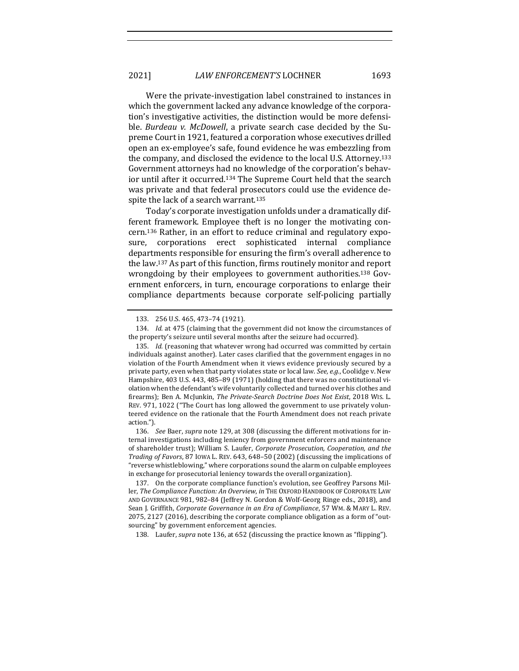Were the private-investigation label constrained to instances in which the government lacked any advance knowledge of the corporation's investigative activities, the distinction would be more defensible. *Burdeau v. McDowell*, a private search case decided by the Supreme Court in 1921, featured a corporation whose executives drilled open an ex-employee's safe, found evidence he was embezzling from the company, and disclosed the evidence to the local U.S. Attorney.<sup>133</sup> Government attorneys had no knowledge of the corporation's behavior until after it occurred.<sup>134</sup> The Supreme Court held that the search was private and that federal prosecutors could use the evidence despite the lack of a search warrant.<sup>135</sup>

Today's corporate investigation unfolds under a dramatically different framework. Employee theft is no longer the motivating concern.<sup>136</sup> Rather, in an effort to reduce criminal and regulatory exposure, corporations erect sophisticated internal compliance departments responsible for ensuring the firm's overall adherence to the law.<sup>137</sup> As part of this function, firms routinely monitor and report wrongdoing by their employees to government authorities.<sup>138</sup> Government enforcers, in turn, encourage corporations to enlarge their compliance departments because corporate self-policing partially 

136. *See* Baer, *supra* note 129, at 308 (discussing the different motivations for internal investigations including leniency from government enforcers and maintenance of shareholder trust); William S. Laufer, *Corporate Prosecution, Cooperation, and the Trading of Favors*, 87 IOWA L. REV. 643, 648-50 (2002) (discussing the implications of "reverse whistleblowing," where corporations sound the alarm on culpable employees in exchange for prosecutorial leniency towards the overall organization).

138. Laufer, *supra* note 136, at 652 (discussing the practice known as "flipping").

<sup>133. 256</sup> U.S. 465, 473-74 (1921).

<sup>134.</sup> *Id.* at 475 (claiming that the government did not know the circumstances of the property's seizure until several months after the seizure had occurred).

<sup>135.</sup> *Id.* (reasoning that whatever wrong had occurred was committed by certain individuals against another). Later cases clarified that the government engages in no violation of the Fourth Amendment when it views evidence previously secured by a private party, even when that party violates state or local law. See, e.g., Coolidge v. New Hampshire, 403 U.S. 443, 485-89 (1971) (holding that there was no constitutional violation when the defendant's wife voluntarily collected and turned over his clothes and firearms); Ben A. McJunkin, *The Private-Search Doctrine Does Not Exist*, 2018 WIS. L. REV. 971, 1022 ("The Court has long allowed the government to use privately volunteered evidence on the rationale that the Fourth Amendment does not reach private action."). 

<sup>137.</sup> On the corporate compliance function's evolution, see Geoffrey Parsons Miller, *The Compliance Function: An Overview*, *in* THE OXFORD HANDBOOK OF CORPORATE LAW AND GOVERNANCE 981, 982–84 (Jeffrey N. Gordon & Wolf-Georg Ringe eds., 2018), and Sean J. Griffith, Corporate Governance in an Era of Compliance, 57 WM. & MARY L. REV. 2075, 2127 (2016), describing the corporate compliance obligation as a form of "outsourcing" by government enforcement agencies.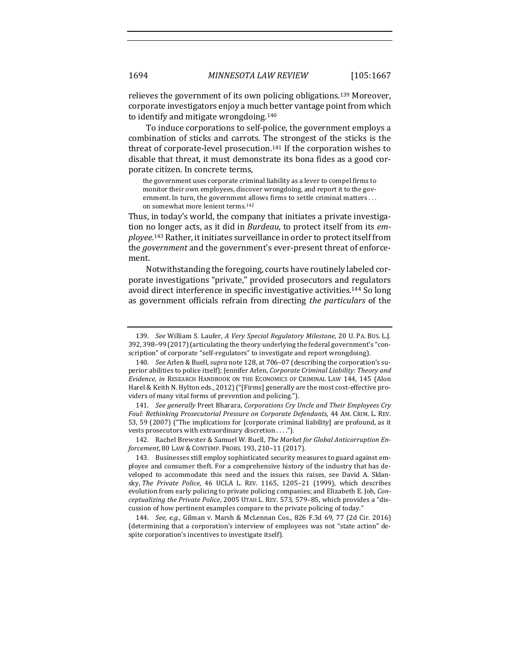relieves the government of its own policing obligations.<sup>139</sup> Moreover, corporate investigators enjoy a much better vantage point from which to identify and mitigate wrongdoing.<sup>140</sup>

To induce corporations to self-police, the government employs a combination of sticks and carrots. The strongest of the sticks is the threat of corporate-level prosecution.<sup>141</sup> If the corporation wishes to disable that threat, it must demonstrate its bona fides as a good corporate citizen. In concrete terms,

the government uses corporate criminal liability as a lever to compel firms to monitor their own employees, discover wrongdoing, and report it to the government. In turn, the government allows firms to settle criminal matters ... on somewhat more lenient terms.<sup>142</sup>

Thus, in today's world, the company that initiates a private investigation no longer acts, as it did in *Burdeau*, to protect itself from its *em*ployee.<sup>143</sup> Rather, it initiates surveillance in order to protect itself from the *government* and the government's ever-present threat of enforcement.

Notwithstanding the foregoing, courts have routinely labeled corporate investigations "private," provided prosecutors and regulators avoid direct interference in specific investigative activities.<sup>144</sup> So long as government officials refrain from directing *the particulars* of the

142. Rachel Brewster & Samuel W. Buell, *The Market for Global Anticorruption Enforcement*, 80 LAW & CONTEMP. PROBS. 193, 210–11 (2017).

143. Businesses still employ sophisticated security measures to guard against employee and consumer theft. For a comprehensive history of the industry that has developed to accommodate this need and the issues this raises, see David A. Sklansky, *The Private Police*, 46 UCLA L. REV. 1165, 1205-21 (1999), which describes evolution from early policing to private policing companies; and Elizabeth E. Joh, *Conceptualizing the Private Police,* 2005 UTAH L. REV. 573, 579–85, which provides a "discussion of how pertinent examples compare to the private policing of today."

<sup>139.</sup> *See* William S. Laufer, A Very Special Regulatory Milestone, 20 U. PA. Bus. L.J. 392, 398-99 (2017) (articulating the theory underlying the federal government's "conscription" of corporate "self-regulators" to investigate and report wrongdoing).

<sup>140.</sup> *See* Arlen & Buell, *supra* note 128, at 706-07 (describing the corporation's superior abilities to police itself); Jennifer Arlen, *Corporate Criminal Liability: Theory and Evidence, in* RESEARCH HANDBOOK ON THE ECONOMICS OF CRIMINAL LAW 144, 145 (Alon Harel & Keith N. Hylton eds., 2012) ("[Firms] generally are the most cost-effective providers of many vital forms of prevention and policing.").

<sup>141.</sup> *See generally* Preet Bharara, *Corporations Cry Uncle and Their Employees Cry* Foul: Rethinking Prosecutorial Pressure on Corporate Defendants, 44 AM. CRIM. L. REV. 53, 59 (2007) ("The implications for [corporate criminal liability] are profound, as it vests prosecutors with extraordinary discretion  $\dots$ .").

<sup>144.</sup> *See, e.g.*, Gilman v. Marsh & McLennan Cos., 826 F.3d 69, 77 (2d Cir. 2016) (determining that a corporation's interview of employees was not "state action" despite corporation's incentives to investigate itself).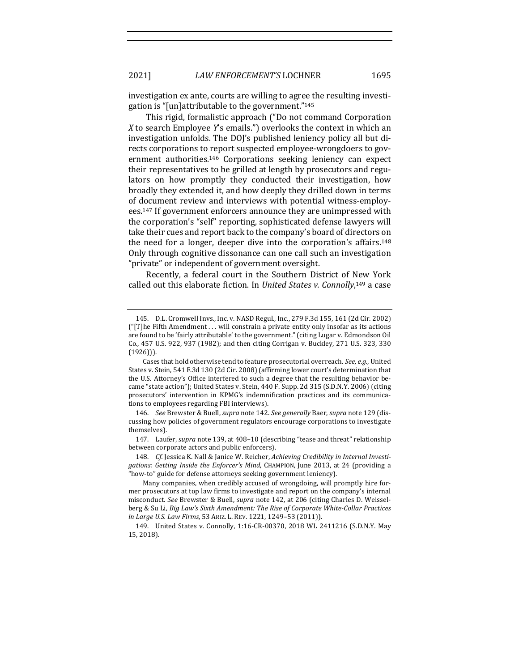investigation ex ante, courts are willing to agree the resulting investigation is "[un]attributable to the government."<sup>145</sup>

This rigid, formalistic approach ("Do not command Corporation X to search Employee Y's emails.") overlooks the context in which an investigation unfolds. The DOJ's published leniency policy all but directs corporations to report suspected employee-wrongdoers to government authorities.<sup>146</sup> Corporations seeking leniency can expect their representatives to be grilled at length by prosecutors and regulators on how promptly they conducted their investigation, how broadly they extended it, and how deeply they drilled down in terms of document review and interviews with potential witness-employees.<sup>147</sup> If government enforcers announce they are unimpressed with the corporation's "self" reporting, sophisticated defense lawyers will take their cues and report back to the company's board of directors on the need for a longer, deeper dive into the corporation's affairs.<sup>148</sup> Only through cognitive dissonance can one call such an investigation "private" or independent of government oversight.

Recently, a federal court in the Southern District of New York called out this elaborate fiction. In *United States v. Connolly*,<sup>149</sup> a case

147. Laufer, *supra* note 139, at 408-10 (describing "tease and threat" relationship between corporate actors and public enforcers).

<sup>145.</sup> D.L. Cromwell Invs., Inc. v. NASD Regul., Inc., 279 F.3d 155, 161 (2d Cir. 2002) ("[T]he Fifth Amendment ... will constrain a private entity only insofar as its actions are found to be 'fairly attributable' to the government." (citing Lugar v. Edmondson Oil Co., 457 U.S. 922, 937 (1982); and then citing Corrigan v. Buckley, 271 U.S. 323, 330  $(1926)$ ).

Cases that hold otherwise tend to feature prosecutorial overreach. See, e.g., United States v. Stein, 541 F.3d 130 (2d Cir. 2008) (affirming lower court's determination that the U.S. Attorney's Office interfered to such a degree that the resulting behavior became "state action"); United States v. Stein, 440 F. Supp. 2d 315 (S.D.N.Y. 2006) (citing prosecutors' intervention in KPMG's indemnification practices and its communications to employees regarding FBI interviews).

<sup>146.</sup> *See Brewster & Buell, supra note 142. See generally Baer, supra note 129 (dis*cussing how policies of government regulators encourage corporations to investigate themselves). 

<sup>148.</sup> Cf. Jessica K. Nall & Janice W. Reicher, *Achieving Credibility in Internal Investi*gations: Getting Inside the Enforcer's Mind, CHAMPION, June 2013, at 24 (providing a "how-to" guide for defense attorneys seeking government leniency).

Many companies, when credibly accused of wrongdoing, will promptly hire former prosecutors at top law firms to investigate and report on the company's internal misconduct. See Brewster & Buell, *supra* note 142, at 206 (citing Charles D. Weisselberg & Su Li, *Big Law's Sixth Amendment: The Rise of Corporate White-Collar Practices in Large U.S. Law Firms*, 53 ARIZ. L. REV. 1221, 1249-53 (2011)).

<sup>149.</sup> United States v. Connolly, 1:16-CR-00370, 2018 WL 2411216 (S.D.N.Y. May 15, 2018).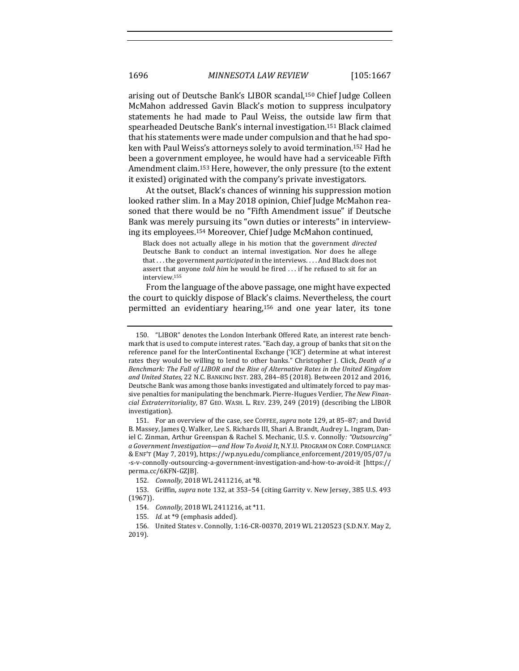arising out of Deutsche Bank's LIBOR scandal,<sup>150</sup> Chief Judge Colleen McMahon addressed Gavin Black's motion to suppress inculpatory statements he had made to Paul Weiss, the outside law firm that spearheaded Deutsche Bank's internal investigation.<sup>151</sup> Black claimed that his statements were made under compulsion and that he had spoken with Paul Weiss's attorneys solely to avoid termination.<sup>152</sup> Had he been a government employee, he would have had a serviceable Fifth Amendment claim.<sup>153</sup> Here, however, the only pressure (to the extent it existed) originated with the company's private investigators.

At the outset, Black's chances of winning his suppression motion looked rather slim. In a May 2018 opinion, Chief Judge McMahon reasoned that there would be no "Fifth Amendment issue" if Deutsche Bank was merely pursuing its "own duties or interests" in interviewing its employees.<sup>154</sup> Moreover, Chief Judge McMahon continued,

Black does not actually allege in his motion that the government *directed* Deutsche Bank to conduct an internal investigation. Nor does he allege that ... the government *participated* in the interviews. ... And Black does not assert that anyone *told him* he would be fired ... if he refused to sit for an interview.155

From the language of the above passage, one might have expected the court to quickly dispose of Black's claims. Nevertheless, the court permitted an evidentiary hearing,<sup>156</sup> and one year later, its tone

<sup>150. &</sup>quot;LIBOR" denotes the London Interbank Offered Rate, an interest rate benchmark that is used to compute interest rates. "Each day, a group of banks that sit on the reference panel for the InterContinental Exchange ('ICE') determine at what interest rates they would be willing to lend to other banks." Christopher J. Click, *Death of a* Benchmark: The Fall of LIBOR and the Rise of Alternative Rates in the United Kingdom and United States, 22 N.C. BANKING INST. 283, 284-85 (2018). Between 2012 and 2016, Deutsche Bank was among those banks investigated and ultimately forced to pay massive penalties for manipulating the benchmark. Pierre-Hugues Verdier, The New Finan*cial Extraterritoriality*, 87 GEO. WASH. L. REV. 239, 249 (2019) (describing the LIBOR investigation). 

<sup>151.</sup> For an overview of the case, see COFFEE, *supra* note 129, at 85-87; and David B. Massey, James Q. Walker, Lee S. Richards III, Shari A. Brandt, Audrey L. Ingram, Daniel C. Zinman, Arthur Greenspan & Rachel S. Mechanic, U.S. v. Connolly: "Outsourcing" *a* Government Investigation—and How To Avoid It, N.Y.U. PROGRAM ON CORP. COMPLIANCE & ENF'T (May 7, 2019), https://wp.nyu.edu/compliance\_enforcement/2019/05/07/u -s-v-connolly-outsourcing-a-government-investigation-and-how-to-avoid-it [https:// perma.cc/6KFN-GZJB].

<sup>152.</sup> *Connolly*, 2018 WL 2411216, at \*8.

<sup>153.</sup> Griffin, *supra* note 132, at 353-54 (citing Garrity v. New Jersey, 385 U.S. 493 (1967)). 

<sup>154.</sup> *Connolly*, 2018 WL 2411216, at \*11.

<sup>155.</sup> *Id.* at \*9 (emphasis added).

<sup>156.</sup> United States v. Connolly, 1:16-CR-00370, 2019 WL 2120523 (S.D.N.Y. May 2, 2019).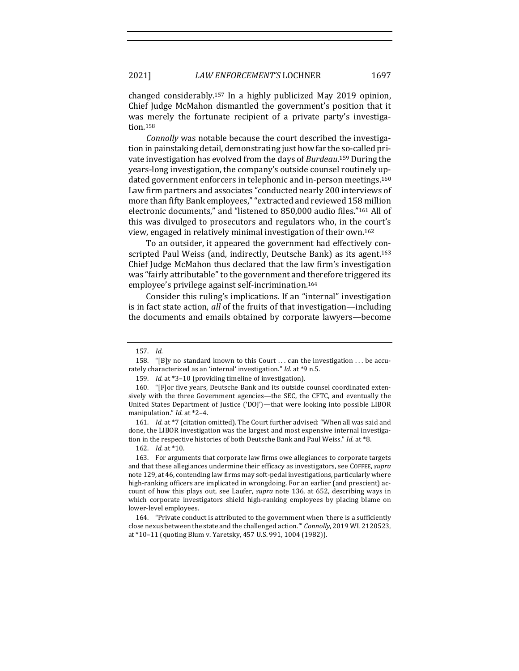changed considerably.<sup>157</sup> In a highly publicized May 2019 opinion, Chief Judge McMahon dismantled the government's position that it was merely the fortunate recipient of a private party's investigation.158

*Connolly* was notable because the court described the investigation in painstaking detail, demonstrating just how far the so-called private investigation has evolved from the days of *Burdeau*.<sup>159</sup> During the years-long investigation, the company's outside counsel routinely updated government enforcers in telephonic and in-person meetings.<sup>160</sup> Law firm partners and associates "conducted nearly 200 interviews of more than fifty Bank employees," "extracted and reviewed 158 million electronic documents," and "listened to 850,000 audio files."<sup>161</sup> All of this was divulged to prosecutors and regulators who, in the court's view, engaged in relatively minimal investigation of their own.<sup>162</sup>

To an outsider, it appeared the government had effectively conscripted Paul Weiss (and, indirectly, Deutsche Bank) as its agent.<sup>163</sup> Chief Judge McMahon thus declared that the law firm's investigation was "fairly attributable" to the government and therefore triggered its employee's privilege against self-incrimination.<sup>164</sup>

Consider this ruling's implications. If an "internal" investigation is in fact state action, all of the fruits of that investigation—including the documents and emails obtained by corporate lawyers—become

<sup>157.</sup> *Id.* 

<sup>158. &</sup>quot;[B]y no standard known to this Court ... can the investigation ... be accurately characterized as an 'internal' investigation." *Id.* at \*9 n.5.

<sup>159.</sup> *Id.* at \*3-10 (providing timeline of investigation).

<sup>160. &</sup>quot;[F]or five years, Deutsche Bank and its outside counsel coordinated extensively with the three Government agencies—the SEC, the CFTC, and eventually the United States Department of Justice ('DOJ')—that were looking into possible LIBOR manipulation." *Id.* at \*2-4.

<sup>161.</sup> *Id.* at \*7 (citation omitted). The Court further advised: "When all was said and done, the LIBOR investigation was the largest and most expensive internal investigation in the respective histories of both Deutsche Bank and Paul Weiss." *Id.* at \*8.

<sup>162.</sup> *Id.* at \*10.

<sup>163.</sup> For arguments that corporate law firms owe allegiances to corporate targets and that these allegiances undermine their efficacy as investigators, see COFFEE, *supra* note 129, at 46, contending law firms may soft-pedal investigations, particularly where high-ranking officers are implicated in wrongdoing. For an earlier (and prescient) account of how this plays out, see Laufer, *supra* note 136, at 652, describing ways in which corporate investigators shield high-ranking employees by placing blame on lower-level employees.

<sup>164. &</sup>quot;Private conduct is attributed to the government when 'there is a sufficiently close nexus between the state and the challenged action." *Connolly*, 2019 WL 2120523, at \*10-11 (quoting Blum v. Yaretsky, 457 U.S. 991, 1004 (1982)).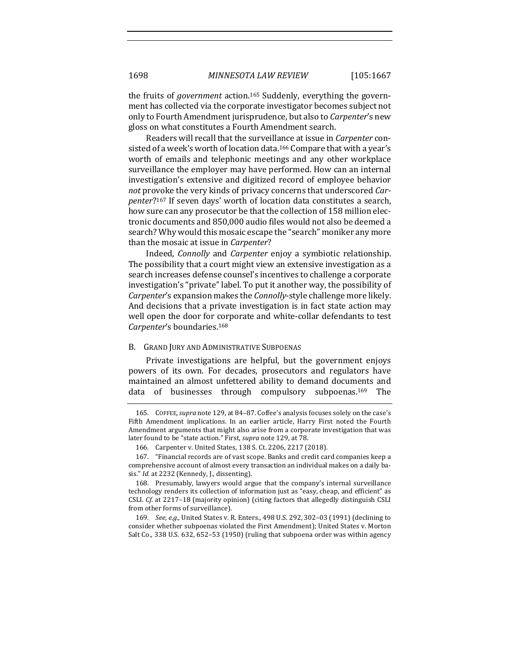the fruits of *government* action.<sup>165</sup> Suddenly, everything the government has collected via the corporate investigator becomes subject not only to Fourth Amendment jurisprudence, but also to *Carpenter's* new gloss on what constitutes a Fourth Amendment search.

Readers will recall that the surveillance at issue in *Carpenter* consisted of a week's worth of location data.<sup>166</sup> Compare that with a year's worth of emails and telephonic meetings and any other workplace surveillance the employer may have performed. How can an internal investigation's extensive and digitized record of employee behavior not provoke the very kinds of privacy concerns that underscored *Carpenter*?<sup>167</sup> If seven days' worth of location data constitutes a search, how sure can any prosecutor be that the collection of 158 million electronic documents and 850,000 audio files would not also be deemed a search? Why would this mosaic escape the "search" moniker any more than the mosaic at issue in *Carpenter*?

Indeed, *Connolly* and *Carpenter* enjoy a symbiotic relationship. The possibility that a court might view an extensive investigation as a search increases defense counsel's incentives to challenge a corporate investigation's "private" label. To put it another way, the possibility of *Carpenter's* expansion makes the *Connolly*-style challenge more likely. And decisions that a private investigation is in fact state action may well open the door for corporate and white-collar defendants to test Carpenter's boundaries.<sup>168</sup>

#### B. GRAND JURY AND ADMINISTRATIVE SUBPOENAS

Private investigations are helpful, but the government enjoys powers of its own. For decades, prosecutors and regulators have maintained an almost unfettered ability to demand documents and data of businesses through compulsory subpoenas.<sup>169</sup> The

<sup>165.</sup> COFFEE, supra note 129, at 84-87. Coffee's analysis focuses solely on the case's Fifth Amendment implications. In an earlier article, Harry First noted the Fourth Amendment arguments that might also arise from a corporate investigation that was later found to be "state action." First, *supra* note 129, at 78.

<sup>166.</sup> Carpenter v. United States, 138 S. Ct. 2206, 2217 (2018).

<sup>167. &</sup>quot;Financial records are of vast scope. Banks and credit card companies keep a comprehensive account of almost every transaction an individual makes on a daily basis." *Id.* at 2232 (Kennedy, J., dissenting).

<sup>168.</sup> Presumably, lawyers would argue that the company's internal surveillance technology renders its collection of information just as "easy, cheap, and efficient" as CSLI. *Cf.* at 2217-18 (majority opinion) (citing factors that allegedly distinguish CSLI from other forms of surveillance).

<sup>169.</sup> *See, e.g.*, United States v. R. Enters., 498 U.S. 292, 302-03 (1991) (declining to consider whether subpoenas violated the First Amendment); United States v. Morton Salt Co., 338 U.S.  $632$ ,  $652-53$  (1950) (ruling that subpoena order was within agency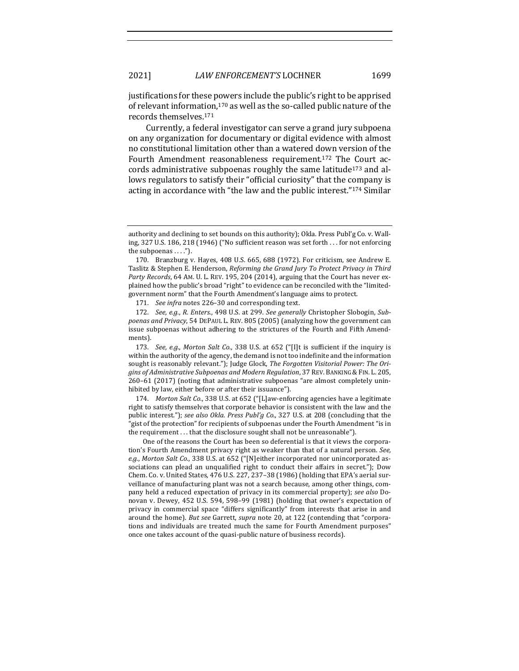justifications for these powers include the public's right to be apprised of relevant information, $170$  as well as the so-called public nature of the records themselves.<sup>171</sup>

Currently, a federal investigator can serve a grand jury subpoena on any organization for documentary or digital evidence with almost no constitutional limitation other than a watered down version of the Fourth Amendment reasonableness requirement.<sup>172</sup> The Court accords administrative subpoenas roughly the same latitude<sup>173</sup> and allows regulators to satisfy their "official curiosity" that the company is acting in accordance with "the law and the public interest."<sup>174</sup> Similar

171. *See infra* notes 226-30 and corresponding text.

174. *Morton Salt Co.*, 338 U.S. at 652 ("[L]aw-enforcing agencies have a legitimate right to satisfy themselves that corporate behavior is consistent with the law and the public interest."); see also Okla. Press Publ'g Co., 327 U.S. at 208 (concluding that the "gist of the protection" for recipients of subpoenas under the Fourth Amendment "is in the requirement . . . that the disclosure sought shall not be unreasonable").

One of the reasons the Court has been so deferential is that it views the corporation's Fourth Amendment privacy right as weaker than that of a natural person. *See*, *e.g., Morton Salt Co.*, 338 U.S. at 652 ("[N]either incorporated nor unincorporated associations can plead an unqualified right to conduct their affairs in secret."); Dow Chem. Co. v. United States, 476 U.S. 227, 237-38 (1986) (holding that EPA's aerial surveillance of manufacturing plant was not a search because, among other things, company held a reduced expectation of privacy in its commercial property); *see also* Donovan v. Dewey, 452 U.S. 594, 598-99 (1981) (holding that owner's expectation of privacy in commercial space "differs significantly" from interests that arise in and around the home). *But see Garrett, supra* note 20, at 122 (contending that "corporations and individuals are treated much the same for Fourth Amendment purposes" once one takes account of the quasi-public nature of business records).

authority and declining to set bounds on this authority); Okla. Press Publ'g Co. v. Walling, 327 U.S. 186, 218 (1946) ("No sufficient reason was set forth ... for not enforcing the subpoenas  $\dots$ .").

<sup>170.</sup> Branzburg v. Hayes, 408 U.S. 665, 688 (1972). For criticism, see Andrew E. Taslitz & Stephen E. Henderson, *Reforming the Grand Jury To Protect Privacy in Third Party Records*, 64 AM. U. L. REV. 195, 204 (2014), arguing that the Court has never explained how the public's broad "right" to evidence can be reconciled with the "limitedgovernment norm" that the Fourth Amendment's language aims to protect.

<sup>172.</sup> *See, e.g., R. Enters.,* 498 U.S. at 299. *See generally* Christopher Slobogin, *Sub*poenas and Privacy, 54 DEPAUL L. REV. 805 (2005) (analyzing how the government can issue subpoenas without adhering to the strictures of the Fourth and Fifth Amendments). 

<sup>173.</sup> *See, e.g., Morton Salt Co.*, 338 U.S. at 652 ("[I]t is sufficient if the inquiry is within the authority of the agency, the demand is not too indefinite and the information sought is reasonably relevant."); Judge Glock, *The Forgotten Visitorial Power: The Ori*gins of Administrative Subpoenas and Modern Regulation, 37 REV. BANKING & FIN. L. 205,  $260-61$  (2017) (noting that administrative subpoenas "are almost completely uninhibited by law, either before or after their issuance").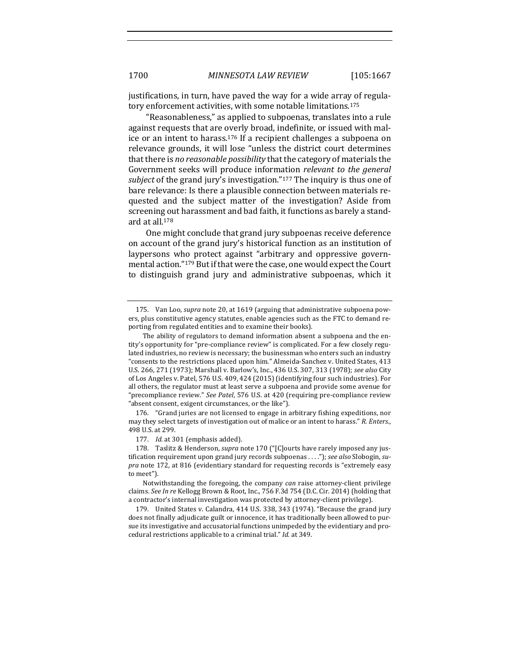justifications, in turn, have paved the way for a wide array of regulatory enforcement activities, with some notable limitations.<sup>175</sup>

"Reasonableness," as applied to subpoenas, translates into a rule against requests that are overly broad, indefinite, or issued with malice or an intent to harass.<sup>176</sup> If a recipient challenges a subpoena on relevance grounds, it will lose "unless the district court determines that there is *no reasonable possibility* that the category of materials the Government seeks will produce information *relevant to the general subject* of the grand jury's investigation."<sup>177</sup> The inquiry is thus one of bare relevance: Is there a plausible connection between materials requested and the subject matter of the investigation? Aside from screening out harassment and bad faith, it functions as barely a standard at all.<sup>178</sup>

One might conclude that grand jury subpoenas receive deference on account of the grand jury's historical function as an institution of laypersons who protect against "arbitrary and oppressive governmental action."<sup>179</sup> But if that were the case, one would expect the Court to distinguish grand jury and administrative subpoenas, which it

176. "Grand juries are not licensed to engage in arbitrary fishing expeditions, nor may they select targets of investigation out of malice or an intent to harass." *R. Enters.*, 498 U.S. at 299. 

177. *Id.* at 301 (emphasis added).

<sup>175.</sup> Van Loo, *supra* note 20, at 1619 (arguing that administrative subpoena powers, plus constitutive agency statutes, enable agencies such as the FTC to demand reporting from regulated entities and to examine their books).

The ability of regulators to demand information absent a subpoena and the entity's opportunity for "pre-compliance review" is complicated. For a few closely regulated industries, no review is necessary; the businessman who enters such an industry "consents to the restrictions placed upon him." Almeida-Sanchez v. United States, 413 U.S. 266, 271 (1973); Marshall v. Barlow's, Inc., 436 U.S. 307, 313 (1978); see also City of Los Angeles v. Patel, 576 U.S. 409, 424 (2015) (identifying four such industries). For all others, the regulator must at least serve a subpoena and provide some avenue for "precompliance review." See Patel, 576 U.S. at 420 (requiring pre-compliance review "absent consent, exigent circumstances, or the like").

<sup>178.</sup> Taslitz & Henderson, *supra* note 170 ("[C]ourts have rarely imposed any justification requirement upon grand jury records subpoenas . . . ."); *see also* Slobogin, supra note 172, at 816 (evidentiary standard for requesting records is "extremely easy to meet").

Notwithstanding the foregoing, the company *can* raise attorney-client privilege claims. See In re Kellogg Brown & Root, Inc., 756 F.3d 754 (D.C. Cir. 2014) (holding that a contractor's internal investigation was protected by attorney-client privilege).

<sup>179.</sup> United States v. Calandra, 414 U.S. 338, 343 (1974). "Because the grand jury does not finally adjudicate guilt or innocence, it has traditionally been allowed to pursue its investigative and accusatorial functions unimpeded by the evidentiary and procedural restrictions applicable to a criminal trial." *Id.* at 349.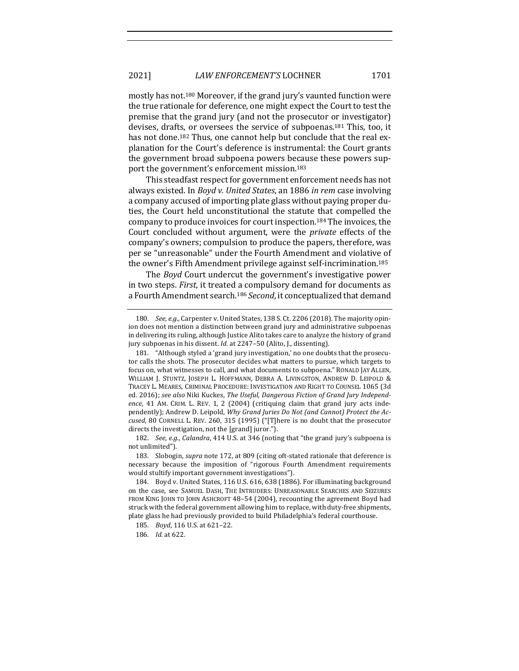mostly has not.<sup>180</sup> Moreover, if the grand jury's vaunted function were the true rationale for deference, one might expect the Court to test the premise that the grand jury (and not the prosecutor or investigator) devises, drafts, or oversees the service of subpoenas.<sup>181</sup> This, too, it has not done.<sup>182</sup> Thus, one cannot help but conclude that the real explanation for the Court's deference is instrumental: the Court grants the government broad subpoena powers because these powers support the government's enforcement mission.<sup>183</sup>

This steadfast respect for government enforcement needs has not always existed. In *Boyd v. United States*, an 1886 *in rem* case involving a company accused of importing plate glass without paying proper duties, the Court held unconstitutional the statute that compelled the company to produce invoices for court inspection.<sup>184</sup> The invoices, the Court concluded without argument, were the *private* effects of the company's owners; compulsion to produce the papers, therefore, was per se "unreasonable" under the Fourth Amendment and violative of the owner's Fifth Amendment privilege against self-incrimination.<sup>185</sup>

The *Boyd* Court undercut the government's investigative power in two steps. *First*, it treated a compulsory demand for documents as a Fourth Amendment search.<sup>186</sup> *Second*, it conceptualized that demand

182. *See, e.g., Calandra,* 414 U.S. at 346 (noting that "the grand jury's subpoena is not unlimited").

183. Slobogin, *supra* note 172, at 809 (citing oft-stated rationale that deference is necessary because the imposition of "rigorous Fourth Amendment requirements would stultify important government investigations").

184. Boyd v. United States, 116 U.S. 616, 638 (1886). For illuminating background on the case, see SAMUEL DASH, THE INTRUDERS: UNREASONABLE SEARCHES AND SEIZURES FROM KING JOHN TO JOHN ASHCROFT 48-54 (2004), recounting the agreement Boyd had struck with the federal government allowing him to replace, with duty-free shipments, plate glass he had previously provided to build Philadelphia's federal courthouse.

185. *Boyd*, 116 U.S. at 621-22.

186. *Id.* at 622.

<sup>180.</sup> *See, e.g.*, Carpenter v. United States, 138 S. Ct. 2206 (2018). The majority opinion does not mention a distinction between grand jury and administrative subpoenas in delivering its ruling, although Justice Alito takes care to analyze the history of grand jury subpoenas in his dissent. *Id.* at 2247-50 (Alito, J., dissenting).

<sup>181. &</sup>quot;Although styled a 'grand jury investigation,' no one doubts that the prosecutor calls the shots. The prosecutor decides what matters to pursue, which targets to focus on, what witnesses to call, and what documents to subpoena." RONALD JAY ALLEN, WILLIAM J. STUNTZ, JOSEPH L. HOFFMANN, DEBRA A. LIVINGSTON, ANDREW D. LEIPOLD & TRACEY L. MEARES, CRIMINAL PROCEDURE: INVESTIGATION AND RIGHT TO COUNSEL 1065 (3d ed. 2016); see also Niki Kuckes, The Useful, Dangerous Fiction of Grand Jury Independence, 41 AM. CRIM. L. REV. 1, 2 (2004) (critiquing claim that grand jury acts independently); Andrew D. Leipold, *Why Grand Juries Do Not (and Cannot) Protect the Accused*, 80 CORNELL L. REV. 260, 315 (1995) ("[T]here is no doubt that the prosecutor directs the investigation, not the [grand] juror.").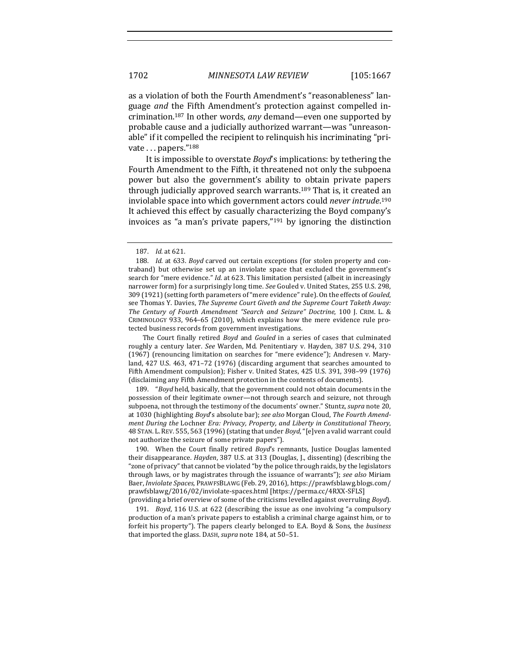as a violation of both the Fourth Amendment's "reasonableness" language *and* the Fifth Amendment's protection against compelled incrimination.<sup>187</sup> In other words, any demand—even one supported by probable cause and a judicially authorized warrant—was "unreasonable" if it compelled the recipient to relinquish his incriminating "private . . . papers."<sup>188</sup>

It is impossible to overstate *Boyd*'s implications: by tethering the Fourth Amendment to the Fifth, it threatened not only the subpoena power but also the government's ability to obtain private papers through judicially approved search warrants.<sup>189</sup> That is, it created an inviolable space into which government actors could *never intrude*.<sup>190</sup> It achieved this effect by casually characterizing the Boyd company's invoices as "a man's private papers," $191$  by ignoring the distinction

189. "*Boyd* held, basically, that the government could not obtain documents in the possession of their legitimate owner—not through search and seizure, not through subpoena, not through the testimony of the documents' owner." Stuntz, *supra* note 20, at 1030 (highlighting *Boyd's* absolute bar); see also Morgan Cloud, The Fourth Amend*ment During the Lochner Era: Privacy, Property, and Liberty in Constitutional Theory,* 48 STAN. L. REV. 555, 563 (1996) (stating that under *Boyd*, "[e]ven a valid warrant could not authorize the seizure of some private papers").

190. When the Court finally retired *Boyd's* remnants, Justice Douglas lamented their disappearance. *Hayden*, 387 U.S. at 313 (Douglas, J., dissenting) (describing the "zone of privacy" that cannot be violated "by the police through raids, by the legislators through laws, or by magistrates through the issuance of warrants"); see also Miriam Baer, *Inviolate Spaces*, PRAWFSBLAWG (Feb. 29, 2016), https://prawfsblawg.blogs.com/ prawfsblawg/2016/02/inviolate-spaces.html [https://perma.cc/4RXX-SFLS] (providing a brief overview of some of the criticisms levelled against overruling *Boyd*).

191. *Boyd*, 116 U.S. at 622 (describing the issue as one involving "a compulsory production of a man's private papers to establish a criminal charge against him, or to forfeit his property"). The papers clearly belonged to E.A. Boyd & Sons, the *business* that imported the glass. DASH, *supra* note 184, at 50-51.

<sup>187.</sup> *Id.* at 621.

<sup>188.</sup> *Id.* at 633. *Boyd* carved out certain exceptions (for stolen property and contraband) but otherwise set up an inviolate space that excluded the government's search for "mere evidence." *Id.* at 623. This limitation persisted (albeit in increasingly narrower form) for a surprisingly long time. See Gouled v. United States, 255 U.S. 298, 309 (1921) (setting forth parameters of "mere evidence" rule). On the effects of *Gouled*, see Thomas Y. Davies, *The Supreme Court Giveth and the Supreme Court Taketh Away: The Century of Fourth Amendment "Search and Seizure" Doctrine*, 100 J. CRIM. L. & CRIMINOLOGY 933, 964–65 (2010), which explains how the mere evidence rule protected business records from government investigations.

The Court finally retired *Boyd* and *Gouled* in a series of cases that culminated roughly a century later. See Warden, Md. Penitentiary v. Hayden, 387 U.S. 294, 310 (1967) (renouncing limitation on searches for "mere evidence"); Andresen v. Maryland, 427 U.S. 463, 471-72 (1976) (discarding argument that searches amounted to Fifth Amendment compulsion); Fisher v. United States, 425 U.S. 391, 398-99 (1976) (disclaiming any Fifth Amendment protection in the contents of documents).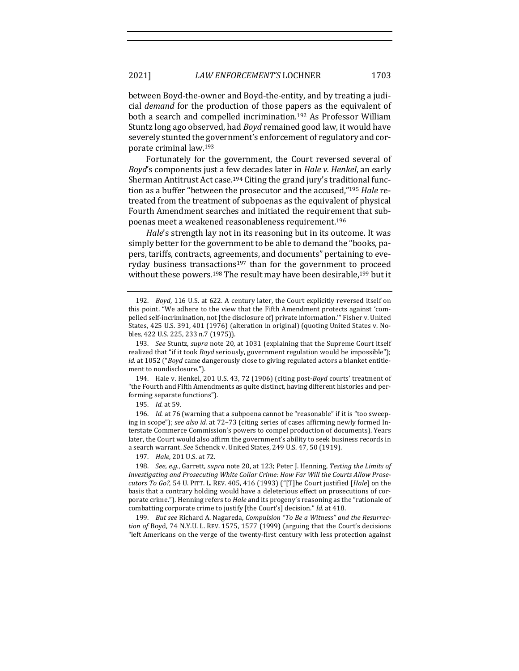between Boyd-the-owner and Boyd-the-entity, and by treating a judicial *demand* for the production of those papers as the equivalent of both a search and compelled incrimination.<sup>192</sup> As Professor William Stuntz long ago observed, had *Boyd* remained good law, it would have severely stunted the government's enforcement of regulatory and corporate criminal law.<sup>193</sup>

Fortunately for the government, the Court reversed several of *Boyd*'s components just a few decades later in *Hale v. Henkel*, an early Sherman Antitrust Act case.<sup>194</sup> Citing the grand jury's traditional function as a buffer "between the prosecutor and the accused,"<sup>195</sup> *Hale* retreated from the treatment of subpoenas as the equivalent of physical Fourth Amendment searches and initiated the requirement that subpoenas meet a weakened reasonableness requirement.<sup>196</sup>

*Hale*'s strength lay not in its reasoning but in its outcome. It was simply better for the government to be able to demand the "books, papers, tariffs, contracts, agreements, and documents" pertaining to everyday business transactions<sup>197</sup> than for the government to proceed without these powers.<sup>198</sup> The result may have been desirable,<sup>199</sup> but it

194. Hale v. Henkel, 201 U.S. 43, 72 (1906) (citing post-*Boyd* courts' treatment of "the Fourth and Fifth Amendments as quite distinct, having different histories and performing separate functions").

195. *Id.* at 59.

196. *Id.* at 76 (warning that a subpoena cannot be "reasonable" if it is "too sweeping in scope"); see also id. at 72-73 (citing series of cases affirming newly formed Interstate Commerce Commission's powers to compel production of documents). Years later, the Court would also affirm the government's ability to seek business records in a search warrant. See Schenck v. United States, 249 U.S. 47, 50 (1919).

197. *Hale*, 201 U.S. at 72.

198. *See, e.g.*, Garrett, *supra* note 20, at 123; Peter J. Henning, Testing the Limits of Investigating and Prosecuting White Collar Crime: How Far Will the Courts Allow Prose*cutors* To Go?, 54 U. PITT. L. REV. 405, 416 (1993) ("[T]he Court justified [*Hale*] on the basis that a contrary holding would have a deleterious effect on prosecutions of corporate crime."). Henning refers to *Hale* and its progeny's reasoning as the "rationale of combatting corporate crime to justify [the Court's] decision." *Id.* at 418.

199. But see Richard A. Nagareda, *Compulsion "To Be a Witness" and the Resurrection of* Boyd, 74 N.Y.U. L. REV. 1575, 1577 (1999) (arguing that the Court's decisions "left Americans on the verge of the twenty-first century with less protection against

<sup>192.</sup> *Boyd*, 116 U.S. at 622. A century later, the Court explicitly reversed itself on this point. "We adhere to the view that the Fifth Amendment protects against 'compelled self-incrimination, not [the disclosure of] private information."" Fisher v. United States, 425 U.S. 391, 401 (1976) (alteration in original) (quoting United States v. Nobles, 422 U.S. 225, 233 n.7 (1975)).

<sup>193.</sup> *See* Stuntz, *supra* note 20, at 1031 (explaining that the Supreme Court itself realized that "if it took *Boyd* seriously, government regulation would be impossible"); *id.* at 1052 ("Boyd came dangerously close to giving regulated actors a blanket entitlement to nondisclosure.").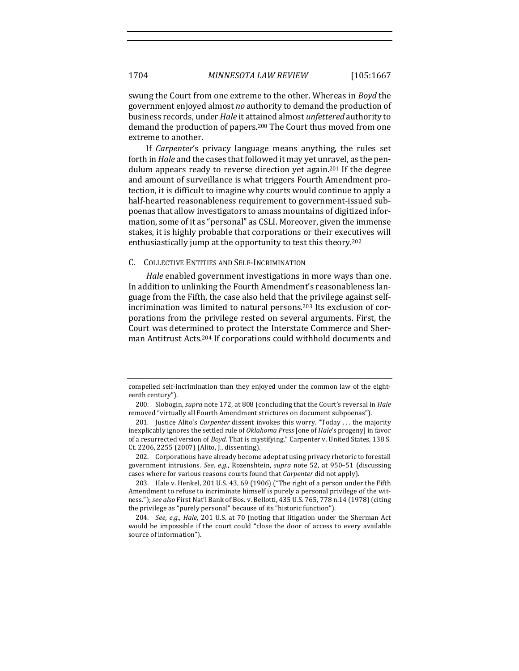swung the Court from one extreme to the other. Whereas in *Boyd* the government enjoyed almost *no* authority to demand the production of business records, under *Hale* it attained almost *unfettered* authority to demand the production of papers.<sup>200</sup> The Court thus moved from one extreme to another.

If *Carpenter's* privacy language means anything, the rules set forth in *Hale* and the cases that followed it may yet unravel, as the pendulum appears ready to reverse direction yet again.<sup>201</sup> If the degree and amount of surveillance is what triggers Fourth Amendment protection, it is difficult to imagine why courts would continue to apply a half-hearted reasonableness requirement to government-issued subpoenas that allow investigators to amass mountains of digitized information, some of it as "personal" as CSLI. Moreover, given the immense stakes, it is highly probable that corporations or their executives will enthusiastically jump at the opportunity to test this theory.<sup>202</sup>

#### C. COLLECTIVE ENTITIES AND SELF-INCRIMINATION

*Hale* enabled government investigations in more ways than one. In addition to unlinking the Fourth Amendment's reasonableness language from the Fifth, the case also held that the privilege against selfincrimination was limited to natural persons.<sup>203</sup> Its exclusion of corporations from the privilege rested on several arguments. First, the Court was determined to protect the Interstate Commerce and Sherman Antitrust Acts.<sup>204</sup> If corporations could withhold documents and

202. Corporations have already become adept at using privacy rhetoric to forestall government intrusions. See, e.g., Rozenshtein, *supra* note 52, at 950-51 (discussing cases where for various reasons courts found that *Carpenter* did not apply).

203. Hale v. Henkel, 201 U.S. 43, 69 (1906) ("The right of a person under the Fifth Amendment to refuse to incriminate himself is purely a personal privilege of the witness."); see also First Nat'l Bank of Bos. v. Bellotti, 435 U.S. 765, 778 n.14 (1978) (citing the privilege as "purely personal" because of its "historic function").

compelled self-incrimination than they enjoyed under the common law of the eighteenth century").

<sup>200.</sup> Slobogin, *supra* note 172, at 808 (concluding that the Court's reversal in *Hale* removed "virtually all Fourth Amendment strictures on document subpoenas").

<sup>201.</sup> Justice Alito's *Carpenter* dissent invokes this worry. "Today ... the majority inexplicably ignores the settled rule of *Oklahoma Press* [one of *Hale*'s progeny] in favor of a resurrected version of *Boyd*. That is mystifying." Carpenter v. United States, 138 S. Ct. 2206, 2255 (2007) (Alito, J., dissenting).

<sup>204.</sup> *See, e.g., Hale,* 201 U.S. at 70 (noting that litigation under the Sherman Act would be impossible if the court could "close the door of access to every available source of information").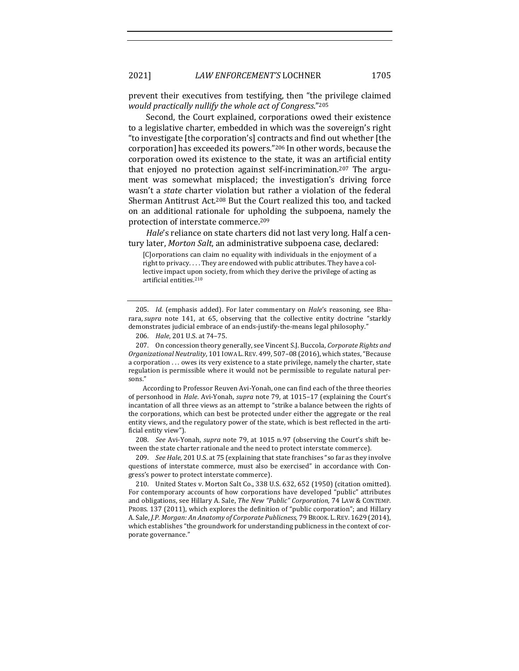prevent their executives from testifying, then "the privilege claimed *would practically nullify the whole act of Congress*."205

Second, the Court explained, corporations owed their existence to a legislative charter, embedded in which was the sovereign's right "to investigate [the corporation's] contracts and find out whether [the corporation] has exceeded its powers."<sup>206</sup> In other words, because the corporation owed its existence to the state, it was an artificial entity that enjoyed no protection against self-incrimination.<sup>207</sup> The argument was somewhat misplaced; the investigation's driving force wasn't a *state* charter violation but rather a violation of the federal Sherman Antitrust Act.<sup>208</sup> But the Court realized this too, and tacked on an additional rationale for upholding the subpoena, namely the protection of interstate commerce.<sup>209</sup>

*Hale*'s reliance on state charters did not last very long. Half a century later, *Morton Salt*, an administrative subpoena case, declared:

[C]orporations can claim no equality with individuals in the enjoyment of a right to privacy.... They are endowed with public attributes. They have a collective impact upon society, from which they derive the privilege of acting as artificial entities.<sup>210</sup>

205. *Id.* (emphasis added). For later commentary on *Hale's* reasoning, see Bharara, *supra* note 141, at 65, observing that the collective entity doctrine "starkly demonstrates judicial embrace of an ends-justify-the-means legal philosophy."

207. On concession theory generally, see Vincent S.J. Buccola, *Corporate Rights and Organizational Neutrality*, 101 IOWA L.REV. 499, 507–08 (2016), which states,"Because a corporation  $\ldots$  owes its very existence to a state privilege, namely the charter, state regulation is permissible where it would not be permissible to regulate natural persons."

According to Professor Reuven Avi-Yonah, one can find each of the three theories of personhood in *Hale*. Avi-Yonah, *supra* note 79, at 1015-17 (explaining the Court's incantation of all three views as an attempt to "strike a balance between the rights of the corporations, which can best be protected under either the aggregate or the real entity views, and the regulatory power of the state, which is best reflected in the artificial entity view").

208. *See* Avi-Yonah, *supra* note 79, at 1015 n.97 (observing the Court's shift between the state charter rationale and the need to protect interstate commerce).

209. *See Hale*, 201 U.S. at 75 (explaining that state franchises "so far as they involve questions of interstate commerce, must also be exercised" in accordance with Congress's power to protect interstate commerce).

210. United States v. Morton Salt Co., 338 U.S. 632, 652 (1950) (citation omitted). For contemporary accounts of how corporations have developed "public" attributes and obligations, see Hillary A. Sale, *The New "Public" Corporation*, 74 LAW & CONTEMP. PROBS. 137 (2011), which explores the definition of "public corporation"; and Hillary A. Sale, *J.P. Morgan: An Anatomy of Corporate Publicness*, 79 BROOK. L. REV. 1629 (2014), which establishes "the groundwork for understanding publicness in the context of corporate governance."

<sup>206.</sup> *Hale*, 201 U.S. at 74-75.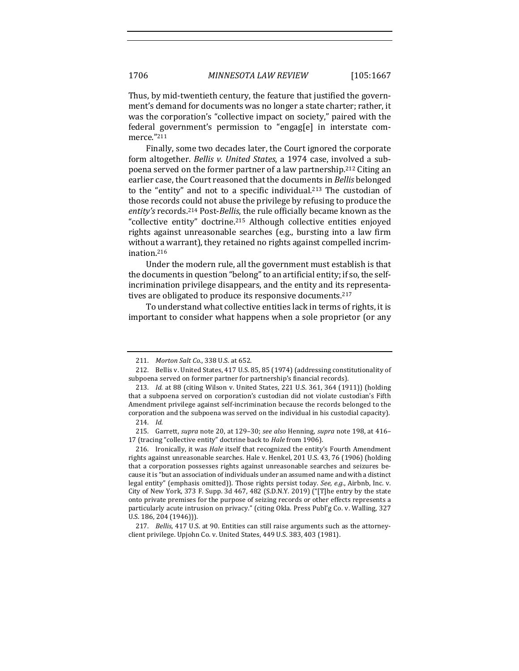Thus, by mid-twentieth century, the feature that justified the government's demand for documents was no longer a state charter; rather, it was the corporation's "collective impact on society," paired with the federal government's permission to "engag[e] in interstate commerce."211

Finally, some two decades later, the Court ignored the corporate form altogether. *Bellis v. United States*, a 1974 case, involved a subpoena served on the former partner of a law partnership.<sup>212</sup> Citing an earlier case, the Court reasoned that the documents in *Bellis* belonged to the "entity" and not to a specific individual.<sup>213</sup> The custodian of those records could not abuse the privilege by refusing to produce the entity's records.<sup>214</sup> Post-*Bellis*, the rule officially became known as the "collective entity" doctrine.<sup>215</sup> Although collective entities enjoyed rights against unreasonable searches (e.g., bursting into a law firm without a warrant), they retained no rights against compelled incrimination.216

Under the modern rule, all the government must establish is that the documents in question "belong" to an artificial entity; if so, the selfincrimination privilege disappears, and the entity and its representatives are obligated to produce its responsive documents.<sup>217</sup>

To understand what collective entities lack in terms of rights, it is important to consider what happens when a sole proprietor (or any

<sup>211.</sup> *Morton Salt Co.*, 338 U.S. at 652.

<sup>212.</sup> Bellis v. United States, 417 U.S. 85, 85 (1974) (addressing constitutionality of subpoena served on former partner for partnership's financial records).

<sup>213.</sup> *Id.* at 88 (citing Wilson v. United States, 221 U.S. 361, 364 (1911)) (holding that a subpoena served on corporation's custodian did not violate custodian's Fifth Amendment privilege against self-incrimination because the records belonged to the corporation and the subpoena was served on the individual in his custodial capacity). 214. *Id.*

<sup>215.</sup> Garrett, *supra* note 20, at 129-30; see also Henning, *supra* note 198, at 416– 17 (tracing "collective entity" doctrine back to *Hale* from 1906).

<sup>216.</sup> Ironically, it was *Hale* itself that recognized the entity's Fourth Amendment rights against unreasonable searches. Hale v. Henkel, 201 U.S. 43, 76 (1906) (holding that a corporation possesses rights against unreasonable searches and seizures because it is "but an association of individuals under an assumed name and with a distinct legal entity" (emphasis omitted)). Those rights persist today. *See, e.g.*, Airbnb, Inc. v. City of New York, 373 F. Supp. 3d 467, 482 (S.D.N.Y. 2019) ("[T]he entry by the state onto private premises for the purpose of seizing records or other effects represents a particularly acute intrusion on privacy." (citing Okla. Press Publ'g Co. v. Walling, 327 U.S. 186, 204 (1946))).

<sup>217.</sup> *Bellis*, 417 U.S. at 90. Entities can still raise arguments such as the attorneyclient privilege. Upjohn Co. v. United States, 449 U.S. 383, 403 (1981).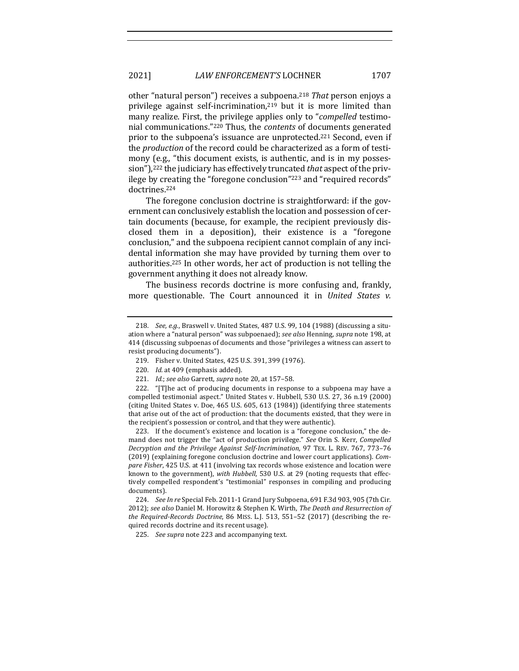other "natural person") receives a subpoena.<sup>218</sup> *That* person enjoys a privilege against self-incrimination, $219$  but it is more limited than many realize. First, the privilege applies only to "*compelled* testimonial communications."<sup>220</sup> Thus, the *contents* of documents generated prior to the subpoena's issuance are unprotected.<sup>221</sup> Second, even if the *production* of the record could be characterized as a form of testimony (e.g., "this document exists, is authentic, and is in my possession"),<sup>222</sup> the judiciary has effectively truncated *that* aspect of the privilege by creating the "foregone conclusion"<sup>223</sup> and "required records" doctrines.224

The foregone conclusion doctrine is straightforward: if the government can conclusively establish the location and possession of certain documents (because, for example, the recipient previously disclosed them in a deposition), their existence is a "foregone" conclusion," and the subpoena recipient cannot complain of any incidental information she may have provided by turning them over to authorities.<sup>225</sup> In other words, her act of production is not telling the government anything it does not already know.

The business records doctrine is more confusing and, frankly, more questionable. The Court announced it in *United States v.* 

223. If the document's existence and location is a "foregone conclusion," the demand does not trigger the "act of production privilege." *See* Orin S. Kerr, *Compelled Decryption and the Privilege Against Self-Incrimination*, 97 TEX. L. REV. 767, 773–76 (2019) (explaining foregone conclusion doctrine and lower court applications). *Compare Fisher*, 425 U.S. at 411 (involving tax records whose existence and location were known to the government), with Hubbell, 530 U.S. at 29 (noting requests that effectively compelled respondent's "testimonial" responses in compiling and producing documents). 

224. *See In re* Special Feb. 2011-1 Grand Jury Subpoena, 691 F.3d 903, 905 (7th Cir. 2012); see also Daniel M. Horowitz & Stephen K. Wirth, *The Death and Resurrection of the Required-Records Doctrine*, 86 MISS. L.J. 513, 551-52 (2017) (describing the required records doctrine and its recent usage).

225. *See supra* note 223 and accompanying text.

<sup>218.</sup> *See, e.g.*, Braswell v. United States, 487 U.S. 99, 104 (1988) (discussing a situation where a "natural person" was subpoenaed); see also Henning, supra note 198, at 414 (discussing subpoenas of documents and those "privileges a witness can assert to resist producing documents").

<sup>219.</sup> Fisher v. United States, 425 U.S. 391, 399 (1976).

<sup>220.</sup> *Id.* at 409 (emphasis added).

<sup>221.</sup> *Id.*; *see also* Garrett, *supra* note 20, at 157-58.

<sup>222. &</sup>quot; $T$ he act of producing documents in response to a subpoena may have a compelled testimonial aspect." United States v. Hubbell, 530 U.S. 27, 36 n.19 (2000) (citing United States v. Doe, 465 U.S. 605, 613 (1984)) (identifying three statements that arise out of the act of production: that the documents existed, that they were in the recipient's possession or control, and that they were authentic).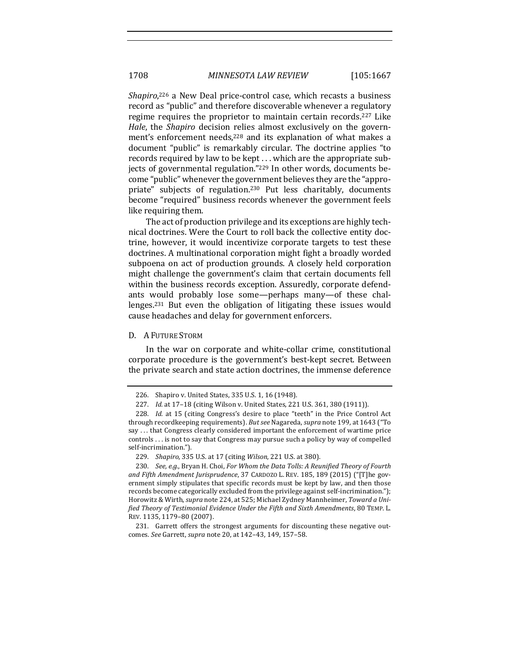Shapiro,<sup>226</sup> a New Deal price-control case, which recasts a business record as "public" and therefore discoverable whenever a regulatory regime requires the proprietor to maintain certain records.<sup>227</sup> Like *Hale*, the *Shapiro* decision relies almost exclusively on the government's enforcement needs,<sup>228</sup> and its explanation of what makes a document "public" is remarkably circular. The doctrine applies "to records required by law to be kept  $\dots$  which are the appropriate subjects of governmental regulation."<sup>229</sup> In other words, documents become "public" whenever the government believes they are the "appropriate" subjects of regulation.<sup>230</sup> Put less charitably, documents become "required" business records whenever the government feels like requiring them. 

The act of production privilege and its exceptions are highly technical doctrines. Were the Court to roll back the collective entity doctrine, however, it would incentivize corporate targets to test these doctrines. A multinational corporation might fight a broadly worded subpoena on act of production grounds. A closely held corporation might challenge the government's claim that certain documents fell within the business records exception. Assuredly, corporate defendants would probably lose some—perhaps many—of these challenges.<sup>231</sup> But even the obligation of litigating these issues would cause headaches and delay for government enforcers.

#### D. A FUTURE STORM

In the war on corporate and white-collar crime, constitutional corporate procedure is the government's best-kept secret. Between the private search and state action doctrines, the immense deference

<sup>226.</sup> Shapiro v. United States, 335 U.S. 1, 16 (1948).

<sup>227.</sup> *Id.* at 17-18 (citing Wilson v. United States, 221 U.S. 361, 380 (1911)).

<sup>228.</sup> *Id.* at 15 (citing Congress's desire to place "teeth" in the Price Control Act through recordkeeping requirements). *But see* Nagareda, *supra* note 199, at 1643 ("To say ... that Congress clearly considered important the enforcement of wartime price controls . . . is not to say that Congress may pursue such a policy by way of compelled self-incrimination.").

<sup>229.</sup> *Shapiro*, 335 U.S. at 17 (citing *Wilson*, 221 U.S. at 380).

<sup>230.</sup> *See, e.g.*, Bryan H. Choi, For Whom the Data Tolls: A Reunified Theory of Fourth and Fifth Amendment Jurisprudence, 37 CARDOZO L. REV. 185, 189 (2015) ("[T]he government simply stipulates that specific records must be kept by law, and then those records become categorically excluded from the privilege against self-incrimination."); Horowitz & Wirth, *supra* note 224, at 525; Michael Zydney Mannheimer, *Toward a Unified Theory of Testimonial Evidence Under the Fifth and Sixth Amendments*, 80 TEMP. L. REV. 1135, 1179-80 (2007).

<sup>231.</sup> Garrett offers the strongest arguments for discounting these negative outcomes. *See* Garrett, *supra* note 20, at 142–43, 149, 157–58.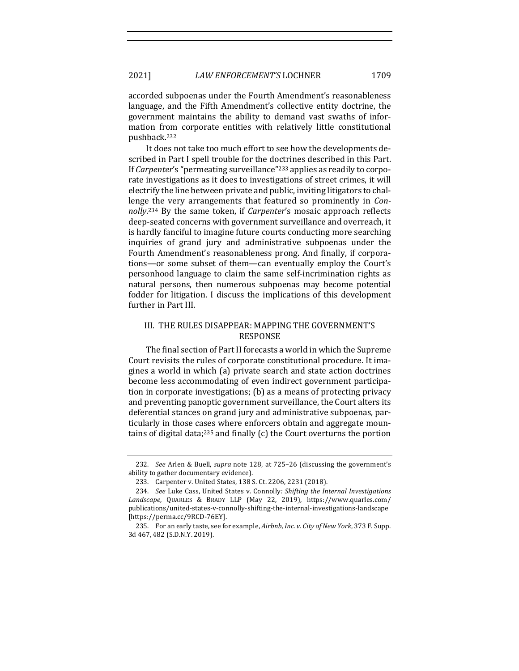accorded subpoenas under the Fourth Amendment's reasonableness language, and the Fifth Amendment's collective entity doctrine, the government maintains the ability to demand vast swaths of information from corporate entities with relatively little constitutional pushback.232

It does not take too much effort to see how the developments described in Part I spell trouble for the doctrines described in this Part. If *Carpenter's* "permeating surveillance"<sup>233</sup> applies as readily to corporate investigations as it does to investigations of street crimes, it will electrify the line between private and public, inviting litigators to challenge the very arrangements that featured so prominently in *Con*nolly.<sup>234</sup> By the same token, if *Carpenter's* mosaic approach reflects deep-seated concerns with government surveillance and overreach, it is hardly fanciful to imagine future courts conducting more searching inquiries of grand jury and administrative subpoenas under the Fourth Amendment's reasonableness prong. And finally, if corporations—or some subset of them—can eventually employ the Court's personhood language to claim the same self-incrimination rights as natural persons, then numerous subpoenas may become potential fodder for litigation. I discuss the implications of this development further in Part III.

# III. THE RULES DISAPPEAR: MAPPING THE GOVERNMENT'S RESPONSE

The final section of Part II forecasts a world in which the Supreme Court revisits the rules of corporate constitutional procedure. It imagines a world in which (a) private search and state action doctrines become less accommodating of even indirect government participation in corporate investigations;  $(b)$  as a means of protecting privacy and preventing panoptic government surveillance, the Court alters its deferential stances on grand jury and administrative subpoenas, particularly in those cases where enforcers obtain and aggregate mountains of digital data; $235$  and finally (c) the Court overturns the portion

<sup>232.</sup> *See* Arlen & Buell, *supra* note 128, at 725-26 (discussing the government's ability to gather documentary evidence).

<sup>233.</sup> Carpenter v. United States, 138 S. Ct. 2206, 2231 (2018).

<sup>234.</sup> *See* Luke Cass, United States v. Connolly: Shifting the Internal Investigations Landscape, QUARLES & BRADY LLP (May 22, 2019), https://www.quarles.com/ publications/united-states-v-connolly-shifting-the-internal-investigations-landscape [https://perma.cc/9RCD-76EY].

<sup>235.</sup> For an early taste, see for example, *Airbnb*, Inc. v. City of New York, 373 F. Supp. 3d 467, 482 (S.D.N.Y. 2019).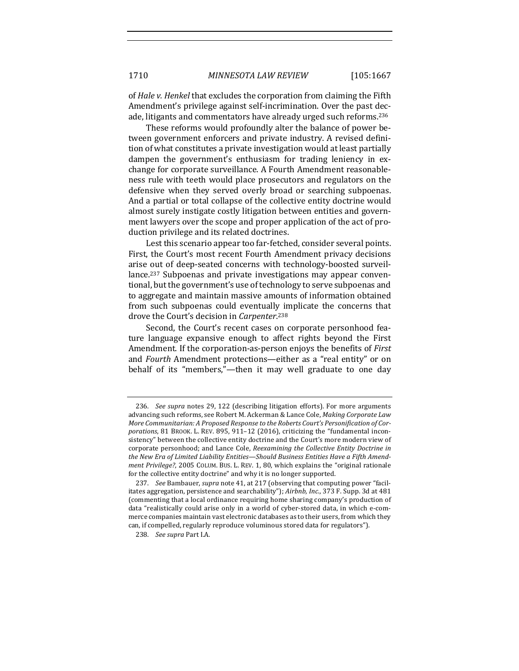of *Hale v. Henkel* that excludes the corporation from claiming the Fifth Amendment's privilege against self-incrimination. Over the past decade, litigants and commentators have already urged such reforms.<sup>236</sup>

These reforms would profoundly alter the balance of power between government enforcers and private industry. A revised definition of what constitutes a private investigation would at least partially dampen the government's enthusiasm for trading leniency in exchange for corporate surveillance. A Fourth Amendment reasonableness rule with teeth would place prosecutors and regulators on the defensive when they served overly broad or searching subpoenas. And a partial or total collapse of the collective entity doctrine would almost surely instigate costly litigation between entities and government lawyers over the scope and proper application of the act of production privilege and its related doctrines.

Lest this scenario appear too far-fetched, consider several points. First, the Court's most recent Fourth Amendment privacy decisions arise out of deep-seated concerns with technology-boosted surveillance.<sup>237</sup> Subpoenas and private investigations may appear conventional, but the government's use of technology to serve subpoenas and to aggregate and maintain massive amounts of information obtained from such subpoenas could eventually implicate the concerns that drove the Court's decision in *Carpenter*.<sup>238</sup>

Second, the Court's recent cases on corporate personhood feature language expansive enough to affect rights beyond the First Amendment. If the corporation-as-person enjoys the benefits of *First* and *Fourth* Amendment protections—either as a "real entity" or on behalf of its "members,"—then it may well graduate to one day

<sup>236.</sup> *See supra* notes 29, 122 (describing litigation efforts). For more arguments advancing such reforms, see Robert M. Ackerman & Lance Cole, *Making Corporate Law* More Communitarian: A Proposed Response to the Roberts Court's Personification of Cor*porations*, 81 BROOK. L. REV. 895, 911-12 (2016), criticizing the "fundamental inconsistency" between the collective entity doctrine and the Court's more modern view of corporate personhood; and Lance Cole, *Reexamining the Collective Entity Doctrine in* the New Era of Limited Liability Entities-Should Business Entities Have a Fifth Amend*ment Privilege?*, 2005 COLUM. BUS. L. REV. 1, 80, which explains the "original rationale for the collective entity doctrine" and why it is no longer supported.

<sup>237.</sup> *See* Bambauer, *supra* note 41, at 217 (observing that computing power "facilitates aggregation, persistence and searchability"); *Airbnb, Inc.*, 373 F. Supp. 3d at 481 (commenting that a local ordinance requiring home sharing company's production of data "realistically could arise only in a world of cyber-stored data, in which e-commerce companies maintain vast electronic databases as to their users, from which they can, if compelled, regularly reproduce voluminous stored data for regulators").

<sup>238.</sup> *See supra* Part I.A.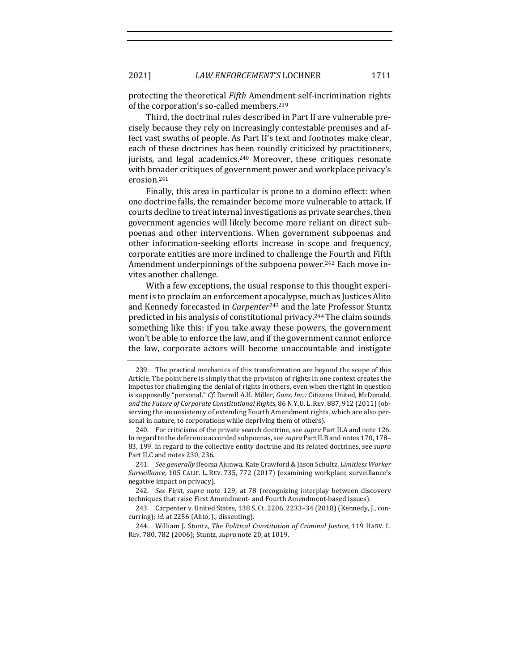protecting the theoretical *Fifth* Amendment self-incrimination rights of the corporation's so-called members.<sup>239</sup>

Third, the doctrinal rules described in Part II are vulnerable precisely because they rely on increasingly contestable premises and affect vast swaths of people. As Part II's text and footnotes make clear, each of these doctrines has been roundly criticized by practitioners, jurists, and legal academics.<sup>240</sup> Moreover, these critiques resonate with broader critiques of government power and workplace privacy's erosion.241

Finally, this area in particular is prone to a domino effect: when one doctrine falls, the remainder become more vulnerable to attack. If courts decline to treat internal investigations as private searches, then government agencies will likely become more reliant on direct subpoenas and other interventions. When government subpoenas and other information-seeking efforts increase in scope and frequency, corporate entities are more inclined to challenge the Fourth and Fifth Amendment underpinnings of the subpoena power.<sup>242</sup> Each move invites another challenge.

With a few exceptions, the usual response to this thought experiment is to proclaim an enforcement apocalypse, much as Justices Alito and Kennedy forecasted in *Carpenter*<sup>243</sup> and the late Professor Stuntz predicted in his analysis of constitutional privacy.<sup>244</sup> The claim sounds something like this: if you take away these powers, the government won't be able to enforce the law, and if the government cannot enforce the law, corporate actors will become unaccountable and instigate

241. *See generally* Ifeoma Ajunwa, Kate Crawford & Jason Schultz, *Limitless Worker Surveillance*, 105 CALIF. L. REV. 735, 772 (2017) (examining workplace surveillance's negative impact on privacy).

<sup>239.</sup> The practical mechanics of this transformation are beyond the scope of this Article. The point here is simply that the provision of rights in one context creates the impetus for challenging the denial of rights in others, even when the right in question is supposedly "personal." *Cf.* Darrell A.H. Miller, *Guns, Inc.:* Citizens United, McDonald, and the Future of Corporate Constitutional Rights, 86 N.Y.U. L. REV. 887, 912 (2011) (observing the inconsistency of extending Fourth Amendment rights, which are also personal in nature, to corporations while depriving them of others).

<sup>240.</sup> For criticisms of the private search doctrine, see *supra* Part II.A and note 126. In regard to the deference accorded subpoenas, see *supra* Part II.B and notes 170, 178-83, 199. In regard to the collective entity doctrine and its related doctrines, see *supra* Part II.C and notes 230, 236.

<sup>242.</sup> *See* First, *supra* note 129, at 78 (recognizing interplay between discovery techniques that raise First Amendment- and Fourth Amendment-based issues).

<sup>243.</sup> Carpenter v. United States, 138 S. Ct. 2206, 2233-34 (2018) (Kennedy, J., concurring); *id.* at 2256 (Alito, J., dissenting).

<sup>244.</sup> William J. Stuntz, *The Political Constitution of Criminal Justice*, 119 HARV. L. REV. 780, 782 (2006); Stuntz, *supra* note 20, at 1019.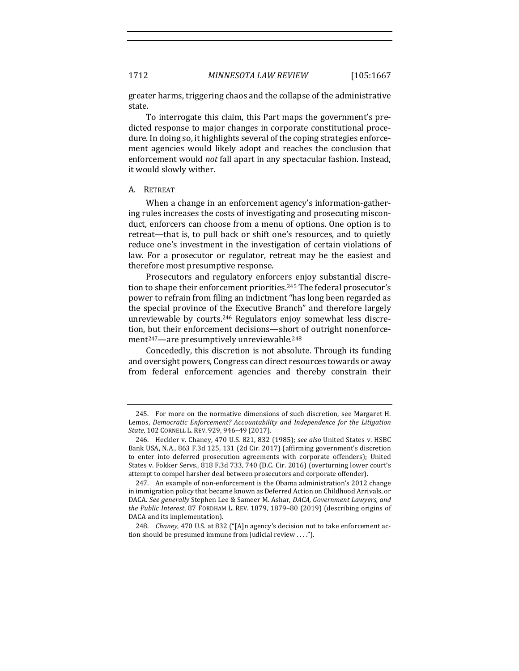greater harms, triggering chaos and the collapse of the administrative state. 

To interrogate this claim, this Part maps the government's predicted response to major changes in corporate constitutional procedure. In doing so, it highlights several of the coping strategies enforcement agencies would likely adopt and reaches the conclusion that enforcement would *not* fall apart in any spectacular fashion. Instead, it would slowly wither.

#### A. RETREAT

When a change in an enforcement agency's information-gathering rules increases the costs of investigating and prosecuting misconduct, enforcers can choose from a menu of options. One option is to retreat—that is, to pull back or shift one's resources, and to quietly reduce one's investment in the investigation of certain violations of law. For a prosecutor or regulator, retreat may be the easiest and therefore most presumptive response.

Prosecutors and regulatory enforcers enjoy substantial discretion to shape their enforcement priorities.<sup>245</sup> The federal prosecutor's power to refrain from filing an indictment "has long been regarded as the special province of the Executive Branch" and therefore largely unreviewable by courts.<sup>246</sup> Regulators enjoy somewhat less discretion, but their enforcement decisions—short of outright nonenforcement<sup>247</sup>—are presumptively unreviewable.<sup>248</sup>

Concededly, this discretion is not absolute. Through its funding and oversight powers, Congress can direct resources towards or away from federal enforcement agencies and thereby constrain their

<sup>245.</sup> For more on the normative dimensions of such discretion, see Margaret H. Lemos, *Democratic Enforcement? Accountability and Independence for the Litigation State*, 102 CORNELL L. REV. 929, 946-49 (2017).

<sup>246.</sup> Heckler v. Chaney, 470 U.S. 821, 832 (1985); see also United States v. HSBC Bank USA, N.A., 863 F.3d 125, 131 (2d Cir. 2017) (affirming government's discretion to enter into deferred prosecution agreements with corporate offenders); United States v. Fokker Servs., 818 F.3d 733, 740 (D.C. Cir. 2016) (overturning lower court's attempt to compel harsher deal between prosecutors and corporate offender).

<sup>247.</sup> An example of non-enforcement is the Obama administration's 2012 change in immigration policy that became known as Deferred Action on Childhood Arrivals, or DACA. See generally Stephen Lee & Sameer M. Ashar, *DACA, Government Lawyers, and* the Public Interest, 87 FORDHAM L. REV. 1879, 1879-80 (2019) (describing origins of DACA and its implementation).

<sup>248.</sup> *Chaney*, 470 U.S. at 832 ("[A]n agency's decision not to take enforcement action should be presumed immune from judicial review  $\dots$ .").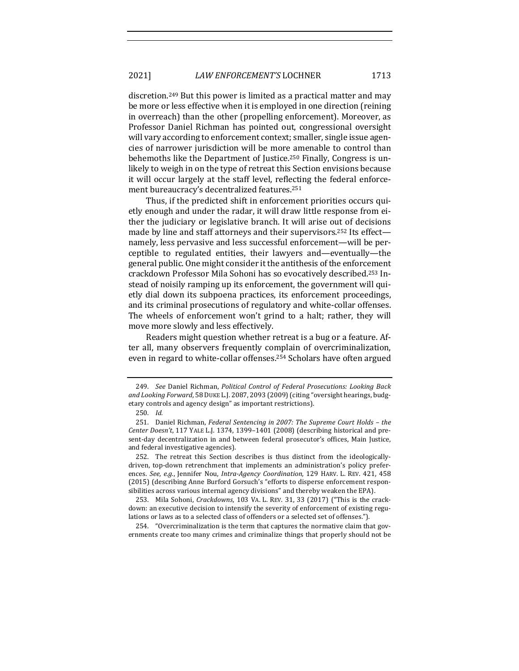# 2021] *LAW ENFORCEMENT'S* LOCHNER 1713

discretion.<sup>249</sup> But this power is limited as a practical matter and may be more or less effective when it is employed in one direction (reining in overreach) than the other (propelling enforcement). Moreover, as Professor Daniel Richman has pointed out, congressional oversight will vary according to enforcement context; smaller, single issue agencies of narrower jurisdiction will be more amenable to control than behemoths like the Department of Justice.<sup>250</sup> Finally, Congress is unlikely to weigh in on the type of retreat this Section envisions because it will occur largely at the staff level, reflecting the federal enforcement bureaucracy's decentralized features.<sup>251</sup>

Thus, if the predicted shift in enforcement priorities occurs quietly enough and under the radar, it will draw little response from either the judiciary or legislative branch. It will arise out of decisions made by line and staff attorneys and their supervisors.<sup>252</sup> Its effect namely, less pervasive and less successful enforcement—will be perceptible to regulated entities, their lawyers and—eventually—the general public. One might consider it the antithesis of the enforcement crackdown Professor Mila Sohoni has so evocatively described.<sup>253</sup> Instead of noisily ramping up its enforcement, the government will quietly dial down its subpoena practices, its enforcement proceedings, and its criminal prosecutions of regulatory and white-collar offenses. The wheels of enforcement won't grind to a halt; rather, they will move more slowly and less effectively.

Readers might question whether retreat is a bug or a feature. After all, many observers frequently complain of overcriminalization, even in regard to white-collar offenses.<sup>254</sup> Scholars have often argued

254. "Overcriminalization is the term that captures the normative claim that governments create too many crimes and criminalize things that properly should not be

<sup>249.</sup> *See* Daniel Richman, *Political Control of Federal Prosecutions: Looking Back* and Looking Forward, 58 DUKE L.J. 2087, 2093 (2009) (citing "oversight hearings, budgetary controls and agency design" as important restrictions).

<sup>250.</sup> *Id.*

<sup>251.</sup> Daniel Richman, *Federal Sentencing in 2007: The Supreme Court Holds - the Center Doesn't,* 117 YALE L.J. 1374, 1399-1401 (2008) (describing historical and present-day decentralization in and between federal prosecutor's offices, Main Justice, and federal investigative agencies).

<sup>252.</sup> The retreat this Section describes is thus distinct from the ideologicallydriven, top-down retrenchment that implements an administration's policy preferences. See, e.g., Jennifer Nou, *Intra-Agency Coordination*, 129 HARV. L. REV. 421, 458 (2015) (describing Anne Burford Gorsuch's "efforts to disperse enforcement responsibilities across various internal agency divisions" and thereby weaken the EPA).

<sup>253.</sup> Mila Sohoni, *Crackdowns*, 103 VA. L. REV. 31, 33 (2017) ("This is the crackdown: an executive decision to intensify the severity of enforcement of existing regulations or laws as to a selected class of offenders or a selected set of offenses.").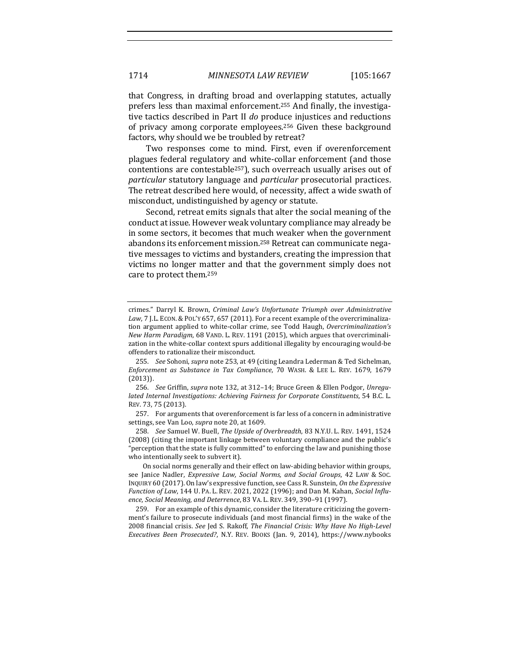that Congress, in drafting broad and overlapping statutes, actually prefers less than maximal enforcement.<sup>255</sup> And finally, the investigative tactics described in Part II do produce injustices and reductions of privacy among corporate employees.<sup>256</sup> Given these background factors, why should we be troubled by retreat?

Two responses come to mind. First, even if overenforcement plagues federal regulatory and white-collar enforcement (and those contentions are contestable<sup>257</sup>), such overreach usually arises out of *particular* statutory language and *particular* prosecutorial practices. The retreat described here would, of necessity, affect a wide swath of misconduct, undistinguished by agency or statute.

Second, retreat emits signals that alter the social meaning of the conduct at issue. However weak voluntary compliance may already be in some sectors, it becomes that much weaker when the government abandons its enforcement mission.<sup>258</sup> Retreat can communicate negative messages to victims and bystanders, creating the impression that victims no longer matter and that the government simply does not care to protect them.<sup>259</sup>

258. *See* Samuel W. Buell, The Upside of Overbreadth, 83 N.Y.U. L. REV. 1491, 1524 (2008) (citing the important linkage between voluntary compliance and the public's "perception that the state is fully committed" to enforcing the law and punishing those who intentionally seek to subvert it).

On social norms generally and their effect on law-abiding behavior within groups, see Janice Nadler, *Expressive Law, Social Norms, and Social Groups*, 42 LAW & Soc. INQUIRY 60 (2017). On law's expressive function, see Cass R. Sunstein, *On the Expressive Function of Law, 144 U. PA. L. REV. 2021, 2022 (1996); and Dan M. Kahan, Social Influence, Social Meaning, and Deterrence*, 83 VA. L. REV. 349, 390–91 (1997).

259. For an example of this dynamic, consider the literature criticizing the government's failure to prosecute individuals (and most financial firms) in the wake of the 2008 financial crisis. See Jed S. Rakoff, *The Financial Crisis: Why Have No High-Level Executives Been Prosecuted?*, N.Y. REV. BOOKS (Jan. 9, 2014), https://www.nybooks

crimes." Darryl K. Brown, *Criminal Law's Unfortunate Triumph over Administrative* Law, 7 J.L. ECON. & POL'Y 657, 657 (2011). For a recent example of the overcriminalization argument applied to white-collar crime, see Todd Haugh, *Overcriminalization's New Harm Paradigm,* 68 VAND. L. REV. 1191 (2015), which argues that overcriminalization in the white-collar context spurs additional illegality by encouraging would-be offenders to rationalize their misconduct.

<sup>255.</sup> *See* Sohoni, *supra* note 253, at 49 (citing Leandra Lederman & Ted Sichelman, *Enforcement as Substance in Tax Compliance*, 70 WASH. & LEE L. REV. 1679, 1679 (2013)). 

<sup>256.</sup> See Griffin, supra note 132, at 312-14; Bruce Green & Ellen Podgor, Unregu*lated Internal Investigations: Achieving Fairness for Corporate Constituents*, 54 B.C. L. REV. 73, 75 (2013).

<sup>257.</sup> For arguments that overenforcement is far less of a concern in administrative settings, see Van Loo, *supra* note 20, at 1609.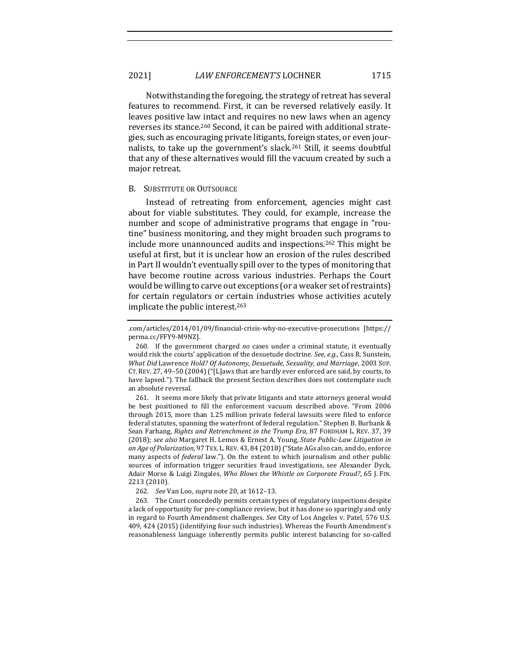Notwithstanding the foregoing, the strategy of retreat has several features to recommend. First, it can be reversed relatively easily. It leaves positive law intact and requires no new laws when an agency reverses its stance.<sup>260</sup> Second, it can be paired with additional strategies, such as encouraging private litigants, foreign states, or even journalists, to take up the government's slack.<sup>261</sup> Still, it seems doubtful that any of these alternatives would fill the vacuum created by such a major retreat.

#### **B.** SUBSTITUTE OR OUTSOURCE

Instead of retreating from enforcement, agencies might cast about for viable substitutes. They could, for example, increase the number and scope of administrative programs that engage in "routine" business monitoring, and they might broaden such programs to include more unannounced audits and inspections.<sup>262</sup> This might be useful at first, but it is unclear how an erosion of the rules described in Part II wouldn't eventually spill over to the types of monitoring that have become routine across various industries. Perhaps the Court would be willing to carve out exceptions (or a weaker set of restraints) for certain regulators or certain industries whose activities acutely implicate the public interest.<sup>263</sup>

<sup>.</sup>com/articles/2014/01/09/financial-crisis-why-no-executive-prosecutions [https:// perma.cc/FFY9-M9NZ]. 

<sup>260.</sup> If the government charged *no* cases under a criminal statute, it eventually would risk the courts' application of the desuetude doctrine. *See, e.g.*, Cass R. Sunstein, *What Did Lawrence Hold? Of Autonomy, Desuetude, Sexuality, and Marriage, 2003 Sup.* CT. REV. 27, 49-50 (2004) ("[L]aws that are hardly ever enforced are said, by courts, to have lapsed."). The fallback the present Section describes does not contemplate such an absolute reversal.

<sup>261.</sup> It seems more likely that private litigants and state attorneys general would be best positioned to fill the enforcement vacuum described above. "From 2006 through 2015, more than 1.25 million private federal lawsuits were filed to enforce federal statutes, spanning the waterfront of federal regulation." Stephen B. Burbank & Sean Farhang, *Rights and Retrenchment in the Trump Era*, 87 FORDHAM L. REV. 37, 39 (2018); see also Margaret H. Lemos & Ernest A. Young, *State Public-Law Litigation in* an Age of Polarization, 97 TEX. L. REV. 43, 84 (2018) ("State AGs also can, and do, enforce many aspects of *federal* law."). On the extent to which journalism and other public sources of information trigger securities fraud investigations, see Alexander Dyck, Adair Morse & Luigi Zingales, *Who Blows the Whistle on Corporate Fraud?*, 65 J. FIN. 2213 (2010).

<sup>262.</sup> *See* Van Loo, *supra* note 20, at 1612–13. 

<sup>263.</sup> The Court concededly permits certain types of regulatory inspections despite a lack of opportunity for pre-compliance review, but it has done so sparingly and only in regard to Fourth Amendment challenges. See City of Los Angeles v. Patel, 576 U.S. 409, 424 (2015) (identifying four such industries). Whereas the Fourth Amendment's reasonableness language inherently permits public interest balancing for so-called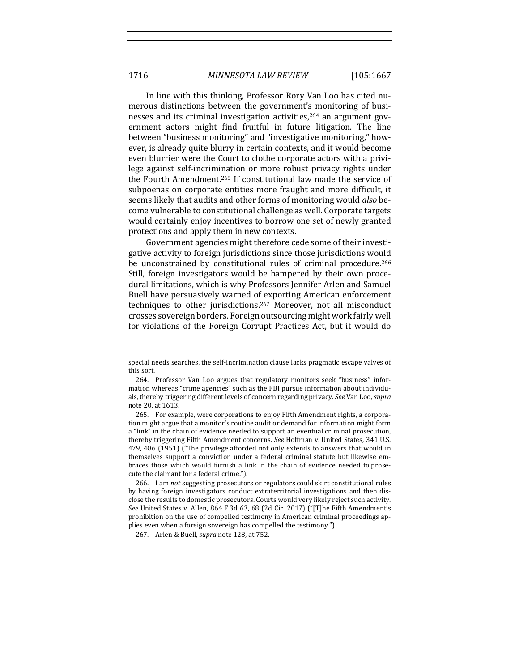In line with this thinking, Professor Rory Van Loo has cited numerous distinctions between the government's monitoring of businesses and its criminal investigation activities,<sup>264</sup> an argument government actors might find fruitful in future litigation. The line between "business monitoring" and "investigative monitoring," however, is already quite blurry in certain contexts, and it would become even blurrier were the Court to clothe corporate actors with a privilege against self-incrimination or more robust privacy rights under the Fourth Amendment.<sup>265</sup> If constitutional law made the service of subpoenas on corporate entities more fraught and more difficult, it seems likely that audits and other forms of monitoring would *also* become vulnerable to constitutional challenge as well. Corporate targets would certainly enjoy incentives to borrow one set of newly granted protections and apply them in new contexts.

Government agencies might therefore cede some of their investigative activity to foreign jurisdictions since those jurisdictions would be unconstrained by constitutional rules of criminal procedure.<sup>266</sup> Still, foreign investigators would be hampered by their own procedural limitations, which is why Professors Jennifer Arlen and Samuel Buell have persuasively warned of exporting American enforcement techniques to other jurisdictions.<sup>267</sup> Moreover, not all misconduct crosses sovereign borders. Foreign outsourcing might work fairly well for violations of the Foreign Corrupt Practices Act, but it would do

special needs searches, the self-incrimination clause lacks pragmatic escape valves of this sort.

<sup>264.</sup> Professor Van Loo argues that regulatory monitors seek "business" information whereas "crime agencies" such as the FBI pursue information about individuals, thereby triggering different levels of concern regarding privacy. See Van Loo, supra note 20, at 1613.

<sup>265.</sup> For example, were corporations to enjoy Fifth Amendment rights, a corporation might argue that a monitor's routine audit or demand for information might form a "link" in the chain of evidence needed to support an eventual criminal prosecution, thereby triggering Fifth Amendment concerns. See Hoffman v. United States, 341 U.S. 479, 486 (1951) ("The privilege afforded not only extends to answers that would in themselves support a conviction under a federal criminal statute but likewise embraces those which would furnish a link in the chain of evidence needed to prosecute the claimant for a federal crime.").

<sup>266.</sup> I am *not* suggesting prosecutors or regulators could skirt constitutional rules by having foreign investigators conduct extraterritorial investigations and then disclose the results to domestic prosecutors. Courts would very likely reject such activity. See United States v. Allen, 864 F.3d 63, 68 (2d Cir. 2017) ("[T]he Fifth Amendment's prohibition on the use of compelled testimony in American criminal proceedings applies even when a foreign sovereign has compelled the testimony.").

<sup>267.</sup> Arlen & Buell, *supra* note 128, at 752.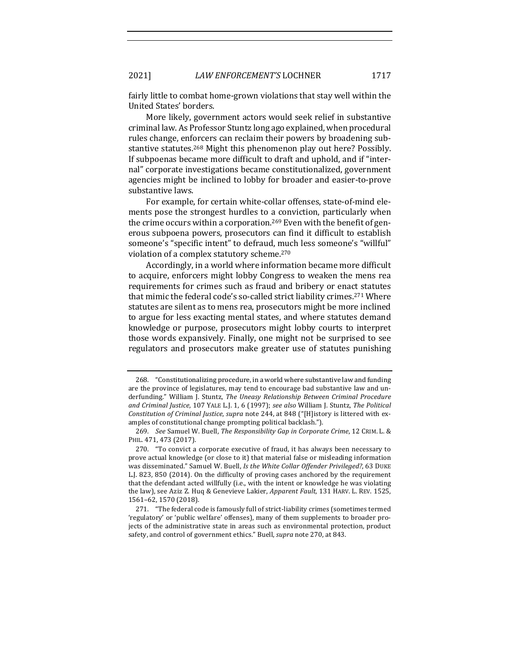2021] *LAW ENFORCEMENT'S* LOCHNER 1717

fairly little to combat home-grown violations that stay well within the United States' borders.

More likely, government actors would seek relief in substantive criminal law. As Professor Stuntz long ago explained, when procedural rules change, enforcers can reclaim their powers by broadening substantive statutes.<sup>268</sup> Might this phenomenon play out here? Possibly. If subpoenas became more difficult to draft and uphold, and if "internal" corporate investigations became constitutionalized, government agencies might be inclined to lobby for broader and easier-to-prove substantive laws.

For example, for certain white-collar offenses, state-of-mind elements pose the strongest hurdles to a conviction, particularly when the crime occurs within a corporation.<sup>269</sup> Even with the benefit of generous subpoena powers, prosecutors can find it difficult to establish someone's "specific intent" to defraud, much less someone's "willful" violation of a complex statutory scheme.<sup>270</sup>

Accordingly, in a world where information became more difficult to acquire, enforcers might lobby Congress to weaken the mens rea requirements for crimes such as fraud and bribery or enact statutes that mimic the federal code's so-called strict liability crimes.<sup>271</sup> Where statutes are silent as to mens rea, prosecutors might be more inclined to argue for less exacting mental states, and where statutes demand knowledge or purpose, prosecutors might lobby courts to interpret those words expansively. Finally, one might not be surprised to see regulators and prosecutors make greater use of statutes punishing

<sup>268. &</sup>quot;Constitutionalizing procedure, in a world where substantive law and funding are the province of legislatures, may tend to encourage bad substantive law and underfunding." William J. Stuntz, *The Uneasy Relationship Between Criminal Procedure* and Criminal Justice, 107 YALE L.J. 1, 6 (1997); see also William J. Stuntz, *The Political Constitution of Criminal Justice, supra* note 244, at 848 ("[H]istory is littered with examples of constitutional change prompting political backlash.").

<sup>269.</sup> *See Samuel W. Buell, The Responsibility Gap in Corporate Crime, 12 CRIM. L. &* PHIL. 471, 473 (2017).

<sup>270. &</sup>quot;To convict a corporate executive of fraud, it has always been necessary to prove actual knowledge (or close to it) that material false or misleading information was disseminated." Samuel W. Buell, *Is the White Collar Offender Privileged*?, 63 DUKE L.J. 823, 850 (2014). On the difficulty of proving cases anchored by the requirement that the defendant acted willfully (i.e., with the intent or knowledge he was violating the law), see Aziz Z. Huq & Genevieve Lakier, *Apparent Fault*, 131 HARV. L. REV. 1525, 1561–62, 1570 (2018).

<sup>271. &</sup>quot;The federal code is famously full of strict-liability crimes (sometimes termed 'regulatory' or 'public welfare' offenses), many of them supplements to broader projects of the administrative state in areas such as environmental protection, product safety, and control of government ethics." Buell, *supra* note 270, at 843.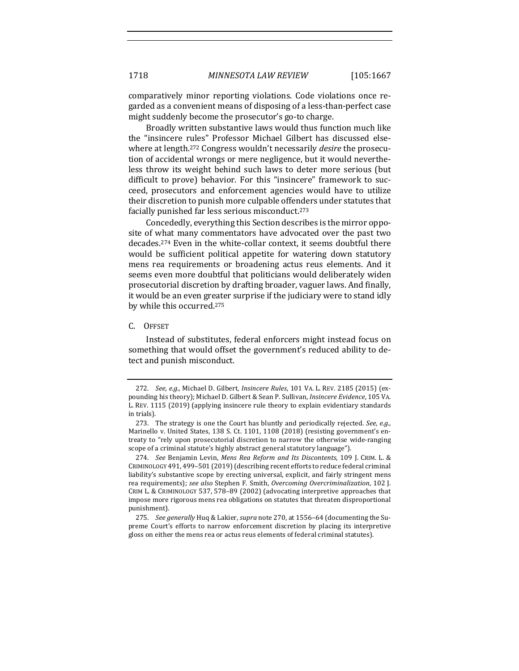comparatively minor reporting violations. Code violations once regarded as a convenient means of disposing of a less-than-perfect case might suddenly become the prosecutor's go-to charge.

Broadly written substantive laws would thus function much like the "insincere rules" Professor Michael Gilbert has discussed elsewhere at length.<sup>272</sup> Congress wouldn't necessarily *desire* the prosecution of accidental wrongs or mere negligence, but it would nevertheless throw its weight behind such laws to deter more serious (but difficult to prove) behavior. For this "insincere" framework to succeed, prosecutors and enforcement agencies would have to utilize their discretion to punish more culpable offenders under statutes that facially punished far less serious misconduct.<sup>273</sup>

Concededly, everything this Section describes is the mirror opposite of what many commentators have advocated over the past two decades.<sup>274</sup> Even in the white-collar context, it seems doubtful there would be sufficient political appetite for watering down statutory mens rea requirements or broadening actus reus elements. And it seems even more doubtful that politicians would deliberately widen prosecutorial discretion by drafting broader, vaguer laws. And finally, it would be an even greater surprise if the judiciary were to stand idly by while this occurred.<sup>275</sup>

C. OFFSET

Instead of substitutes, federal enforcers might instead focus on something that would offset the government's reduced ability to detect and punish misconduct.

<sup>272.</sup> *See, e.g.*, Michael D. Gilbert, *Insincere Rules*, 101 VA. L. REV. 2185 (2015) (expounding his theory); Michael D. Gilbert & Sean P. Sullivan, *Insincere Evidence*, 105 VA. L. REV. 1115 (2019) (applying insincere rule theory to explain evidentiary standards in trials).

<sup>273.</sup> The strategy is one the Court has bluntly and periodically rejected. See, e.g., Marinello v. United States, 138 S. Ct. 1101, 1108 (2018) (resisting government's entreaty to "rely upon prosecutorial discretion to narrow the otherwise wide-ranging scope of a criminal statute's highly abstract general statutory language").

<sup>274.</sup> *See* Benjamin Levin, Mens Rea Reform and Its Discontents, 109 J. CRIM. L. & CRIMINOLOGY 491, 499-501 (2019) (describing recent efforts to reduce federal criminal liability's substantive scope by erecting universal, explicit, and fairly stringent mens rea requirements); see also Stephen F. Smith, Overcoming Overcriminalization, 102 J. CRIM L. & CRIMINOLOGY 537, 578-89 (2002) (advocating interpretive approaches that impose more rigorous mens rea obligations on statutes that threaten disproportional punishment). 

<sup>275.</sup> *See generally* Huq & Lakier, *supra* note 270, at 1556-64 (documenting the Supreme Court's efforts to narrow enforcement discretion by placing its interpretive gloss on either the mens rea or actus reus elements of federal criminal statutes).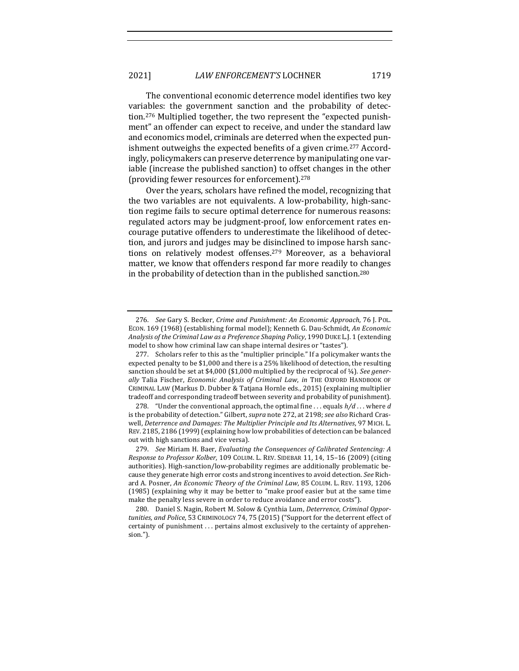The conventional economic deterrence model identifies two key variables: the government sanction and the probability of detection.<sup>276</sup> Multiplied together, the two represent the "expected punishment" an offender can expect to receive, and under the standard law and economics model, criminals are deterred when the expected punishment outweighs the expected benefits of a given crime.<sup>277</sup> Accordingly, policymakers can preserve deterrence by manipulating one variable (increase the published sanction) to offset changes in the other (providing fewer resources for enforcement).<sup>278</sup>

Over the years, scholars have refined the model, recognizing that the two variables are not equivalents. A low-probability, high-sanction regime fails to secure optimal deterrence for numerous reasons: regulated actors may be judgment-proof, low enforcement rates encourage putative offenders to underestimate the likelihood of detection, and jurors and judges may be disinclined to impose harsh sanctions on relatively modest offenses.<sup>279</sup> Moreover, as a behavioral matter, we know that offenders respond far more readily to changes in the probability of detection than in the published sanction.<sup>280</sup>

<sup>276.</sup> *See* Gary S. Becker, *Crime and Punishment: An Economic Approach*, 76 J. POL. ECON. 169 (1968) (establishing formal model); Kenneth G. Dau-Schmidt, *An Economic Analysis of the Criminal Law as a Preference Shaping Policy*, 1990 DUKE L.J. 1 (extending model to show how criminal law can shape internal desires or "tastes").

<sup>277.</sup> Scholars refer to this as the "multiplier principle." If a policymaker wants the expected penalty to be \$1,000 and there is a 25% likelihood of detection, the resulting sanction should be set at \$4,000 (\$1,000 multiplied by the reciprocal of  $\frac{1}{4}$ ). *See gener*ally Talia Fischer, *Economic Analysis of Criminal Law*, *in* THE OXFORD HANDBOOK OF CRIMINAL LAW (Markus D. Dubber & Tatjana Hornle eds., 2015) (explaining multiplier tradeoff and corresponding tradeoff between severity and probability of punishment).

<sup>278. &</sup>quot;Under the conventional approach, the optimal fine ... equals  $h/d$  ... where  $d$ is the probability of detection." Gilbert, *supra* note 272, at 2198; *see also* Richard Craswell, Deterrence and Damages: The Multiplier Principle and Its Alternatives, 97 MICH. L. REV. 2185, 2186 (1999) (explaining how low probabilities of detection can be balanced out with high sanctions and vice versa).

<sup>279.</sup> *See* Miriam H. Baer, *Evaluating the Consequences of Calibrated Sentencing: A Response to Professor Kolber, 109 COLUM. L. REV. SIDEBAR 11, 14, 15-16 (2009)* (citing authorities). High-sanction/low-probability regimes are additionally problematic because they generate high error costs and strong incentives to avoid detection. See Richard A. Posner, *An Economic Theory of the Criminal Law*, 85 COLUM. L. REV. 1193, 1206 (1985) (explaining why it may be better to "make proof easier but at the same time make the penalty less severe in order to reduce avoidance and error costs").

<sup>280.</sup> Daniel S. Nagin, Robert M. Solow & Cynthia Lum, *Deterrence, Criminal Oppor*tunities, and Police, 53 CRIMINOLOGY 74, 75 (2015) ("Support for the deterrent effect of certainty of punishment ... pertains almost exclusively to the certainty of apprehension.").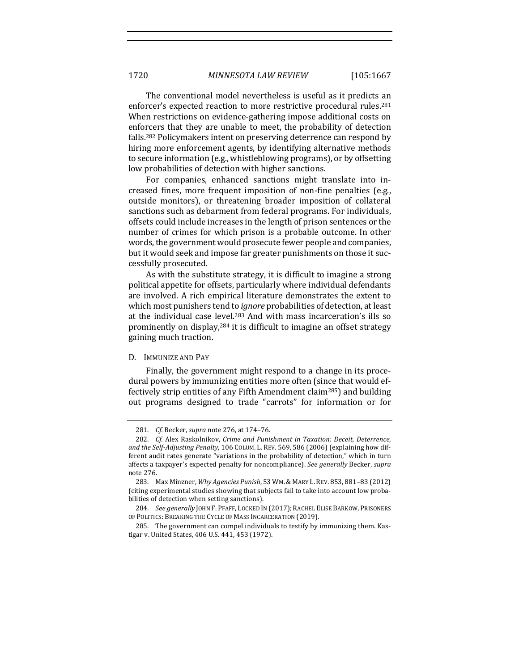The conventional model nevertheless is useful as it predicts an enforcer's expected reaction to more restrictive procedural rules.<sup>281</sup> When restrictions on evidence-gathering impose additional costs on enforcers that they are unable to meet, the probability of detection falls.<sup>282</sup> Policymakers intent on preserving deterrence can respond by hiring more enforcement agents, by identifying alternative methods to secure information (e.g., whistleblowing programs), or by offsetting low probabilities of detection with higher sanctions.

For companies, enhanced sanctions might translate into increased fines, more frequent imposition of non-fine penalties (e.g., outside monitors), or threatening broader imposition of collateral sanctions such as debarment from federal programs. For individuals, offsets could include increases in the length of prison sentences or the number of crimes for which prison is a probable outcome. In other words, the government would prosecute fewer people and companies, but it would seek and impose far greater punishments on those it successfully prosecuted. 

As with the substitute strategy, it is difficult to imagine a strong political appetite for offsets, particularly where individual defendants are involved. A rich empirical literature demonstrates the extent to which most punishers tend to *ignore* probabilities of detection, at least at the individual case level.<sup>283</sup> And with mass incarceration's ills so prominently on display, $284$  it is difficult to imagine an offset strategy gaining much traction.

#### D. IMMUNIZE AND PAY

Finally, the government might respond to a change in its procedural powers by immunizing entities more often (since that would effectively strip entities of any Fifth Amendment claim<sup>285</sup>) and building out programs designed to trade "carrots" for information or for

<sup>281.</sup> *Cf.* Becker, *supra* note 276, at 174-76.

<sup>282.</sup> *Cf.* Alex Raskolnikov, *Crime and Punishment in Taxation: Deceit, Deterrence,* and the Self-Adjusting Penalty, 106 COLUM. L. REV. 569, 586 (2006) (explaining how different audit rates generate "variations in the probability of detection," which in turn affects a taxpayer's expected penalty for noncompliance). *See generally* Becker, *supra* note 276.

<sup>283.</sup> Max Minzner, *Why Agencies Punish*, 53 WM.& MARY L.REV. 853, 881–83 (2012) (citing experimental studies showing that subjects fail to take into account low probabilities of detection when setting sanctions).

<sup>284.</sup> *See generally* JOHN F. PFAFF, LOCKED IN (2017); RACHEL ELISE BARKOW, PRISONERS OF POLITICS: BREAKING THE CYCLE OF MASS INCARCERATION (2019).

<sup>285.</sup> The government can compel individuals to testify by immunizing them. Kastigar v. United States, 406 U.S. 441, 453 (1972).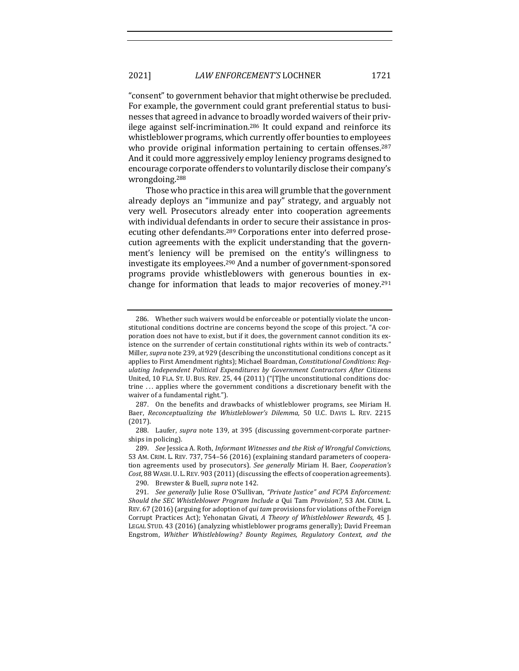" consent" to government behavior that might otherwise be precluded. For example, the government could grant preferential status to businesses that agreed in advance to broadly worded waivers of their privilege against self-incrimination.<sup>286</sup> It could expand and reinforce its whistleblower programs, which currently offer bounties to employees who provide original information pertaining to certain offenses. $287$ And it could more aggressively employ leniency programs designed to encourage corporate offenders to voluntarily disclose their company's wrongdoing.288

Those who practice in this area will grumble that the government already deploys an "immunize and pay" strategy, and arguably not very well. Prosecutors already enter into cooperation agreements with individual defendants in order to secure their assistance in prosecuting other defendants.<sup>289</sup> Corporations enter into deferred prosecution agreements with the explicit understanding that the government's leniency will be premised on the entity's willingness to investigate its employees.<sup>290</sup> And a number of government-sponsored programs provide whistleblowers with generous bounties in exchange for information that leads to major recoveries of money.<sup>291</sup>

<sup>286.</sup> Whether such waivers would be enforceable or potentially violate the unconstitutional conditions doctrine are concerns beyond the scope of this project. "A corporation does not have to exist, but if it does, the government cannot condition its existence on the surrender of certain constitutional rights within its web of contracts." Miller, *supra* note 239, at 929 (describing the unconstitutional conditions concept as it applies to First Amendment rights); Michael Boardman, *Constitutional Conditions: Regulating Independent Political Expenditures by Government Contractors After*  Citizens United, 10 FLA. ST. U. BUS. REV. 25, 44 (2011) ("[T]he unconstitutional conditions doctrine ... applies where the government conditions a discretionary benefit with the waiver of a fundamental right.").

<sup>287.</sup> On the benefits and drawbacks of whistleblower programs, see Miriam H. Baer, *Reconceptualizing the Whistleblower's Dilemma*, 50 U.C. DAVIS L. REV. 2215 (2017). 

<sup>288.</sup> Laufer, *supra* note 139, at 395 (discussing government-corporate partnerships in policing).

<sup>289.</sup> *See* Jessica A. Roth, *Informant Witnesses and the Risk of Wrongful Convictions*, 53 AM. CRIM. L. REV. 737, 754–56 (2016) (explaining standard parameters of cooperation agreements used by prosecutors). See generally Miriam H. Baer, *Cooperation's* Cost, 88 WASH. U.L. REV. 903 (2011) (discussing the effects of cooperation agreements).

<sup>290.</sup> Brewster & Buell, *supra* note 142.

<sup>291.</sup> *See generally* Julie Rose O'Sullivan, "Private Justice" and *FCPA Enforcement: Should the SEC Whistleblower Program Include a Qui Tam Provision?*, 53 AM. CRIM. L. REV. 67 (2016) (arguing for adoption of *qui* tam provisions for violations of the Foreign Corrupt Practices Act); Yehonatan Givati, *A Theory of Whistleblower Rewards*, 45 J. LEGAL STUD. 43 (2016) (analyzing whistleblower programs generally); David Freeman Engstrom, *Whither Whistleblowing? Bounty Regimes, Regulatory Context, and the*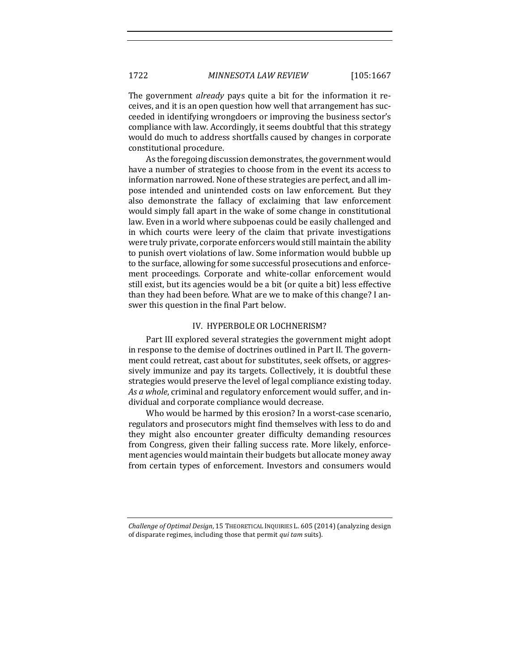The government *already* pays quite a bit for the information it receives, and it is an open question how well that arrangement has succeeded in identifying wrongdoers or improving the business sector's compliance with law. Accordingly, it seems doubtful that this strategy would do much to address shortfalls caused by changes in corporate constitutional procedure.

As the foregoing discussion demonstrates, the government would have a number of strategies to choose from in the event its access to information narrowed. None of these strategies are perfect, and all impose intended and unintended costs on law enforcement. But they also demonstrate the fallacy of exclaiming that law enforcement would simply fall apart in the wake of some change in constitutional law. Even in a world where subpoenas could be easily challenged and in which courts were leery of the claim that private investigations were truly private, corporate enforcers would still maintain the ability to punish overt violations of law. Some information would bubble up to the surface, allowing for some successful prosecutions and enforcement proceedings. Corporate and white-collar enforcement would still exist, but its agencies would be a bit (or quite a bit) less effective than they had been before. What are we to make of this change? I answer this question in the final Part below.

### IV. HYPERBOLE OR LOCHNERISM?

Part III explored several strategies the government might adopt in response to the demise of doctrines outlined in Part II. The government could retreat, cast about for substitutes, seek offsets, or aggressively immunize and pay its targets. Collectively, it is doubtful these strategies would preserve the level of legal compliance existing today. As a whole, criminal and regulatory enforcement would suffer, and individual and corporate compliance would decrease.

Who would be harmed by this erosion? In a worst-case scenario, regulators and prosecutors might find themselves with less to do and they might also encounter greater difficulty demanding resources from Congress, given their falling success rate. More likely, enforcement agencies would maintain their budgets but allocate money away from certain types of enforcement. Investors and consumers would

*Challenge of Optimal Design,* 15 THEORETICAL INQUIRIES L. 605 (2014) (analyzing design of disparate regimes, including those that permit *qui tam* suits).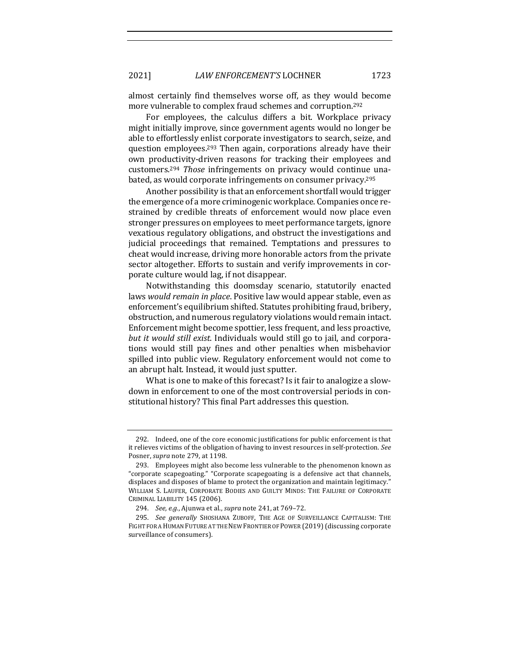almost certainly find themselves worse off, as they would become more vulnerable to complex fraud schemes and corruption.<sup>292</sup>

For employees, the calculus differs a bit. Workplace privacy might initially improve, since government agents would no longer be able to effortlessly enlist corporate investigators to search, seize, and question employees.<sup>293</sup> Then again, corporations already have their own productivity-driven reasons for tracking their employees and customers.<sup>294</sup> *Those* infringements on privacy would continue unabated, as would corporate infringements on consumer privacy.<sup>295</sup>

Another possibility is that an enforcement shortfall would trigger the emergence of a more criminogenic workplace. Companies once restrained by credible threats of enforcement would now place even stronger pressures on employees to meet performance targets, ignore vexatious regulatory obligations, and obstruct the investigations and judicial proceedings that remained. Temptations and pressures to cheat would increase, driving more honorable actors from the private sector altogether. Efforts to sustain and verify improvements in corporate culture would lag, if not disappear.

Notwithstanding this doomsday scenario, statutorily enacted laws *would remain in place*. Positive law would appear stable, even as enforcement's equilibrium shifted. Statutes prohibiting fraud, bribery, obstruction, and numerous regulatory violations would remain intact. Enforcement might become spottier, less frequent, and less proactive, *but it would still exist.* Individuals would still go to jail, and corporations would still pay fines and other penalties when misbehavior spilled into public view. Regulatory enforcement would not come to an abrupt halt. Instead, it would just sputter.

What is one to make of this forecast? Is it fair to analogize a slowdown in enforcement to one of the most controversial periods in constitutional history? This final Part addresses this question.

<sup>292.</sup> Indeed, one of the core economic justifications for public enforcement is that it relieves victims of the obligation of having to invest resources in self-protection. See Posner, *supra* note 279, at 1198.

<sup>293.</sup> Employees might also become less vulnerable to the phenomenon known as "corporate scapegoating." "Corporate scapegoating is a defensive act that channels, displaces and disposes of blame to protect the organization and maintain legitimacy." WILLIAM S. LAUFER, CORPORATE BODIES AND GUILTY MINDS: THE FAILURE OF CORPORATE CRIMINAL LIABILITY 145 (2006).

<sup>294.</sup> *See, e.g.*, Ajunwa et al., *supra* note 241, at 769-72.

<sup>295.</sup> *See generally* SHOSHANA ZUBOFF, THE AGE OF SURVEILLANCE CAPITALISM: THE FIGHT FOR A HUMAN FUTURE AT THE NEW FRONTIER OF POWER (2019) (discussing corporate surveillance of consumers).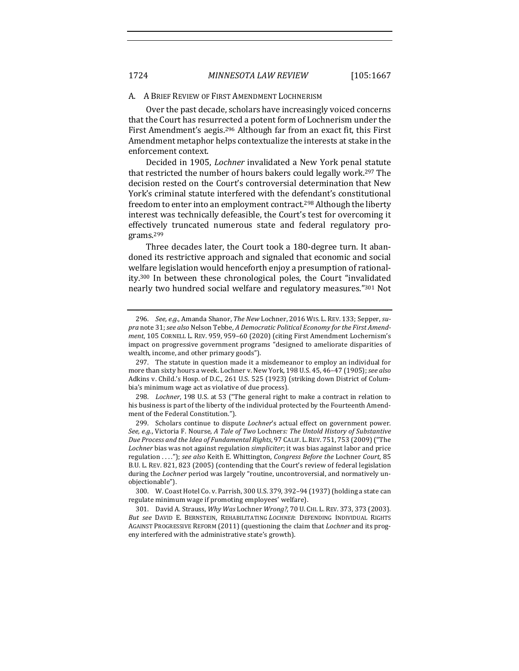#### A. A BRIEF REVIEW OF FIRST AMENDMENT LOCHNERISM

Over the past decade, scholars have increasingly voiced concerns that the Court has resurrected a potent form of Lochnerism under the First Amendment's aegis.<sup>296</sup> Although far from an exact fit, this First Amendment metaphor helps contextualize the interests at stake in the enforcement context.

Decided in 1905, *Lochner* invalidated a New York penal statute that restricted the number of hours bakers could legally work.<sup>297</sup> The decision rested on the Court's controversial determination that New York's criminal statute interfered with the defendant's constitutional freedom to enter into an employment contract.<sup>298</sup> Although the liberty interest was technically defeasible, the Court's test for overcoming it effectively truncated numerous state and federal regulatory programs.299

Three decades later, the Court took a 180-degree turn. It abandoned its restrictive approach and signaled that economic and social welfare legislation would henceforth enjoy a presumption of rationality.<sup>300</sup> In between these chronological poles, the Court "invalidated nearly two hundred social welfare and regulatory measures."301 Not

<sup>296.</sup> *See, e.g.*, Amanda Shanor, *The New Lochner*, 2016 WIS. L. REV. 133; Sepper, *su*pra note 31; see also Nelson Tebbe, *A Democratic Political Economy for the First Amendment*, 105 CORNELL L. REV. 959, 959-60 (2020) (citing First Amendment Lochernism's impact on progressive government programs "designed to ameliorate disparities of wealth, income, and other primary goods").

<sup>297.</sup> The statute in question made it a misdemeanor to employ an individual for more than sixty hours a week. Lochner v. New York, 198 U.S. 45, 46-47 (1905); *see also* Adkins v. Child.'s Hosp. of D.C., 261 U.S. 525 (1923) (striking down District of Columbia's minimum wage act as violative of due process).

<sup>298.</sup> *Lochner*, 198 U.S. at 53 ("The general right to make a contract in relation to his business is part of the liberty of the individual protected by the Fourteenth Amendment of the Federal Constitution.").

<sup>299.</sup> Scholars continue to dispute *Lochner's* actual effect on government power. See, e.g., Victoria F. Nourse, *A Tale of Two Lochners: The Untold History of Substantive Due Process and the Idea of Fundamental Rights*, 97 CALIF. L. REV. 751, 753 (2009) ("The *Lochner* bias was not against regulation *simpliciter*; it was bias against labor and price regulation ...."); see also Keith E. Whittington, *Congress Before the Lochner Court*, 85 B.U. L. REV. 821, 823 (2005) (contending that the Court's review of federal legislation during the *Lochner* period was largely "routine, uncontroversial, and normatively unobjectionable"). 

<sup>300.</sup> W. Coast Hotel Co. v. Parrish, 300 U.S. 379, 392–94 (1937) (holding a state can regulate minimum wage if promoting employees' welfare).

<sup>301.</sup> David A. Strauss, *Why Was* Lochner *Wrong?*, 70 U. CHI. L. REV. 373, 373 (2003). But see DAVID E. BERNSTEIN, REHABILITATING *LOCHNER*: DEFENDING INDIVIDUAL RIGHTS AGAINST PROGRESSIVE REFORM (2011) (questioning the claim that *Lochner* and its progeny interfered with the administrative state's growth).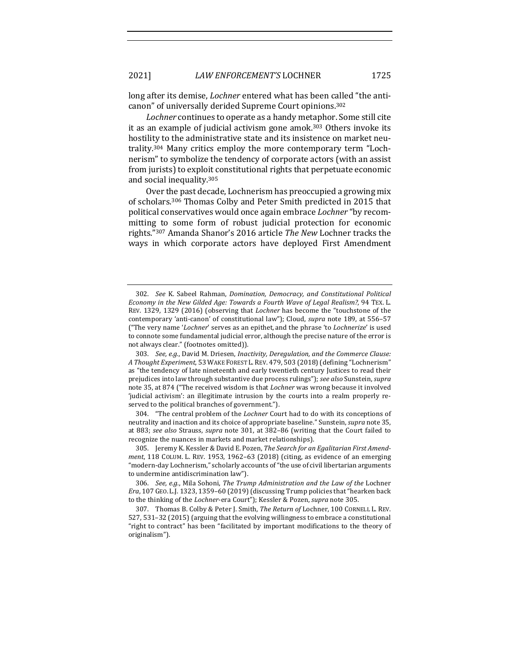long after its demise, *Lochner* entered what has been called "the anticanon" of universally derided Supreme Court opinions.<sup>302</sup>

Lochner continues to operate as a handy metaphor. Some still cite it as an example of judicial activism gone amok.<sup>303</sup> Others invoke its hostility to the administrative state and its insistence on market neutrality.<sup>304</sup> Many critics employ the more contemporary term "Lochnerism" to symbolize the tendency of corporate actors (with an assist from jurists) to exploit constitutional rights that perpetuate economic and social inequality.<sup>305</sup>

Over the past decade, Lochnerism has preoccupied a growing mix of scholars.<sup>306</sup> Thomas Colby and Peter Smith predicted in 2015 that political conservatives would once again embrace *Lochner* "by recommitting to some form of robust judicial protection for economic rights."<sup>307</sup> Amanda Shanor's 2016 article *The New Lochner tracks the* ways in which corporate actors have deployed First Amendment

304. "The central problem of the *Lochner* Court had to do with its conceptions of neutrality and inaction and its choice of appropriate baseline." Sunstein, *supra* note 35, at 883; see also Strauss, *supra* note 301, at 382-86 (writing that the Court failed to recognize the nuances in markets and market relationships).

305. Jeremy K. Kessler & David E. Pozen, *The Search for an Egalitarian First Amendment*, 118 COLUM. L. REV. 1953, 1962-63 (2018) (citing, as evidence of an emerging "modern-day Lochnerism," scholarly accounts of "the use of civil libertarian arguments to undermine antidiscrimination law").

<sup>302.</sup> *See* K. Sabeel Rahman, *Domination, Democracy, and Constitutional Political Economy in the New Gilded Age: Towards a Fourth Wave of Legal Realism?*, 94 TEX. L. REV. 1329, 1329 (2016) (observing that *Lochner* has become the "touchstone of the contemporary 'anti-canon' of constitutional law"); Cloud, *supra* note 189, at 556–57 ("The very name '*Lochner'* serves as an epithet, and the phrase 'to *Lochnerize'* is used to connote some fundamental judicial error, although the precise nature of the error is not always clear." (footnotes omitted)).

<sup>303.</sup> *See, e.g.*, David M. Driesen, *Inactivity, Deregulation, and the Commerce Clause: A Thought Experiment*, 53 WAKE FOREST L.REV. 479, 503 (2018) (defining "Lochnerism" as "the tendency of late nineteenth and early twentieth century Justices to read their prejudices into law through substantive due process rulings"); *see also* Sunstein, *supra* note 35, at 874 ("The received wisdom is that *Lochner* was wrong because it involved 'judicial activism': an illegitimate intrusion by the courts into a realm properly reserved to the political branches of government.").

<sup>306.</sup> *See, e.g.*, Mila Sohoni, *The Trump Administration and the Law of the Lochner Era*, 107 GEO. L.J. 1323, 1359-60 (2019) (discussing Trump policies that "hearken back to the thinking of the *Lochner*-era Court"); Kessler & Pozen, *supra* note 305.

<sup>307.</sup> Thomas B. Colby & Peter J. Smith, *The Return of* Lochner, 100 CORNELL L. REV. 527, 531-32 (2015) (arguing that the evolving willingness to embrace a constitutional "right to contract" has been "facilitated by important modifications to the theory of originalism").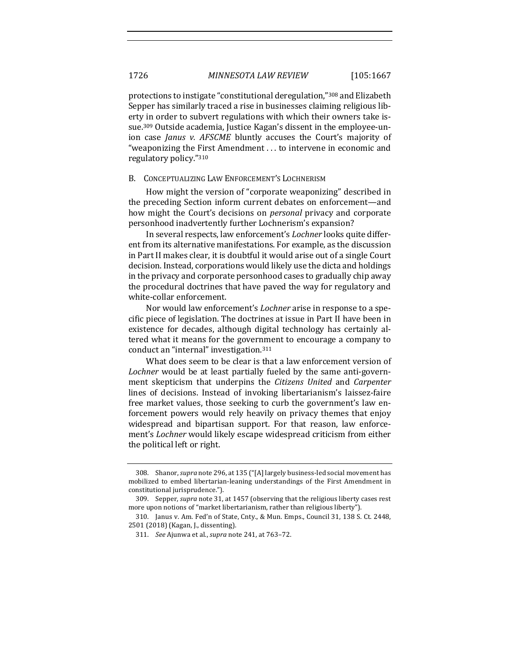protections to instigate "constitutional deregulation,"<sup>308</sup> and Elizabeth Sepper has similarly traced a rise in businesses claiming religious liberty in order to subvert regulations with which their owners take issue.<sup>309</sup> Outside academia, Justice Kagan's dissent in the employee-union case *Janus v. AFSCME* bluntly accuses the Court's majority of "weaponizing the First Amendment  $\dots$  to intervene in economic and regulatory policy."310

#### B. CONCEPTUALIZING LAW ENFORCEMENT'S LOCHNERISM

How might the version of "corporate weaponizing" described in the preceding Section inform current debates on enforcement—and how might the Court's decisions on *personal* privacy and corporate personhood inadvertently further Lochnerism's expansion?

In several respects, law enforcement's *Lochner* looks quite different from its alternative manifestations. For example, as the discussion in Part II makes clear, it is doubtful it would arise out of a single Court decision. Instead, corporations would likely use the dicta and holdings in the privacy and corporate personhood cases to gradually chip away the procedural doctrines that have paved the way for regulatory and white-collar enforcement.

Nor would law enforcement's *Lochner* arise in response to a specific piece of legislation. The doctrines at issue in Part II have been in existence for decades, although digital technology has certainly altered what it means for the government to encourage a company to conduct an "internal" investigation.<sup>311</sup>

What does seem to be clear is that a law enforcement version of Lochner would be at least partially fueled by the same anti-government skepticism that underpins the *Citizens United* and *Carpenter* lines of decisions. Instead of invoking libertarianism's laissez-faire free market values, those seeking to curb the government's law enforcement powers would rely heavily on privacy themes that enjoy widespread and bipartisan support. For that reason, law enforcement's *Lochner* would likely escape widespread criticism from either the political left or right.

<sup>308.</sup> Shanor, *supra* note 296, at 135 ("[A] largely business-led social movement has mobilized to embed libertarian-leaning understandings of the First Amendment in constitutional jurisprudence.").

<sup>309.</sup> Sepper, *supra* note 31, at 1457 (observing that the religious liberty cases rest more upon notions of "market libertarianism, rather than religious liberty").

<sup>310.</sup> Janus v. Am. Fed'n of State, Cnty., & Mun. Emps., Council 31, 138 S. Ct. 2448, 2501 (2018) (Kagan, J., dissenting).

<sup>311.</sup> *See* Ajunwa et al., *supra* note 241, at 763-72.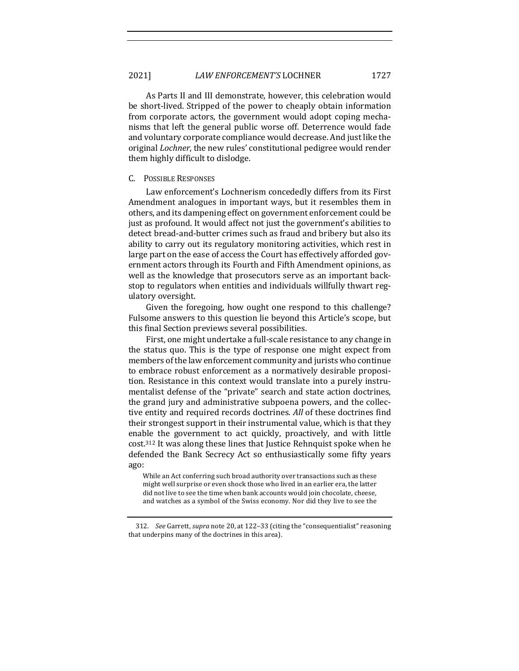As Parts II and III demonstrate, however, this celebration would be short-lived. Stripped of the power to cheaply obtain information from corporate actors, the government would adopt coping mechanisms that left the general public worse off. Deterrence would fade and voluntary corporate compliance would decrease. And just like the original *Lochner*, the new rules' constitutional pedigree would render them highly difficult to dislodge.

### C. POSSIBLE RESPONSES

Law enforcement's Lochnerism concededly differs from its First Amendment analogues in important ways, but it resembles them in others, and its dampening effect on government enforcement could be just as profound. It would affect not just the government's abilities to detect bread-and-butter crimes such as fraud and bribery but also its ability to carry out its regulatory monitoring activities, which rest in large part on the ease of access the Court has effectively afforded government actors through its Fourth and Fifth Amendment opinions, as well as the knowledge that prosecutors serve as an important backstop to regulators when entities and individuals willfully thwart regulatory oversight. 

Given the foregoing, how ought one respond to this challenge? Fulsome answers to this question lie beyond this Article's scope, but this final Section previews several possibilities.

First, one might undertake a full-scale resistance to any change in the status quo. This is the type of response one might expect from members of the law enforcement community and jurists who continue to embrace robust enforcement as a normatively desirable proposition. Resistance in this context would translate into a purely instrumentalist defense of the "private" search and state action doctrines, the grand jury and administrative subpoena powers, and the collective entity and required records doctrines. All of these doctrines find their strongest support in their instrumental value, which is that they enable the government to act quickly, proactively, and with little cost.<sup>312</sup> It was along these lines that Justice Rehnquist spoke when he defended the Bank Secrecy Act so enthusiastically some fifty years ago:

While an Act conferring such broad authority over transactions such as these might well surprise or even shock those who lived in an earlier era, the latter did not live to see the time when bank accounts would join chocolate, cheese, and watches as a symbol of the Swiss economy. Nor did they live to see the

<sup>312.</sup> *See* Garrett, *supra* note 20, at 122-33 (citing the "consequentialist" reasoning that underpins many of the doctrines in this area).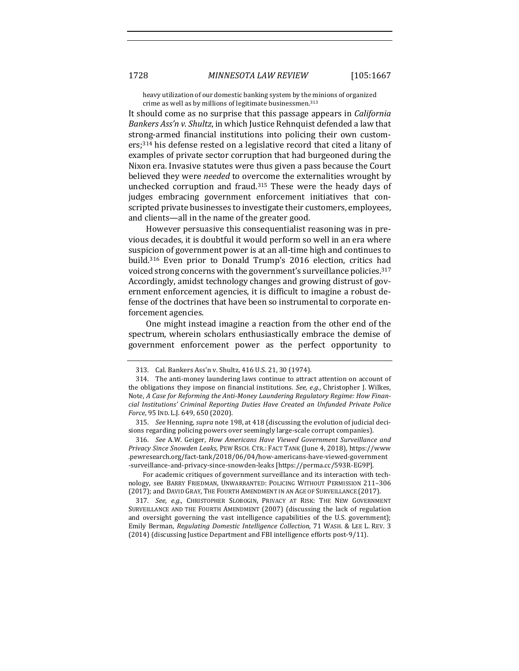heavy utilization of our domestic banking system by the minions of organized crime as well as by millions of legitimate businessmen.<sup>313</sup>

It should come as no surprise that this passage appears in *California Bankers Ass'n v. Shultz*, in which Justice Rehnquist defended a law that strong-armed financial institutions into policing their own custom $ers;$ <sup>314</sup> his defense rested on a legislative record that cited a litany of examples of private sector corruption that had burgeoned during the Nixon era. Invasive statutes were thus given a pass because the Court believed they were *needed* to overcome the externalities wrought by unchecked corruption and fraud.<sup>315</sup> These were the heady days of judges embracing government enforcement initiatives that conscripted private businesses to investigate their customers, employees, and clients—all in the name of the greater good.

However persuasive this consequentialist reasoning was in previous decades, it is doubtful it would perform so well in an era where suspicion of government power is at an all-time high and continues to build.<sup>316</sup> Even prior to Donald Trump's 2016 election, critics had voiced strong concerns with the government's surveillance policies.<sup>317</sup> Accordingly, amidst technology changes and growing distrust of government enforcement agencies, it is difficult to imagine a robust defense of the doctrines that have been so instrumental to corporate enforcement agencies.

One might instead imagine a reaction from the other end of the spectrum, wherein scholars enthusiastically embrace the demise of government enforcement power as the perfect opportunity to

316. See A.W. Geiger, *How Americans Have Viewed Government Surveillance and Privacy Since Snowden Leaks*, PEW RSCH. CTR.: FACT TANK (June 4, 2018), https://www .pewresearch.org/fact-tank/2018/06/04/how-americans-have-viewed-government -surveillance-and-privacy-since-snowden-leaks [https://perma.cc/593R-EG9P]. 

For academic critiques of government surveillance and its interaction with technology, see BARRY FRIEDMAN, UNWARRANTED: POLICING WITHOUT PERMISSION 211-306 (2017); and DAVID GRAY, THE FOURTH AMENDMENT IN AN AGE OF SURVEILLANCE (2017).

317. *See, e.g.*, CHRISTOPHER SLOBOGIN, PRIVACY AT RISK: THE NEW GOVERNMENT SURVEILLANCE AND THE FOURTH AMENDMENT (2007) (discussing the lack of regulation and oversight governing the vast intelligence capabilities of the U.S. government); Emily Berman, *Regulating Domestic Intelligence Collection*, 71 WASH. & LEE L. REV. 3 (2014) (discussing Justice Department and FBI intelligence efforts post-9/11).

<sup>313.</sup> Cal. Bankers Ass'n v. Shultz, 416 U.S. 21, 30 (1974).

<sup>314.</sup> The anti-money laundering laws continue to attract attention on account of the obligations they impose on financial institutions. *See, e.g.*, Christopher J. Wilkes, Note, A Case for Reforming the Anti-Money Laundering Regulatory Regime: How Finan*cial Institutions' Criminal Reporting Duties Have Created an Unfunded Private Police Force*, 95 IND. L.J. 649, 650 (2020).

<sup>315.</sup> *See* Henning, *supra* note 198, at 418 (discussing the evolution of judicial decisions regarding policing powers over seemingly large-scale corrupt companies).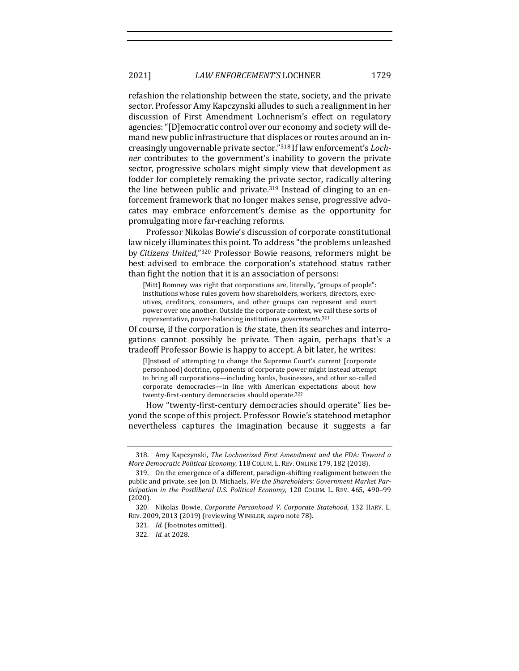refashion the relationship between the state, society, and the private sector. Professor Amy Kapczynski alludes to such a realignment in her discussion of First Amendment Lochnerism's effect on regulatory agencies: "[D]emocratic control over our economy and society will demand new public infrastructure that displaces or routes around an increasingly ungovernable private sector."<sup>318</sup> If law enforcement's *Lochner* contributes to the government's inability to govern the private sector, progressive scholars might simply view that development as fodder for completely remaking the private sector, radically altering the line between public and private.<sup>319</sup> Instead of clinging to an enforcement framework that no longer makes sense, progressive advocates may embrace enforcement's demise as the opportunity for promulgating more far-reaching reforms.

Professor Nikolas Bowie's discussion of corporate constitutional law nicely illuminates this point. To address "the problems unleashed by *Citizens United*,"320 Professor Bowie reasons, reformers might be best advised to embrace the corporation's statehood status rather than fight the notion that it is an association of persons:

[Mitt] Romney was right that corporations are, literally, "groups of people": institutions whose rules govern how shareholders, workers, directors, executives, creditors, consumers, and other groups can represent and exert power over one another. Outside the corporate context, we call these sorts of representative, power-balancing institutions *governments*.<sup>321</sup>

Of course, if the corporation is *the* state, then its searches and interrogations cannot possibly be private. Then again, perhaps that's a tradeoff Professor Bowie is happy to accept. A bit later, he writes:

[I]nstead of attempting to change the Supreme Court's current [corporate] personhood] doctrine, opponents of corporate power might instead attempt to bring all corporations—including banks, businesses, and other so-called corporate democracies—in line with American expectations about how twenty-first-century democracies should operate.<sup>322</sup>

How "twenty-first-century democracies should operate" lies beyond the scope of this project. Professor Bowie's statehood metaphor nevertheless captures the imagination because it suggests a far

<sup>318.</sup> Amy Kapczynski, *The Lochnerized First Amendment and the FDA: Toward a More Democratic Political Economy*, 118 COLUM. L. REV. ONLINE 179, 182 (2018).

<sup>319.</sup> On the emergence of a different, paradigm-shifting realignment between the public and private, see Jon D. Michaels, *We the Shareholders: Government Market Par*ticipation in the Postliberal U.S. Political Economy, 120 COLUM. L. REV. 465, 490-99 (2020). 

<sup>320.</sup> Nikolas Bowie, *Corporate Personhood V. Corporate Statehood*, 132 HARV. L. REV. 2009, 2013 (2019) (reviewing WINKLER, *supra* note 78).

<sup>321.</sup> *Id.* (footnotes omitted).

<sup>322.</sup> *Id.* at 2028.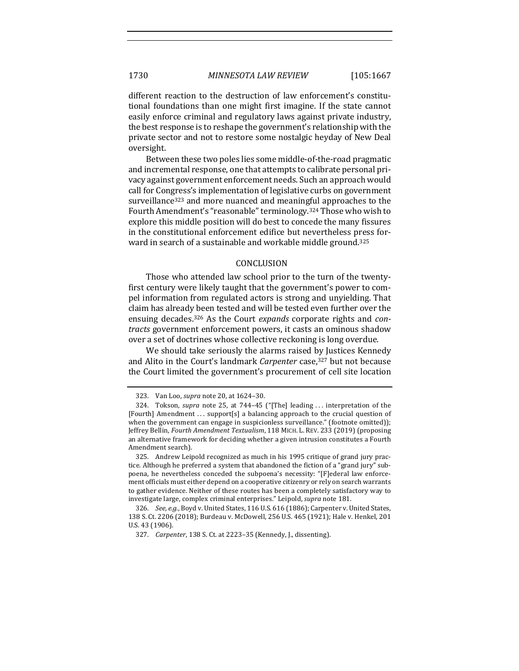different reaction to the destruction of law enforcement's constitutional foundations than one might first imagine. If the state cannot easily enforce criminal and regulatory laws against private industry, the best response is to reshape the government's relationship with the private sector and not to restore some nostalgic heyday of New Deal oversight. 

Between these two poles lies some middle-of-the-road pragmatic and incremental response, one that attempts to calibrate personal privacy against government enforcement needs. Such an approach would call for Congress's implementation of legislative curbs on government surveillance<sup>323</sup> and more nuanced and meaningful approaches to the Fourth Amendment's "reasonable" terminology.<sup>324</sup> Those who wish to explore this middle position will do best to concede the many fissures in the constitutional enforcement edifice but nevertheless press forward in search of a sustainable and workable middle ground.<sup>325</sup>

#### CONCLUSION

Those who attended law school prior to the turn of the twentyfirst century were likely taught that the government's power to compel information from regulated actors is strong and unyielding. That claim has already been tested and will be tested even further over the ensuing decades.<sup>326</sup> As the Court *expands* corporate rights and *con*tracts government enforcement powers, it casts an ominous shadow over a set of doctrines whose collective reckoning is long overdue.

We should take seriously the alarms raised by Justices Kennedy and Alito in the Court's landmark *Carpenter* case,<sup>327</sup> but not because the Court limited the government's procurement of cell site location

<sup>323.</sup> Van Loo, *supra* note 20, at 1624-30.

<sup>324.</sup> Tokson, *supra* note 25, at 744-45 ("[The] leading ... interpretation of the [Fourth] Amendment ... support[s] a balancing approach to the crucial question of when the government can engage in suspicionless surveillance." (footnote omitted)); Jeffrey Bellin, *Fourth Amendment Textualism*, 118 MICH. L. REV. 233 (2019) (proposing an alternative framework for deciding whether a given intrusion constitutes a Fourth Amendment search).

<sup>325.</sup> Andrew Leipold recognized as much in his 1995 critique of grand jury practice. Although he preferred a system that abandoned the fiction of a "grand jury" subpoena, he nevertheless conceded the subpoena's necessity: "[F]ederal law enforcement officials must either depend on a cooperative citizenry or rely on search warrants to gather evidence. Neither of these routes has been a completely satisfactory way to investigate large, complex criminal enterprises." Leipold, *supra* note 181.

<sup>326.</sup> *See, e.g.*, Boyd v. United States, 116 U.S. 616 (1886); Carpenter v. United States, 138 S. Ct. 2206 (2018); Burdeau v. McDowell, 256 U.S. 465 (1921); Hale v. Henkel, 201 U.S. 43 (1906).

<sup>327.</sup> *Carpenter*, 138 S. Ct. at 2223-35 (Kennedy, J., dissenting).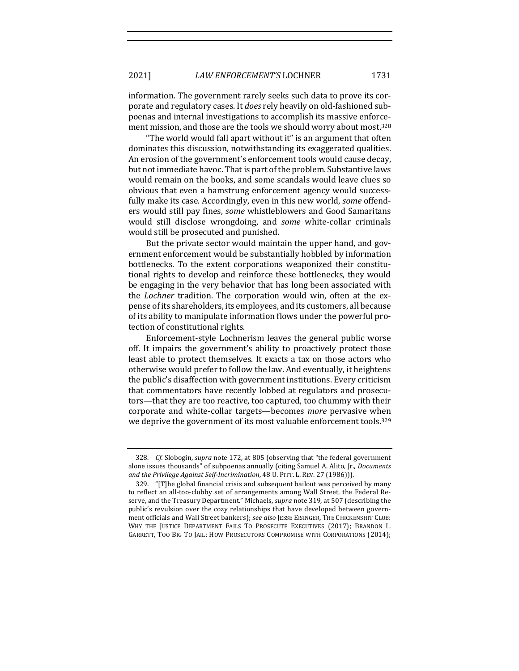information. The government rarely seeks such data to prove its corporate and regulatory cases. It *does* rely heavily on old-fashioned subpoenas and internal investigations to accomplish its massive enforcement mission, and those are the tools we should worry about most.<sup>328</sup>

"The world would fall apart without it" is an argument that often dominates this discussion, notwithstanding its exaggerated qualities. An erosion of the government's enforcement tools would cause decay, but not immediate havoc. That is part of the problem. Substantive laws would remain on the books, and some scandals would leave clues so obvious that even a hamstrung enforcement agency would successfully make its case. Accordingly, even in this new world, *some* offenders would still pay fines, *some* whistleblowers and Good Samaritans would still disclose wrongdoing, and *some* white-collar criminals would still be prosecuted and punished.

But the private sector would maintain the upper hand, and government enforcement would be substantially hobbled by information bottlenecks. To the extent corporations weaponized their constitutional rights to develop and reinforce these bottlenecks, they would be engaging in the very behavior that has long been associated with the *Lochner* tradition. The corporation would win, often at the expense of its shareholders, its employees, and its customers, all because of its ability to manipulate information flows under the powerful protection of constitutional rights.

Enforcement-style Lochnerism leaves the general public worse off. It impairs the government's ability to proactively protect those least able to protect themselves. It exacts a tax on those actors who otherwise would prefer to follow the law. And eventually, it heightens the public's disaffection with government institutions. Every criticism that commentators have recently lobbed at regulators and prosecutors—that they are too reactive, too captured, too chummy with their corporate and white-collar targets—becomes *more* pervasive when we deprive the government of its most valuable enforcement tools.<sup>329</sup>

<sup>328.</sup> *Cf.* Slobogin, *supra* note 172, at 805 (observing that "the federal government alone issues thousands" of subpoenas annually (citing Samuel A. Alito, Jr., *Documents* and the Privilege Against Self-Incrimination, 48 U. PITT. L. REV. 27 (1986))).

<sup>329. &</sup>quot;[T]he global financial crisis and subsequent bailout was perceived by many to reflect an all-too-clubby set of arrangements among Wall Street, the Federal Reserve, and the Treasury Department." Michaels, *supra* note 319, at 507 (describing the public's revulsion over the cozy relationships that have developed between government officials and Wall Street bankers); *see also* JESSE EISINGER, THE CHICKENSHIT CLUB: WHY THE JUSTICE DEPARTMENT FAILS TO PROSECUTE EXECUTIVES (2017); BRANDON L. GARRETT, TOO BIG TO JAIL: HOW PROSECUTORS COMPROMISE WITH CORPORATIONS (2014);